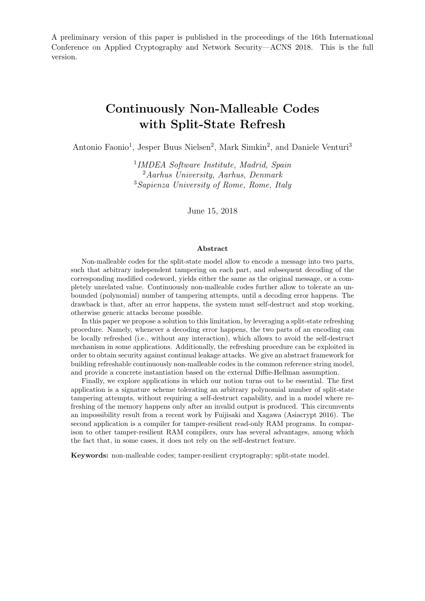A preliminary version of this paper is published in the proceedings of the 16th International Conference on Applied Cryptography and Network Security—ACNS 2018. This is the full version.

# Continuously Non-Malleable Codes with Split-State Refresh

Antonio Faonio<sup>1</sup>, Jesper Buus Nielsen<sup>2</sup>, Mark Simkin<sup>2</sup>, and Daniele Venturi<sup>3</sup>

1 IMDEA Software Institute, Madrid, Spain <sup>2</sup>Aarhus University, Aarhus, Denmark <sup>3</sup>Sapienza University of Rome, Rome, Italy

June 15, 2018

#### Abstract

Non-malleable codes for the split-state model allow to encode a message into two parts, such that arbitrary independent tampering on each part, and subsequent decoding of the corresponding modified codeword, yields either the same as the original message, or a completely unrelated value. Continuously non-malleable codes further allow to tolerate an unbounded (polynomial) number of tampering attempts, until a decoding error happens. The drawback is that, after an error happens, the system must self-destruct and stop working, otherwise generic attacks become possible.

In this paper we propose a solution to this limitation, by leveraging a split-state refreshing procedure. Namely, whenever a decoding error happens, the two parts of an encoding can be locally refreshed (i.e., without any interaction), which allows to avoid the self-destruct mechanism in some applications. Additionally, the refreshing procedure can be exploited in order to obtain security against continual leakage attacks. We give an abstract framework for building refreshable continuously non-malleable codes in the common reference string model, and provide a concrete instantiation based on the external Diffie-Hellman assumption.

Finally, we explore applications in which our notion turns out to be essential. The first application is a signature scheme tolerating an arbitrary polynomial number of split-state tampering attempts, without requiring a self-destruct capability, and in a model where refreshing of the memory happens only after an invalid output is produced. This circumvents an impossibility result from a recent work by Fuijisaki and Xagawa (Asiacrypt 2016). The second application is a compiler for tamper-resilient read-only RAM programs. In comparison to other tamper-resilient RAM compilers, ours has several advantages, among which the fact that, in some cases, it does not rely on the self-destruct feature.

Keywords: non-malleable codes; tamper-resilient cryptography; split-state model.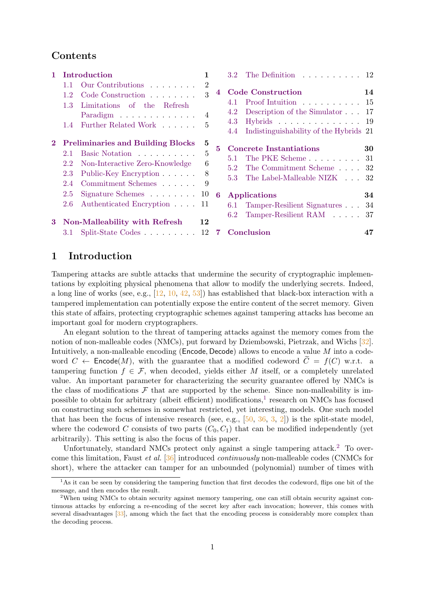# Contents

| 1. | Introduction                                                                                                                                                       | 1.                                                      |                | 3.2 The Definition $\ldots \ldots \ldots 12$                                                                                                                                                                                                        |    |
|----|--------------------------------------------------------------------------------------------------------------------------------------------------------------------|---------------------------------------------------------|----------------|-----------------------------------------------------------------------------------------------------------------------------------------------------------------------------------------------------------------------------------------------------|----|
|    | Our Contributions<br>1.1<br>Code Construction $\ldots$<br>1.2<br>Limitations of the Refresh<br>1.3 <sup>°</sup><br>Paradigm<br>Further Related Work<br>1.4         | $\overline{2}$<br>$\overline{3}$<br>$\overline{4}$<br>5 | 4              | <b>Code Construction</b><br>Proof Intuition $\dots \dots \dots \dots \dots 15$<br>4.1<br>Description of the Simulator $\ldots$ 17<br>4.2<br>Hybrids $\ldots \ldots \ldots \ldots \ldots 19$<br>4.3<br>Indistinguishability of the Hybrids 21<br>4.4 | 14 |
|    | 2 Preliminaries and Building Blocks<br>Basic Notation<br>2.1<br>Non-Interactive Zero-Knowledge<br>2.2<br>Public-Key Encryption<br>2.3<br>Commitment Schemes<br>2.4 | 5<br>5<br>6<br>8<br>9                                   | 5.             | <b>Concrete Instantiations</b><br>The PKE Scheme 31<br>5.1<br>The Commitment Scheme 32<br>5.2<br>The Label-Malleable NIZK 32<br>5.3                                                                                                                 | 30 |
|    | Signature Schemes $\ldots \ldots \ldots 10$<br>2.5<br>Authenticated Encryption 11<br>2.6<br>3 Non-Malleability with Refresh                                        | 12                                                      | 6              | <b>Applications</b><br>Tamper-Resilient Signatures 34<br>6.1<br>Tamper-Resilient RAM 37<br>6.2                                                                                                                                                      | 34 |
|    | Split-State Codes 12<br>3.1                                                                                                                                        |                                                         | 7 <sup>1</sup> | Conclusion                                                                                                                                                                                                                                          | 47 |

# <span id="page-1-0"></span>1 Introduction

Tampering attacks are subtle attacks that undermine the security of cryptographic implementations by exploiting physical phenomena that allow to modify the underlying secrets. Indeed, a long line of works (see, e.g., [\[12,](#page-48-0) [10,](#page-48-1) [42,](#page-50-0) [53\]](#page-51-0)) has established that black-box interaction with a tampered implementation can potentially expose the entire content of the secret memory. Given this state of affairs, protecting cryptographic schemes against tampering attacks has become an important goal for modern cryptographers.

An elegant solution to the threat of tampering attacks against the memory comes from the notion of non-malleable codes (NMCs), put forward by Dziembowski, Pietrzak, and Wichs [\[32\]](#page-49-0). Intuitively, a non-malleable encoding ( $\text{Encode}$ ,  $\text{Decode}$ ) allows to encode a value M into a codeword  $C \leftarrow$  Encode(M), with the guarantee that a modified codeword  $C = f(C)$  w.r.t. a tampering function  $f \in \mathcal{F}$ , when decoded, yields either M itself, or a completely unrelated value. An important parameter for characterizing the security guarantee offered by NMCs is the class of modifications  $\mathcal F$  that are supported by the scheme. Since non-malleability is im-possible to obtain for arbitrary (albeit efficient) modifications,<sup>[1](#page-1-1)</sup> research on NMCs has focused on constructing such schemes in somewhat restricted, yet interesting, models. One such model that has been the focus of intensive research (see, e.g.,  $[50, 36, 3, 2]$  $[50, 36, 3, 2]$  $[50, 36, 3, 2]$  $[50, 36, 3, 2]$  $[50, 36, 3, 2]$  $[50, 36, 3, 2]$  $[50, 36, 3, 2]$ ) is the split-state model, where the codeword C consists of two parts  $(C_0, C_1)$  that can be modified independently (yet arbitrarily). This setting is also the focus of this paper.

Unfortunately, standard NMCs protect only against a single tampering attack.<sup>[2](#page-1-2)</sup> To overcome this limitation, Faust et al. [\[36\]](#page-50-2) introduced continuously non-malleable codes (CNMCs for short), where the attacker can tamper for an unbounded (polynomial) number of times with

<span id="page-1-1"></span><sup>&</sup>lt;sup>1</sup>As it can be seen by considering the tampering function that first decodes the codeword, flips one bit of the message, and then encodes the result.

<span id="page-1-2"></span><sup>&</sup>lt;sup>2</sup>When using NMCs to obtain security against memory tampering, one can still obtain security against continuous attacks by enforcing a re-encoding of the secret key after each invocation; however, this comes with several disadvantages [\[33\]](#page-49-1), among which the fact that the encoding process is considerably more complex than the decoding process.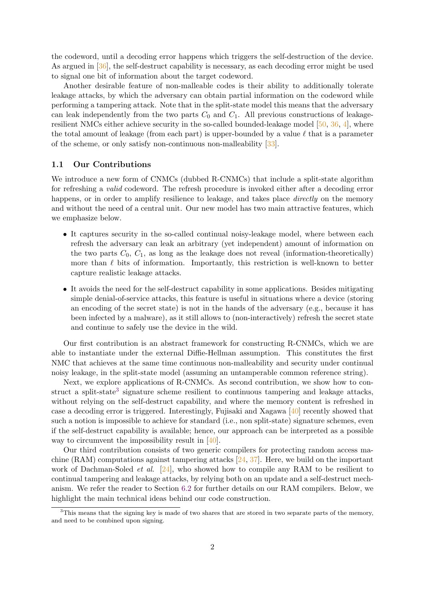the codeword, until a decoding error happens which triggers the self-destruction of the device. As argued in [\[36\]](#page-50-2), the self-destruct capability is necessary, as each decoding error might be used to signal one bit of information about the target codeword.

Another desirable feature of non-malleable codes is their ability to additionally tolerate leakage attacks, by which the adversary can obtain partial information on the codeword while performing a tampering attack. Note that in the split-state model this means that the adversary can leak independently from the two parts  $C_0$  and  $C_1$ . All previous constructions of leakageresilient NMCs either achieve security in the so-called bounded-leakage model  $[50, 36, 4]$  $[50, 36, 4]$  $[50, 36, 4]$  $[50, 36, 4]$  $[50, 36, 4]$ , where the total amount of leakage (from each part) is upper-bounded by a value  $\ell$  that is a parameter of the scheme, or only satisfy non-continuous non-malleability [\[33\]](#page-49-1).

### <span id="page-2-0"></span>1.1 Our Contributions

We introduce a new form of CNMCs (dubbed R-CNMCs) that include a split-state algorithm for refreshing a valid codeword. The refresh procedure is invoked either after a decoding error happens, or in order to amplify resilience to leakage, and takes place *directly* on the memory and without the need of a central unit. Our new model has two main attractive features, which we emphasize below.

- It captures security in the so-called continual noisy-leakage model, where between each refresh the adversary can leak an arbitrary (yet independent) amount of information on the two parts  $C_0, C_1$ , as long as the leakage does not reveal (information-theoretically) more than  $\ell$  bits of information. Importantly, this restriction is well-known to better capture realistic leakage attacks.
- It avoids the need for the self-destruct capability in some applications. Besides mitigating simple denial-of-service attacks, this feature is useful in situations where a device (storing an encoding of the secret state) is not in the hands of the adversary (e.g., because it has been infected by a malware), as it still allows to (non-interactively) refresh the secret state and continue to safely use the device in the wild.

Our first contribution is an abstract framework for constructing R-CNMCs, which we are able to instantiate under the external Diffie-Hellman assumption. This constitutes the first NMC that achieves at the same time continuous non-malleability and security under continual noisy leakage, in the split-state model (assuming an untamperable common reference string).

Next, we explore applications of R-CNMCs. As second contribution, we show how to con-struct a split-state<sup>[3](#page-2-1)</sup> signature scheme resilient to continuous tampering and leakage attacks, without relying on the self-destruct capability, and where the memory content is refreshed in case a decoding error is triggered. Interestingly, Fujisaki and Xagawa [\[40\]](#page-50-3) recently showed that such a notion is impossible to achieve for standard (i.e., non split-state) signature schemes, even if the self-destruct capability is available; hence, our approach can be interpreted as a possible way to circumvent the impossibility result in [\[40\]](#page-50-3).

Our third contribution consists of two generic compilers for protecting random access machine (RAM) computations against tampering attacks [\[24,](#page-49-2) [37\]](#page-50-4). Here, we build on the important work of Dachman-Soled *et al.*  $[24]$ , who showed how to compile any RAM to be resilient to continual tampering and leakage attacks, by relying both on an update and a self-destruct mechanism. We refer the reader to Section [6.2](#page-37-0) for further details on our RAM compilers. Below, we highlight the main technical ideas behind our code construction.

<span id="page-2-1"></span> $3$ This means that the signing key is made of two shares that are stored in two separate parts of the memory, and need to be combined upon signing.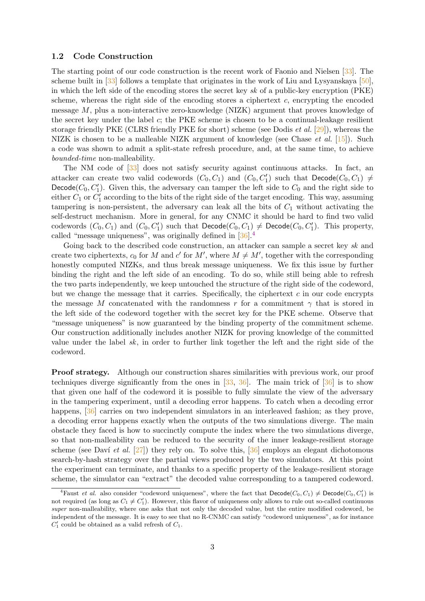### <span id="page-3-0"></span>1.2 Code Construction

The starting point of our code construction is the recent work of Faonio and Nielsen [\[33\]](#page-49-1). The scheme built in  $[33]$  follows a template that originates in the work of Liu and Lysyanskaya  $[50]$ , in which the left side of the encoding stores the secret key  $sk$  of a public-key encryption (PKE) scheme, whereas the right side of the encoding stores a ciphertext c, encrypting the encoded message M, plus a non-interactive zero-knowledge (NIZK) argument that proves knowledge of the secret key under the label  $c$ ; the PKE scheme is chosen to be a continual-leakage resilient storage friendly PKE (CLRS friendly PKE for short) scheme (see Dodis et al. [\[29\]](#page-49-3)), whereas the NIZK is chosen to be a malleable NIZK argument of knowledge (see Chase et al. [\[15\]](#page-48-5)). Such a code was shown to admit a split-state refresh procedure, and, at the same time, to achieve bounded-time non-malleability.

The NM code of [\[33\]](#page-49-1) does not satisfy security against continuous attacks. In fact, an attacker can create two valid codewords  $(C_0, C_1)$  and  $(C_0, C'_1)$  such that  $Decode(C_0, C_1) \neq$ Decode $(C_0, C'_1)$ . Given this, the adversary can tamper the left side to  $C_0$  and the right side to either  $C_1$  or  $C_1'$  according to the bits of the right side of the target encoding. This way, assuming tampering is non-persistent, the adversary can leak all the bits of  $C_1$  without activating the self-destruct mechanism. More in general, for any CNMC it should be hard to find two valid codewords  $(C_0, C_1)$  and  $(C_0, C'_1)$  such that  $\mathsf{Decode}(C_0, C_1) \neq \mathsf{Decode}(C_0, C'_1)$ . This property, called "message uniqueness", was originally defined in [\[36\]](#page-50-2).[4](#page-3-1)

Going back to the described code construction, an attacker can sample a secret key sk and create two ciphertexts,  $c_0$  for M and c' for M', where  $M \neq M'$ , together with the corresponding honestly computed NIZKs, and thus break message uniqueness. We fix this issue by further binding the right and the left side of an encoding. To do so, while still being able to refresh the two parts independently, we keep untouched the structure of the right side of the codeword, but we change the message that it carries. Specifically, the ciphertext  $c$  in our code encrypts the message M concatenated with the randomness r for a commitment  $\gamma$  that is stored in the left side of the codeword together with the secret key for the PKE scheme. Observe that "message uniqueness" is now guaranteed by the binding property of the commitment scheme. Our construction additionally includes another NIZK for proving knowledge of the committed value under the label  $sk$ , in order to further link together the left and the right side of the codeword.

Proof strategy. Although our construction shares similarities with previous work, our proof techniques diverge significantly from the ones in  $[33, 36]$  $[33, 36]$  $[33, 36]$ . The main trick of  $[36]$  is to show that given one half of the codeword it is possible to fully simulate the view of the adversary in the tampering experiment, until a decoding error happens. To catch when a decoding error happens,  $\boxed{36}$  carries on two independent simulators in an interleaved fashion; as they prove, a decoding error happens exactly when the outputs of the two simulations diverge. The main obstacle they faced is how to succinctly compute the index where the two simulations diverge, so that non-malleability can be reduced to the security of the inner leakage-resilient storage scheme (see Daví *et al.* [\[27\]](#page-49-4)) they rely on. To solve this,  $[36]$  employs an elegant dichotomous search-by-hash strategy over the partial views produced by the two simulators. At this point the experiment can terminate, and thanks to a specific property of the leakage-resilient storage scheme, the simulator can "extract" the decoded value corresponding to a tampered codeword.

<span id="page-3-1"></span><sup>&</sup>lt;sup>4</sup>Faust *et al.* also consider "codeword uniqueness", where the fact that  $\mathsf{Decode}(C_0, C_1) \neq \mathsf{Decode}(C_0, C_1')$  is not required (as long as  $C_1 \neq C'_1$ ). However, this flavor of uniqueness only allows to rule out so-called continuous super non-malleability, where one asks that not only the decoded value, but the entire modified codeword, be independent of the message. It is easy to see that no R-CNMC can satisfy "codeword uniqueness", as for instance  $C'_1$  could be obtained as a valid refresh of  $C_1$ .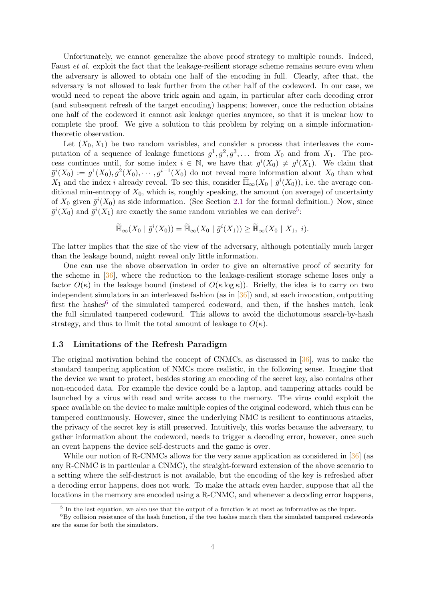Unfortunately, we cannot generalize the above proof strategy to multiple rounds. Indeed, Faust et al. exploit the fact that the leakage-resilient storage scheme remains secure even when the adversary is allowed to obtain one half of the encoding in full. Clearly, after that, the adversary is not allowed to leak further from the other half of the codeword. In our case, we would need to repeat the above trick again and again, in particular after each decoding error (and subsequent refresh of the target encoding) happens; however, once the reduction obtains one half of the codeword it cannot ask leakage queries anymore, so that it is unclear how to complete the proof. We give a solution to this problem by relying on a simple informationtheoretic observation.

Let  $(X_0, X_1)$  be two random variables, and consider a process that interleaves the computation of a sequence of leakage functions  $g^1, g^2, g^3, \ldots$  from  $X_0$  and from  $X_1$ . The process continues until, for some index  $i \in \mathbb{N}$ , we have that  $g^{i}(X_0) \neq g^{i}(X_1)$ . We claim that  $\bar{g}^{i}(X_0) := g^{1}(X_0), g^{2}(X_0), \cdots, g^{i-1}(X_0)$  do not reveal more information about  $X_0$  than what  $X_1$  and the index i already reveal. To see this, consider  $\widetilde{\mathbb{H}}_{\infty}(X_0 \mid \bar{g}^i(X_0))$ , i.e. the average conditional min-entropy of  $X_0$ , which is, roughly speaking, the amount (on average) of uncertainty of  $X_0$  given  $\bar{g}^i(X_0)$  as side information. (See Section [2.1](#page-5-2) for the formal definition.) Now, since  $\bar{g}^{i}(X_{0})$  and  $\bar{g}^{i}(X_{1})$  are exactly the same random variables we can derive<sup>[5](#page-4-1)</sup>:

$$
\widetilde{\mathbb{H}}_{\infty}(X_0 \mid \bar{g}^i(X_0)) = \widetilde{\mathbb{H}}_{\infty}(X_0 \mid \bar{g}^i(X_1)) \geq \widetilde{\mathbb{H}}_{\infty}(X_0 \mid X_1, i).
$$

The latter implies that the size of the view of the adversary, although potentially much larger than the leakage bound, might reveal only little information.

One can use the above observation in order to give an alternative proof of security for the scheme in [\[36\]](#page-50-2), where the reduction to the leakage-resilient storage scheme loses only a factor  $O(\kappa)$  in the leakage bound (instead of  $O(\kappa \log \kappa)$ ). Briefly, the idea is to carry on two independent simulators in an interleaved fashion (as in [\[36\]](#page-50-2)) and, at each invocation, outputting first the hashes<sup>[6](#page-4-2)</sup> of the simulated tampered codeword, and then, if the hashes match, leak the full simulated tampered codeword. This allows to avoid the dichotomous search-by-hash strategy, and thus to limit the total amount of leakage to  $O(\kappa)$ .

### <span id="page-4-0"></span>1.3 Limitations of the Refresh Paradigm

The original motivation behind the concept of CNMCs, as discussed in [\[36\]](#page-50-2), was to make the standard tampering application of NMCs more realistic, in the following sense. Imagine that the device we want to protect, besides storing an encoding of the secret key, also contains other non-encoded data. For example the device could be a laptop, and tampering attacks could be launched by a virus with read and write access to the memory. The virus could exploit the space available on the device to make multiple copies of the original codeword, which thus can be tampered continuously. However, since the underlying NMC is resilient to continuous attacks, the privacy of the secret key is still preserved. Intuitively, this works because the adversary, to gather information about the codeword, needs to trigger a decoding error, however, once such an event happens the device self-destructs and the game is over.

While our notion of R-CNMCs allows for the very same application as considered in  $\boxed{36}$  (as any R-CNMC is in particular a CNMC), the straight-forward extension of the above scenario to a setting where the self-destruct is not available, but the encoding of the key is refreshed after a decoding error happens, does not work. To make the attack even harder, suppose that all the locations in the memory are encoded using a R-CNMC, and whenever a decoding error happens,

<span id="page-4-2"></span><span id="page-4-1"></span><sup>&</sup>lt;sup>5</sup> In the last equation, we also use that the output of a function is at most as informative as the input.

 ${}^{6}$ By collision resistance of the hash function, if the two hashes match then the simulated tampered codewords are the same for both the simulators.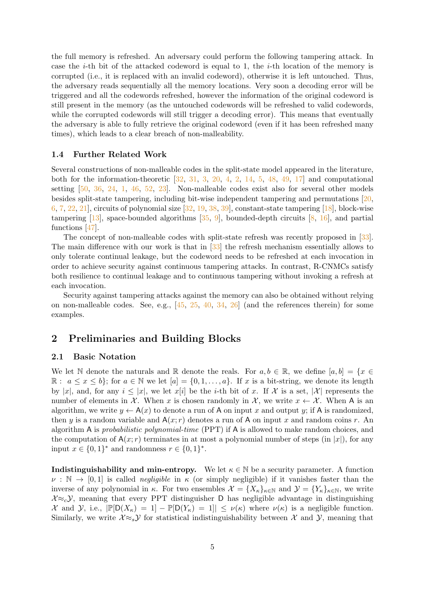the full memory is refreshed. An adversary could perform the following tampering attack. In case the *i*-th bit of the attacked codeword is equal to 1, the *i*-th location of the memory is corrupted (i.e., it is replaced with an invalid codeword), otherwise it is left untouched. Thus, the adversary reads sequentially all the memory locations. Very soon a decoding error will be triggered and all the codewords refreshed, however the information of the original codeword is still present in the memory (as the untouched codewords will be refreshed to valid codewords, while the corrupted codewords will still trigger a decoding error). This means that eventually the adversary is able to fully retrieve the original codeword (even if it has been refreshed many times), which leads to a clear breach of non-malleability.

### <span id="page-5-0"></span>1.4 Further Related Work

Several constructions of non-malleable codes in the split-state model appeared in the literature, both for the information-theoretic  $[32, 31, 3, 20, 4, 2, 14, 5, 48, 49, 17]$  $[32, 31, 3, 20, 4, 2, 14, 5, 48, 49, 17]$  $[32, 31, 3, 20, 4, 2, 14, 5, 48, 49, 17]$  $[32, 31, 3, 20, 4, 2, 14, 5, 48, 49, 17]$  $[32, 31, 3, 20, 4, 2, 14, 5, 48, 49, 17]$  $[32, 31, 3, 20, 4, 2, 14, 5, 48, 49, 17]$  $[32, 31, 3, 20, 4, 2, 14, 5, 48, 49, 17]$  $[32, 31, 3, 20, 4, 2, 14, 5, 48, 49, 17]$  $[32, 31, 3, 20, 4, 2, 14, 5, 48, 49, 17]$  $[32, 31, 3, 20, 4, 2, 14, 5, 48, 49, 17]$  $[32, 31, 3, 20, 4, 2, 14, 5, 48, 49, 17]$  $[32, 31, 3, 20, 4, 2, 14, 5, 48, 49, 17]$  $[32, 31, 3, 20, 4, 2, 14, 5, 48, 49, 17]$  $[32, 31, 3, 20, 4, 2, 14, 5, 48, 49, 17]$  $[32, 31, 3, 20, 4, 2, 14, 5, 48, 49, 17]$  $[32, 31, 3, 20, 4, 2, 14, 5, 48, 49, 17]$  $[32, 31, 3, 20, 4, 2, 14, 5, 48, 49, 17]$  $[32, 31, 3, 20, 4, 2, 14, 5, 48, 49, 17]$  $[32, 31, 3, 20, 4, 2, 14, 5, 48, 49, 17]$  $[32, 31, 3, 20, 4, 2, 14, 5, 48, 49, 17]$  $[32, 31, 3, 20, 4, 2, 14, 5, 48, 49, 17]$  and computational setting [\[50,](#page-50-1) [36,](#page-50-2) [24,](#page-49-2) [1,](#page-48-8) [46,](#page-50-7) [52,](#page-51-1) [23\]](#page-49-8). Non-malleable codes exist also for several other models besides split-state tampering, including bit-wise independent tampering and permutations [\[20,](#page-49-6) [6,](#page-48-9) [7,](#page-48-10) [22,](#page-49-9) [21\]](#page-49-10), circuits of polynomial size  $[32, 19, 38, 39]$  $[32, 19, 38, 39]$  $[32, 19, 38, 39]$  $[32, 19, 38, 39]$  $[32, 19, 38, 39]$  $[32, 19, 38, 39]$  $[32, 19, 38, 39]$ , constant-state tampering  $[18]$ , block-wise tampering [\[13\]](#page-48-11), space-bounded algorithms [\[35,](#page-50-10) [9\]](#page-48-12), bounded-depth circuits [\[8,](#page-48-13) [16\]](#page-48-14), and partial functions [\[47\]](#page-50-11).

The concept of non-malleable codes with split-state refresh was recently proposed in [\[33\]](#page-49-1). The main difference with our work is that in [\[33\]](#page-49-1) the refresh mechanism essentially allows to only tolerate continual leakage, but the codeword needs to be refreshed at each invocation in order to achieve security against continuous tampering attacks. In contrast, R-CNMCs satisfy both resilience to continual leakage and to continuous tampering without invoking a refresh at each invocation.

Security against tampering attacks against the memory can also be obtained without relying on non-malleable codes. See, e.g., [\[45,](#page-50-12) [25,](#page-49-13) [40,](#page-50-3) [34,](#page-49-14) [26\]](#page-49-15) (and the references therein) for some examples.

# <span id="page-5-1"></span>2 Preliminaries and Building Blocks

### <span id="page-5-2"></span>2.1 Basic Notation

We let N denote the naturals and R denote the reals. For  $a, b \in \mathbb{R}$ , we define  $[a, b] = \{x \in$  $\mathbb{R}: a \leq x \leq b$ ; for  $a \in \mathbb{N}$  we let  $[a] = \{0, 1, \ldots, a\}$ . If x is a bit-string, we denote its length by |x|, and, for any  $i \leq |x|$ , we let  $x[i]$  be the *i*-th bit of x. If X is a set, |X| represents the number of elements in X. When x is chosen randomly in X, we write  $x \leftarrow \mathcal{X}$ . When A is an algorithm, we write  $y \leftarrow A(x)$  to denote a run of A on input x and output y; if A is randomized, then y is a random variable and  $A(x; r)$  denotes a run of A on input x and random coins r. An algorithm A is *probabilistic polynomial-time* (PPT) if A is allowed to make random choices, and the computation of  $A(x; r)$  terminates in at most a polynomial number of steps (in |x|), for any input  $x \in \{0,1\}^*$  and randomness  $r \in \{0,1\}^*$ .

**Indistinguishability and min-entropy.** We let  $\kappa \in \mathbb{N}$  be a security parameter. A function  $\nu : \mathbb{N} \to [0,1]$  is called *negligible* in  $\kappa$  (or simply negligible) if it vanishes faster than the inverse of any polynomial in  $\kappa$ . For two ensembles  $\mathcal{X} = \{X_{\kappa}\}_{{\kappa} \in \mathbb{N}}$  and  $\mathcal{Y} = \{Y_{\kappa}\}_{{\kappa} \in \mathbb{N}}$ , we write  $X \approx c$ y, meaning that every PPT distinguisher D has negligible advantage in distinguishing X and Y, i.e.,  $|\mathbb{P}[D(X_{\kappa}) = 1] - \mathbb{P}[D(Y_{\kappa}) = 1]| \leq \nu(\kappa)$  where  $\nu(\kappa)$  is a negligible function. Similarly, we write  $\mathcal{X} \approx s \mathcal{Y}$  for statistical indistinguishability between X and Y, meaning that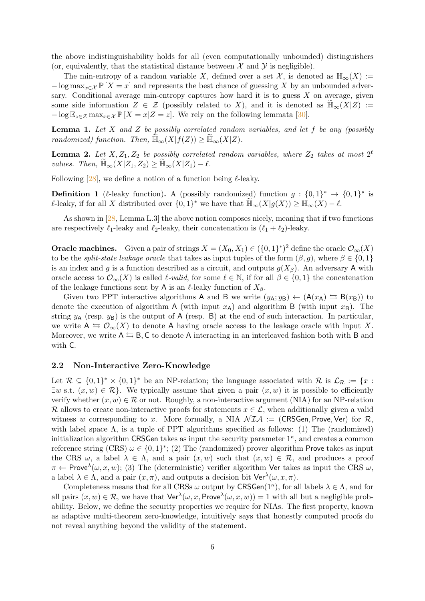the above indistinguishability holds for all (even computationally unbounded) distinguishers (or, equivalently, that the statistical distance between  $\mathcal X$  and  $\mathcal Y$  is negligible).

The min-entropy of a random variable X, defined over a set X, is denoted as  $\mathbb{H}_{\infty}(X) :=$  $-\log \max_{x \in \mathcal{X}} \mathbb{P}[X=x]$  and represents the best chance of guessing X by an unbounded adversary. Conditional average min-entropy captures how hard it is to guess  $X$  on average, given some side information  $Z \in \mathcal{Z}$  (possibly related to X), and it is denoted as  $\mathbb{H}_{\infty}(X|Z) :=$  $-\log \mathbb{E}_{z\in \mathcal{Z}} \max_{x\in \mathcal{X}} \mathbb{P}[X=x|Z=z]$ . We rely on the following lemmata [\[30\]](#page-49-16).

<span id="page-6-1"></span>**Lemma 1.** Let X and Z be possibly correlated random variables, and let f be any (possibly randomized) function. Then,  $\mathbb{H}_{\infty}(X|f(Z)) \geq \mathbb{H}_{\infty}(X|Z)$ .

<span id="page-6-2"></span>**Lemma 2.** Let  $X, Z_1, Z_2$  be possibly correlated random variables, where  $Z_2$  takes at most  $2^k$ values. Then,  $\mathbb{H}_{\infty}(X|Z_1, Z_2) \geq \mathbb{H}_{\infty}(X|Z_1) - \ell$ .

Following  $[28]$ , we define a notion of a function being  $\ell$ -leaky.

**Definition 1** ( $\ell$ -leaky function). A (possibly randomized) function  $g : \{0,1\}^* \to \{0,1\}^*$  is  $\ell$ -leaky, if for all X distributed over  $\{0, 1\}^*$  we have that  $\widetilde{\mathbb{H}}_{\infty}(X|g(X)) \geq \mathbb{H}_{\infty}(X) - \ell$ .

As shown in [\[28,](#page-49-17) Lemma L.3] the above notion composes nicely, meaning that if two functions are respectively  $\ell_1$ -leaky and  $\ell_2$ -leaky, their concatenation is  $(\ell_1 + \ell_2)$ -leaky.

**Oracle machines.** Given a pair of strings  $X = (X_0, X_1) \in (\{0, 1\}^*)^2$  define the oracle  $\mathcal{O}_{\infty}(X)$ to be the *split-state leakage oracle* that takes as input tuples of the form  $(\beta, g)$ , where  $\beta \in \{0, 1\}$ is an index and g is a function described as a circuit, and outputs  $g(X_{\beta})$ . An adversary A with oracle access to  $\mathcal{O}_{\infty}(X)$  is called  $\ell$ -valid, for some  $\ell \in \mathbb{N}$ , if for all  $\beta \in \{0, 1\}$  the concatenation of the leakage functions sent by A is an  $\ell$ -leaky function of  $X_{\beta}$ .

Given two PPT interactive algorithms A and B we write  $(y_A; y_B) \leftarrow (A(x_A) \leq B(x_B))$  to denote the execution of algorithm A (with input  $x_A$ ) and algorithm B (with input  $x_B$ ). The string  $y_A$  (resp.  $y_B$ ) is the output of A (resp. B) at the end of such interaction. In particular, we write  $A \leftrightarrows \mathcal{O}_{\infty}(X)$  to denote A having oracle access to the leakage oracle with input X. Moreover, we write  $A \leftrightarrows B$ , C to denote A interacting in an interleaved fashion both with B and with C.

### <span id="page-6-0"></span>2.2 Non-Interactive Zero-Knowledge

Let  $\mathcal{R} \subseteq \{0,1\}^* \times \{0,1\}^*$  be an NP-relation; the language associated with  $\mathcal{R}$  is  $\mathcal{L}_{\mathcal{R}} := \{x :$  $\exists w \text{ s.t. } (x, w) \in \mathcal{R}$ . We typically assume that given a pair  $(x, w)$  it is possible to efficiently verify whether  $(x, w) \in \mathcal{R}$  or not. Roughly, a non-interactive argument (NIA) for an NP-relation R allows to create non-interactive proofs for statements  $x \in \mathcal{L}$ , when additionally given a valid witness w corresponding to x. More formally, a NIA  $NIA := (CRSGen, Prove, Ver)$  for R, with label space  $\Lambda$ , is a tuple of PPT algorithms specified as follows: (1) The (randomized) initialization algorithm CRSGen takes as input the security parameter  $1<sup>\kappa</sup>$ , and creates a common reference string (CRS)  $\omega \in \{0,1\}^*$ ; (2) The (randomized) prover algorithm Prove takes as input the CRS  $\omega$ , a label  $\lambda \in \Lambda$ , and a pair  $(x, w)$  such that  $(x, w) \in \mathcal{R}$ , and produces a proof  $\pi \leftarrow \text{Prove}^{\lambda}(\omega, x, w);$  (3) The (deterministic) verifier algorithm Ver takes as input the CRS  $\omega$ , a label  $\lambda \in \Lambda$ , and a pair  $(x, \pi)$ , and outputs a decision bit  $\text{Ver}^{\lambda}(\omega, x, \pi)$ .

Completeness means that for all CRSs  $\omega$  output by CRSGen(1<sup> $\kappa$ </sup>), for all labels  $\lambda \in \Lambda$ , and for all pairs  $(x, w) \in \mathcal{R}$ , we have that  $\text{Ver}^{\lambda}(\omega, x, \text{Prove}^{\lambda}(\omega, x, w)) = 1$  with all but a negligible probability. Below, we define the security properties we require for NIAs. The first property, known as adaptive multi-theorem zero-knowledge, intuitively says that honestly computed proofs do not reveal anything beyond the validity of the statement.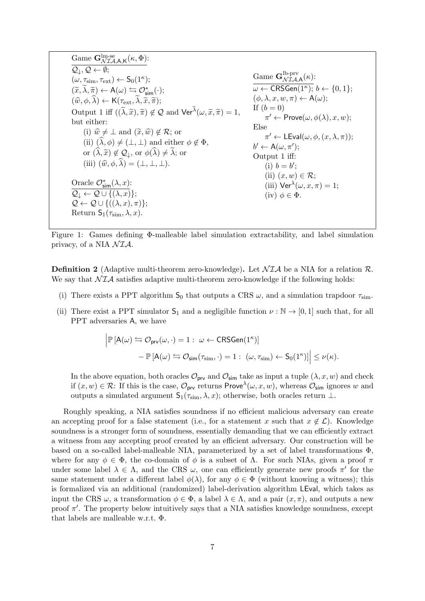<span id="page-7-0"></span>Game  $\mathbf{G}^{\text{lm-se}}_{\mathcal{NIA},\mathsf{A},\mathsf{K}}(\kappa,\Phi)$ :  $Q_1, Q_2 \leftarrow \emptyset;$  $(\omega, \tau_{sim}, \tau_{ext}) \leftarrow S_0(1^{\kappa});$  $(\widetilde{x}, \widetilde{\lambda}, \widetilde{\pi}) \leftarrow A(\omega) \leftrightarrows \mathcal{O}_{\text{sim}}^*(\cdot);$  $(\widehat{w}, \phi, \widehat{\lambda}) \leftarrow \mathsf{K}(\tau_{\mathrm{ext}}, \widetilde{\lambda}, \widetilde{x}, \widetilde{\pi});$ Output 1 iff  $((\tilde{\lambda}, \tilde{x}), \tilde{\pi}) \notin \mathcal{Q}$  and  $\text{Ver}^{\lambda}(\omega, \tilde{x}, \tilde{\pi}) = 1$ ,<br>but either but either: (i)  $\widehat{w} \neq \bot$  and  $(\widetilde{x}, \widehat{w}) \notin \mathcal{R}$ ; or (ii)  $(\widehat{\lambda}, \phi) \neq (\perp, \perp)$  and either  $\phi \notin \Phi$ , or  $(\widehat{\lambda}, \widetilde{x}) \notin \mathcal{Q}_{\downarrow}$ , or  $\phi(\widehat{\lambda}) \neq \widetilde{\lambda}$ ; or (iii)  $(\widehat{w}, \phi, \widehat{\lambda}) = (\perp, \perp, \perp).$ Oracle  $\mathcal{O}_{\text{sim}}^*(\lambda, x)$ :  $\mathcal{Q}_{\downarrow} \leftarrow \mathcal{Q} \cup \{(\lambda, x)\};$  $\mathcal{Q} \leftarrow \mathcal{Q} \cup \{((\lambda, x), \pi)\};$ Return  $S_1(\tau_{\text{sim}}, \lambda, x)$ . Game  $\mathbf{G}^{\text{lb-prv}}_{\text{NTA}}$  $\mathcal{NIA}_{\mathcal{A},\mathsf{A}}^{ID\text{-}\mathrm{prv}}(\kappa)$ :  $\overline{\omega \leftarrow \mathsf{CRSGen}(1^\kappa);}\ b \leftarrow \{0,1\};$  $(\phi, \lambda, x, w, \pi) \leftarrow A(\omega);$ If  $(b=0)$  $\pi' \leftarrow \text{Prove}(\omega, \phi(\lambda), x, w);$ Else  $\pi' \leftarrow \mathsf{LEval}(\omega, \phi, (x, \lambda, \pi));$  $b' \leftarrow A(\omega, \pi')$ ; Output 1 iff: (i)  $b = b'$ ; (ii)  $(x, w) \in \mathcal{R}$ ; (iii)  $\text{Ver}^{\lambda}(\omega, x, \pi) = 1;$ (iv)  $\phi \in \Phi$ .

Figure 1: Games defining Φ-malleable label simulation extractability, and label simulation privacy, of a NIA  $NIA$ .

<span id="page-7-1"></span>**Definition 2** (Adaptive multi-theorem zero-knowledge). Let  $NIA$  be a NIA for a relation R. We say that  $NIA$  satisfies adaptive multi-theorem zero-knowledge if the following holds:

- (i) There exists a PPT algorithm  $S_0$  that outputs a CRS  $\omega$ , and a simulation trapdoor  $\tau_{sim}$ .
- (ii) There exist a PPT simulator  $S_1$  and a negligible function  $\nu : \mathbb{N} \to [0, 1]$  such that, for all PPT adversaries A, we have

$$
\begin{aligned} \Big| \mathbb{P} \left[ A(\omega) \stackrel{\longleftarrow}{\rightarrow} \mathcal{O}_{\mathsf{prv}}(\omega, \cdot) = 1: \ \omega \leftarrow \mathsf{CRSGen}(1^{\kappa}) \right] \\ &- \mathbb{P} \left[ A(\omega) \stackrel{\longleftarrow}{\rightarrow} \mathcal{O}_{\mathsf{sim}}(\tau_{\mathsf{sim}}, \cdot) = 1: \ (\omega, \tau_{\mathsf{sim}}) \leftarrow S_0(1^{\kappa}) \right] \Big| \leq \nu(\kappa). \end{aligned}
$$

In the above equation, both oracles  $\mathcal{O}_{\text{prv}}$  and  $\mathcal{O}_{\text{sim}}$  take as input a tuple  $(\lambda, x, w)$  and check if  $(x, w) \in \mathcal{R}$ : If this is the case,  $\mathcal{O}_{\text{prv}}$  returns Prove<sup> $\lambda(\omega, x, w)$ , whereas  $\mathcal{O}_{\text{sim}}$  ignores w and</sup> outputs a simulated argument  $S_1(\tau_{sim}, \lambda, x)$ ; otherwise, both oracles return  $\bot$ .

Roughly speaking, a NIA satisfies soundness if no efficient malicious adversary can create an accepting proof for a false statement (i.e., for a statement x such that  $x \notin \mathcal{L}$ ). Knowledge soundness is a stronger form of soundness, essentially demanding that we can efficiently extract a witness from any accepting proof created by an efficient adversary. Our construction will be based on a so-called label-malleable NIA, parameterized by a set of label transformations Φ, where for any  $\phi \in \Phi$ , the co-domain of  $\phi$  is a subset of  $\Lambda$ . For such NIAs, given a proof  $\pi$ under some label  $\lambda \in \Lambda$ , and the CRS  $\omega$ , one can efficiently generate new proofs  $\pi'$  for the same statement under a different label  $\phi(\lambda)$ , for any  $\phi \in \Phi$  (without knowing a witness); this is formalized via an additional (randomized) label-derivation algorithm LEval, which takes as input the CRS  $\omega$ , a transformation  $\phi \in \Phi$ , a label  $\lambda \in \Lambda$ , and a pair  $(x, \pi)$ , and outputs a new proof  $\pi'$ . The property below intuitively says that a NIA satisfies knowledge soundness, except that labels are malleable w.r.t. Φ.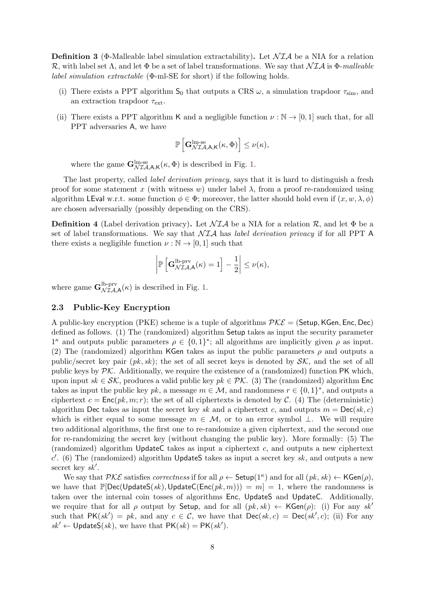<span id="page-8-1"></span>**Definition 3** (Φ-Malleable label simulation extractability). Let  $NIA$  be a NIA for a relation R, with label set  $\Lambda$ , and let  $\Phi$  be a set of label transformations. We say that  $\mathcal{NIA}$  is  $\Phi$ -malleable label simulation extractable (Φ-ml-SE for short) if the following holds.

- (i) There exists a PPT algorithm  $S_0$  that outputs a CRS  $\omega$ , a simulation trapdoor  $\tau_{sim}$ , and an extraction trapdoor  $\tau_{\text{ext}}$ .
- (ii) There exists a PPT algorithm K and a negligible function  $\nu : \mathbb{N} \to [0,1]$  such that, for all PPT adversaries A, we have

$$
\mathbb{P}\left[\mathbf{G}_{\mathcal{NIA},\mathsf{A},\mathsf{K}}^{\mathrm{l m-se}}(\kappa,\Phi)\right] \leq \nu(\kappa),
$$

where the game  $\mathbf{G}_{\mathcal{NIA},\mathsf{A},\mathsf{K}}^{\mathrm{lm-se}}(\kappa,\Phi)$  is described in Fig. [1.](#page-7-0)

The last property, called *label derivation privacy*, says that it is hard to distinguish a fresh proof for some statement x (with witness w) under label  $\lambda$ , from a proof re-randomized using algorithm LEval w.r.t. some function  $\phi \in \Phi$ ; moreover, the latter should hold even if  $(x, w, \lambda, \phi)$ are chosen adversarially (possibly depending on the CRS).

<span id="page-8-2"></span>**Definition 4** (Label derivation privacy). Let  $NIA$  be a NIA for a relation R, and let  $\Phi$  be a set of label transformations. We say that  $NIA$  has label derivation privacy if for all PPT A there exists a negligible function  $\nu : \mathbb{N} \to [0, 1]$  such that

$$
\left| \mathbb{P}\left[\mathbf{G}_{\mathcal{NIA},\mathsf{A}}^{\mathsf{lb-prv}}(\kappa)=1 \right]-\frac{1}{2} \right| \leq \nu(\kappa),
$$

where game  $\mathbf{G}^{\text{lb-pro}}_{\mathcal{NTA}}$  $\mathcal{NIA}_{\mathcal{A},\mathsf{A}}(\kappa)$  is described in Fig. [1.](#page-7-0)

### <span id="page-8-0"></span>2.3 Public-Key Encryption

A public-key encryption (PKE) scheme is a tuple of algorithms  $\mathcal{PKE} =$  (Setup, KGen, Enc, Dec) defined as follows. (1) The (randomized) algorithm Setup takes as input the security parameter 1<sup>*κ*</sup> and outputs public parameters  $\rho \in \{0,1\}^*$ ; all algorithms are implicitly given  $\rho$  as input. (2) The (randomized) algorithm KGen takes as input the public parameters  $\rho$  and outputs a public/secret key pair  $(pk, sk)$ ; the set of all secret keys is denoted by  $\mathcal{SK}$ , and the set of all public keys by  $\mathcal{P}\mathcal{K}$ . Additionally, we require the existence of a (randomized) function PK which, upon input  $sk \in \mathcal{SK}$ , produces a valid public key  $pk \in \mathcal{PK}$ . (3) The (randomized) algorithm Enc takes as input the public key pk, a message  $m \in \mathcal{M}$ , and randomness  $r \in \{0,1\}^*$ , and outputs a ciphertext  $c = \text{Enc}(pk, m; r)$ ; the set of all ciphertexts is denoted by C. (4) The (deterministic) algorithm Dec takes as input the secret key sk and a ciphertext c, and outputs  $m = \text{Dec}(sk, c)$ which is either equal to some message  $m \in \mathcal{M}$ , or to an error symbol  $\perp$ . We will require two additional algorithms, the first one to re-randomize a given ciphertext, and the second one for re-randomizing the secret key (without changing the public key). More formally: (5) The  $(randomized)$  algorithm UpdateC takes as input a ciphertext c, and outputs a new ciphertext  $c'$ . (6) The (randomized) algorithm UpdateS takes as input a secret key sk, and outputs a new secret key  $sk'$ .

We say that  $\mathcal{PKE}$  satisfies *correctness* if for all  $\rho \leftarrow$  Setup(1<sup> $\kappa$ </sup>) and for all  $(pk, sk) \leftarrow$  KGen( $\rho$ ), we have that  $\mathbb{P}[\text{Dec}(\text{UpdateS}(sk), \text{UpdateC}(\text{Enc}(pk, m))) = m] = 1$ , where the randomness is taken over the internal coin tosses of algorithms Enc, UpdateS and UpdateC. Additionally, we require that for all  $\rho$  output by Setup, and for all  $(pk, sk) \leftarrow \mathsf{KGen}(\rho)$ : (i) For any sk<sup>t</sup> such that  $PK(sk') = pk$ , and any  $c \in \mathcal{C}$ , we have that  $Dec(sk, c) = Dec(sk', c)$ ; (ii) For any  $sk' \leftarrow$  UpdateS(sk), we have that  $PK(sk) = PK(sk')$ .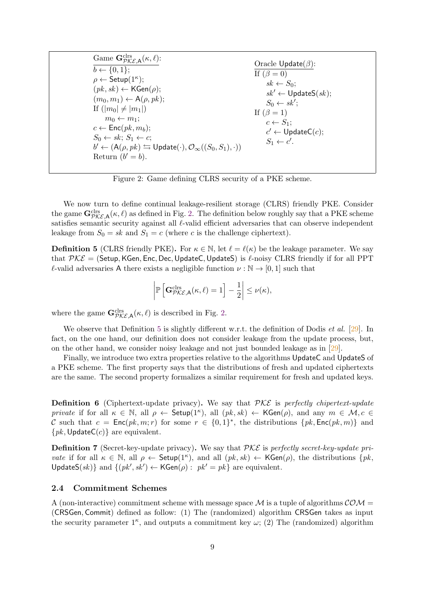<span id="page-9-1"></span>Game  $\mathbf{G}^{\text{clrs}}_{\mathcal{PKE},\mathsf{A}}(\kappa,\ell)$ :  $b \leftarrow \{0, 1\}$ :  $\rho \leftarrow$  Setup $(1^{\kappa});$  $(pk, sk) \leftarrow \mathsf{KGen}(\rho);$  $(m_0, m_1) \leftarrow A(\rho, pk);$ If  $(|m_0| \neq |m_1|)$  $m_0 \leftarrow m_1$ ;  $c \leftarrow \mathsf{Enc}(pk, m_b);$  $S_0 \leftarrow sk; S_1 \leftarrow c;$  $b' \leftarrow (A(\rho, pk) \leftrightarrows \mathsf{Update}(\cdot), \mathcal{O}_{\infty}((S_0, S_1), \cdot))$ Return  $(b' = b)$ . Oracle Update( $\beta$ ): If  $(\beta = 0)$  $sk \leftarrow S_0$ ;  $sk' \leftarrow$  UpdateS(sk);  $S_0 \leftarrow sk';$ If  $(\beta = 1)$  $c \leftarrow S_1$ ;  $c' \leftarrow$  UpdateC(c);  $S_1 \leftarrow c'.$ 

Figure 2: Game defining CLRS security of a PKE scheme.

We now turn to define continual leakage-resilient storage (CLRS) friendly PKE. Consider the game  $\mathbf{G}^{\text{clrs}}_{\mathcal{PKE},\mathsf{A}}(\kappa,\ell)$  as defined in Fig. [2.](#page-9-1) The definition below roughly say that a PKE scheme satisfies semantic security against all  $\ell$ -valid efficient adversaries that can observe independent leakage from  $S_0 = sk$  and  $S_1 = c$  (where c is the challenge ciphertext).

<span id="page-9-2"></span>**Definition 5** (CLRS friendly PKE). For  $\kappa \in \mathbb{N}$ , let  $\ell = \ell(\kappa)$  be the leakage parameter. We say that  $PKE =$  (Setup, KGen, Enc, Dec, UpdateC, UpdateS) is  $\ell$ -noisy CLRS friendly if for all PPT  $\ell$ -valid adversaries A there exists a negligible function  $\nu : \mathbb{N} \to [0, 1]$  such that

$$
\left| \mathbb{P}\left[\mathbf{G}^{\mathrm{clrs}}_{\mathcal{PKE},\mathsf{A}}(\kappa,\ell) = 1 \right] - \frac{1}{2} \right| \leq \nu(\kappa),
$$

where the game  $\mathbf{G}^{\text{clrs}}_{\mathcal{PKE},\mathsf{A}}(\kappa,\ell)$  is described in Fig. [2.](#page-9-1)

We observe that Definition [5](#page-9-2) is slightly different w.r.t. the definition of Dodis *et al.* [\[29\]](#page-49-3). In fact, on the one hand, our definition does not consider leakage from the update process, but, on the other hand, we consider noisy leakage and not just bounded leakage as in [\[29\]](#page-49-3).

Finally, we introduce two extra properties relative to the algorithms UpdateC and UpdateS of a PKE scheme. The first property says that the distributions of fresh and updated ciphertexts are the same. The second property formalizes a similar requirement for fresh and updated keys.

<span id="page-9-4"></span>**Definition 6** (Ciphertext-update privacy). We say that  $PKE$  is perfectly chipertext-update private if for all  $\kappa \in \mathbb{N}$ , all  $\rho \leftarrow$  Setup $(1^{\kappa})$ , all  $(pk, sk) \leftarrow$  KGen $(\rho)$ , and any  $m \in \mathcal{M}, c \in$ C such that  $c = \text{Enc}(pk, m; r)$  for some  $r \in \{0, 1\}^*$ , the distributions  $\{pk, \text{Enc}(pk, m)\}\$  and  $\{pk, \text{UpdateC}(c)\}\$  are equivalent.

<span id="page-9-3"></span>**Definition 7** (Secret-key-update privacy). We say that  $\mathcal{PKE}$  is perfectly secret-key-update pri*vate* if for all  $\kappa \in \mathbb{N}$ , all  $\rho \leftarrow$  Setup(1<sup> $\kappa$ </sup>), and all  $(pk, sk) \leftarrow$  KGen( $\rho$ ), the distributions {pk, UpdateS(sk)} and  $\{(pk', sk') \leftarrow \mathsf{KGen}(\rho) : pk' = pk\}$  are equivalent.

#### <span id="page-9-0"></span>2.4 Commitment Schemes

A (non-interactive) commitment scheme with message space  $\mathcal M$  is a tuple of algorithms  $\mathcal{COM} =$ (CRSGen, Commit) defined as follow: (1) The (randomized) algorithm CRSGen takes as input the security parameter  $1^{\kappa}$ , and outputs a commitment key  $\omega$ ; (2) The (randomized) algorithm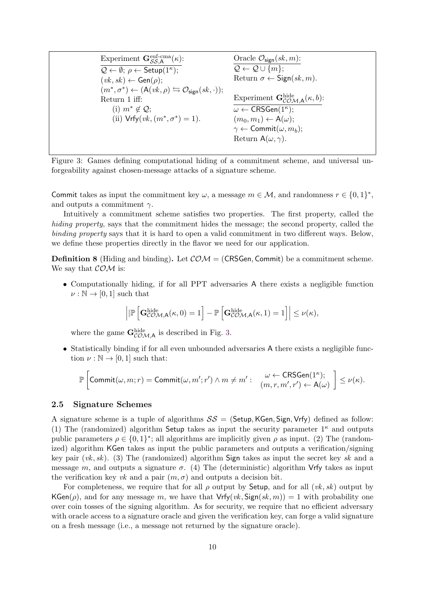<span id="page-10-1"></span>

| Experiment $\mathbf{G}_{SS,A}^{\text{euf-cma}}(\kappa)$ :                                         | Oracle $\mathcal{O}_{sign}(sk,m)$ :                                 |
|---------------------------------------------------------------------------------------------------|---------------------------------------------------------------------|
| $\mathcal{Q} \leftarrow \emptyset$ ; $\rho \leftarrow$ Setup $(1^{\kappa})$ ;                     | $Q \leftarrow Q \cup \{m\};$                                        |
| $(vk, sk) \leftarrow$ Gen $(\rho)$ ;                                                              | Return $\sigma \leftarrow$ Sign(sk, m).                             |
| $(m^*, \sigma^*) \leftarrow (A(vk, \rho) \leftrightarrows \mathcal{O}_{\text{sign}}(sk, \cdot));$ |                                                                     |
| Return 1 iff:                                                                                     | Experiment $\mathbf{G}_{\mathcal{COMA}}^{\text{hide}}(\kappa, b)$ : |
| (i) $m^* \notin \mathcal{Q}$ ;                                                                    | $\omega \leftarrow \mathsf{CRSGen}(1^\kappa);$                      |
| (ii) $Vrfy(vk, (m^*, \sigma^*) = 1)$ .                                                            | $(m_0, m_1) \leftarrow A(\omega);$                                  |
|                                                                                                   | $\gamma \leftarrow \text{Commit}(\omega, m_b);$                     |
|                                                                                                   | Return $A(\omega, \gamma)$ .                                        |
|                                                                                                   |                                                                     |

Figure 3: Games defining computational hiding of a commitment scheme, and universal unforgeability against chosen-message attacks of a signature scheme.

Commit takes as input the commitment key  $\omega$ , a message  $m \in \mathcal{M}$ , and randomness  $r \in \{0,1\}^*$ , and outputs a commitment  $\gamma$ .

Intuitively a commitment scheme satisfies two properties. The first property, called the hiding property, says that the commitment hides the message; the second property, called the binding property says that it is hard to open a valid commitment in two different ways. Below, we define these properties directly in the flavor we need for our application.

<span id="page-10-2"></span>**Definition 8** (Hiding and binding). Let  $COM = (CRSGen, Commit)$  be a commitment scheme. We say that  $\mathcal{COM}$  is:

• Computationally hiding, if for all PPT adversaries A there exists a negligible function  $\nu : \mathbb{N} \to [0, 1]$  such that

$$
\left|\left|\mathbb{P}\left[\mathbf{G}^{\text{hide}}_{\mathcal{COM},\mathsf{A}}(\kappa,0)=1\right]-\mathbb{P}\left[\mathbf{G}^{\text{hide}}_{\mathcal{COM},\mathsf{A}}(\kappa,1)=1\right]\right|\leq\nu(\kappa),
$$

where the game  $\mathbf{G}_{\mathcal{COM},\mathsf{A}}^{\text{hide}}$  is described in Fig. [3.](#page-10-1)

• Statistically binding if for all even unbounded adversaries A there exists a negligible function  $\nu : \mathbb{N} \to [0,1]$  such that:

$$
\mathbb{P}\left[\mathsf{Commit}(\omega,m;r) = \mathsf{Commit}(\omega,m';r') \land m \neq m': \begin{array}{c} \omega \leftarrow \mathsf{CRSGen}(1^\kappa); \\ (m,r,m',r') \leftarrow \mathsf{A}(\omega) \end{array}\right] \leq \nu(\kappa).
$$

### <span id="page-10-0"></span>2.5 Signature Schemes

A signature scheme is a tuple of algorithms  $SS = (Setup, KGen, Sign, Vrfy)$  defined as follow: (1) The (randomized) algorithm Setup takes as input the security parameter  $1^k$  and outputs public parameters  $\rho \in \{0,1\}^*$ ; all algorithms are implicitly given  $\rho$  as input. (2) The (randomized) algorithm KGen takes as input the public parameters and outputs a verification/signing key pair  $(v, sk)$ . (3) The (randomized) algorithm Sign takes as input the secret key sk and a message m, and outputs a signature  $\sigma$ . (4) The (deterministic) algorithm Vrfy takes as input the verification key vk and a pair  $(m, \sigma)$  and outputs a decision bit.

For completeness, we require that for all  $\rho$  output by Setup, and for all  $(vk, sk)$  output by KGen( $\rho$ ), and for any message m, we have that  $Vrfy(vk, Sign(sk, m)) = 1$  with probability one over coin tosses of the signing algorithm. As for security, we require that no efficient adversary with oracle access to a signature oracle and given the verification key, can forge a valid signature on a fresh message (i.e., a message not returned by the signature oracle).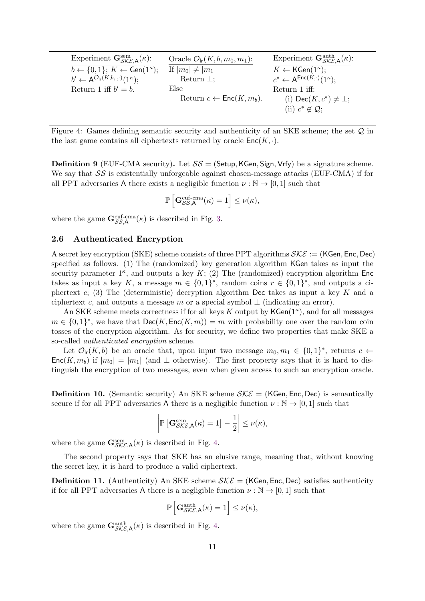<span id="page-11-1"></span>

| Experiment $\mathbf{G}^{\text{sem}}_{\mathcal{SKE},\mathsf{A}}(\kappa)$ :      | Oracle $\mathcal{O}_{{\rm lr}}(K, b, m_0, m_1)$ : | Experiment $\mathbf{G}_{SKE}^{\text{auth}}(\kappa)$ :     |
|--------------------------------------------------------------------------------|---------------------------------------------------|-----------------------------------------------------------|
| $b \leftarrow \{0,1\}; K \leftarrow \mathsf{Gen}(1^{\kappa});$                 | If $ m_0  \neq  m_1 $                             | $K \leftarrow \mathsf{KGen}(1^{\kappa});$                 |
| $b' \leftarrow A^{\mathcal{O}_{\mathsf{lr}}(K, b, \cdot, \cdot)}(1^{\kappa});$ | Return $\perp$ ;                                  | $c^* \leftarrow A^{\mathsf{Enc}(K, \cdot)}(1^{\kappa})$ : |
| Return 1 iff $b' = b$ .                                                        | Else                                              | Return 1 iff:                                             |
|                                                                                | Return $c \leftarrow \text{Enc}(K, m_b)$ .        | (i) Dec $(K, c^*) \neq \perp$ ;                           |
|                                                                                |                                                   | (ii) $c^* \notin \mathcal{Q}$ ;                           |
|                                                                                |                                                   |                                                           |

Figure 4: Games defining semantic security and authenticity of an SKE scheme; the set Q in the last game contains all ciphertexts returned by oracle  $\mathsf{Enc}(K, \cdot)$ .

**Definition 9** (EUF-CMA security). Let  $SS = (Setup, KGen, Sign, Vrfy)$  be a signature scheme. We say that  $SS$  is existentially unforgeable against chosen-message attacks (EUF-CMA) if for all PPT adversaries A there exists a negligible function  $\nu : \mathbb{N} \to [0, 1]$  such that

$$
\mathbb{P}\left[\mathbf{G}_{\mathcal{SS},\mathsf{A}}^{\text{euf-cma}}(\kappa)=1\right] \leq \nu(\kappa),
$$

where the game  $\mathbf{G}^{\text{euf-cma}}_{SS,A}(\kappa)$  is described in Fig. [3.](#page-10-1)

### <span id="page-11-0"></span>2.6 Authenticated Encryption

A secret key encryption (SKE) scheme consists of three PPT algorithms  $\mathcal{SKE} := (KGen, Enc, Dec)$ specified as follows. (1) The (randomized) key generation algorithm KGen takes as input the security parameter  $1^{\kappa}$ , and outputs a key  $K$ ; (2) The (randomized) encryption algorithm Enc takes as input a key K, a message  $m \in \{0,1\}^*$ , random coins  $r \in \{0,1\}^*$ , and outputs a ciphertext c; (3) The (deterministic) decryption algorithm Dec takes as input a key K and a ciphertext c, and outputs a message m or a special symbol  $\perp$  (indicating an error).

An SKE scheme meets correctness if for all keys  $K$  output by  $\mathsf{KGen}(1^{\kappa})$ , and for all messages  $m \in \{0,1\}^*$ , we have that  $\mathsf{Dec}(K,\mathsf{Enc}(K,m)) = m$  with probability one over the random coin tosses of the encryption algorithm. As for security, we define two properties that make SKE a so-called authenticated encryption scheme.

Let  $\mathcal{O}_{lr}(K,b)$  be an oracle that, upon input two message  $m_0, m_1 \in \{0,1\}^*$ , returns  $c \leftarrow$  $\textsf{Enc}(K, m_b)$  if  $|m_0| = |m_1|$  (and  $\perp$  otherwise). The first property says that it is hard to distinguish the encryption of two messages, even when given access to such an encryption oracle.

**Definition 10.** (Semantic security) An SKE scheme  $\mathcal{SKE} = (KGen, Enc, Dec)$  is semantically secure if for all PPT adversaries A there is a negligible function  $\nu : \mathbb{N} \to [0, 1]$  such that

$$
\left| \mathbb{P} \left[ \mathbf{G}_{\mathcal{SKE}, \mathsf{A}}^{\text{sem}}(\kappa) = 1 \right] - \frac{1}{2} \right| \leq \nu(\kappa),
$$

where the game  $\mathbf{G}^{\text{sem}}_{\mathcal{S}\mathcal{K}\mathcal{E},\mathsf{A}}(\kappa)$  is described in Fig. [4.](#page-11-1)

The second property says that SKE has an elusive range, meaning that, without knowing the secret key, it is hard to produce a valid ciphertext.

**Definition 11.** (Authenticity) An SKE scheme  $SKE = (KGen, Enc, Dec)$  satisfies authenticity if for all PPT adversaries A there is a negligible function  $\nu : \mathbb{N} \to [0,1]$  such that

$$
\mathbb{P}\left[\mathbf{G}_{\mathcal{S}\mathcal{K}\mathcal{E},\mathsf{A}}^{\text{auth}}(\kappa)=1\right] \leq \nu(\kappa),
$$

where the game  $\mathbf{G}_{\mathcal{S}\mathcal{K}\mathcal{E},\mathsf{A}}^{\text{auth}}(\kappa)$  is described in Fig. [4.](#page-11-1)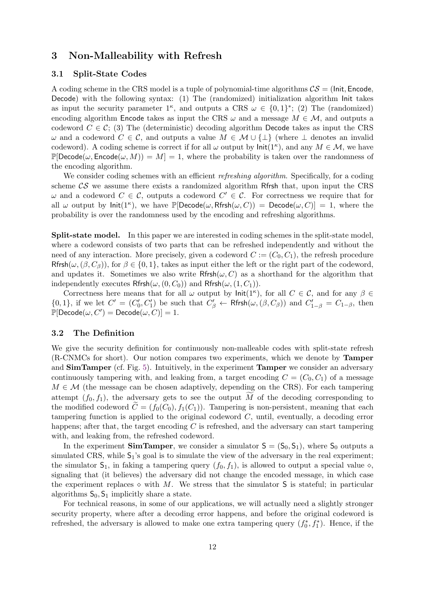# <span id="page-12-0"></span>3 Non-Malleability with Refresh

# <span id="page-12-1"></span>3.1 Split-State Codes

A coding scheme in the CRS model is a tuple of polynomial-time algorithms  $\mathcal{CS} =$  (lnit, Encode, Decode) with the following syntax: (1) The (randomized) initialization algorithm Init takes as input the security parameter  $1^{\kappa}$ , and outputs a CRS  $\omega \in \{0,1\}^*$ ; (2) The (randomized) encoding algorithm Encode takes as input the CRS  $\omega$  and a message  $M \in \mathcal{M}$ , and outputs a codeword  $C \in \mathcal{C}$ ; (3) The (deterministic) decoding algorithm Decode takes as input the CRS  $\omega$  and a codeword  $C \in \mathcal{C}$ , and outputs a value  $M \in \mathcal{M} \cup \{\perp\}$  (where ⊥ denotes an invalid codeword). A coding scheme is correct if for all  $\omega$  output by  $\text{Init}(1^{\kappa})$ , and any  $M \in \mathcal{M}$ , we have  $\mathbb{P}[\text{Decode}(\omega, \text{Encode}(\omega, M)) = M] = 1$ , where the probability is taken over the randomness of the encoding algorithm.

We consider coding schemes with an efficient *refreshing algorithm*. Specifically, for a coding scheme  $\mathcal{CS}$  we assume there exists a randomized algorithm Rfrsh that, upon input the CRS  $\omega$  and a codeword  $C \in \mathcal{C}$ , outputs a codeword  $C' \in \mathcal{C}$ . For correctness we require that for all  $\omega$  output by  $Init(1^{\kappa})$ , we have  $\mathbb{P}[\mathsf{Decode}(\omega, \mathsf{Rfrsh}(\omega, C))] = \mathsf{Decode}(\omega, C)] = 1$ , where the probability is over the randomness used by the encoding and refreshing algorithms.

Split-state model. In this paper we are interested in coding schemes in the split-state model, where a codeword consists of two parts that can be refreshed independently and without the need of any interaction. More precisely, given a codeword  $C := (C_0, C_1)$ , the refresh procedure  $Rfrsh(\omega, (\beta, C_\beta))$ , for  $\beta \in \{0, 1\}$ , takes as input either the left or the right part of the codeword, and updates it. Sometimes we also write  $Rfrsh(\omega, C)$  as a shorthand for the algorithm that independently executes Rfrsh $(\omega,(0,C_0))$  and Rfrsh $(\omega,(1,C_1))$ .

Correctness here means that for all  $\omega$  output by  $Init(1^{\kappa})$ , for all  $C \in \mathcal{C}$ , and for any  $\beta \in$  $\{0,1\}$ , if we let  $C' = (C'_0, C'_1)$  be such that  $C'_\beta \leftarrow$  Rfrsh $(\omega, (\beta, C_\beta))$  and  $C'_{1-\beta} = C_{1-\beta}$ , then  $\mathbb{P}[\mathsf{Decode}(\omega, C') = \mathsf{Decode}(\omega, C)] = 1.$ 

#### <span id="page-12-2"></span>3.2 The Definition

We give the security definition for continuously non-malleable codes with split-state refresh (R-CNMCs for short). Our notion compares two experiments, which we denote by Tamper and SimTamper (cf. Fig. [5\)](#page-13-0). Intuitively, in the experiment Tamper we consider an adversary continuously tampering with, and leaking from, a target encoding  $C = (C_0, C_1)$  of a message  $M \in \mathcal{M}$  (the message can be chosen adaptively, depending on the CRS). For each tampering attempt  $(f_0, f_1)$ , the adversary gets to see the output M of the decoding corresponding to the modified codeword  $\tilde{C} = (f_0(C_0), f_1(C_1))$ . Tampering is non-persistent, meaning that each tampering function is applied to the original codeword C, until, eventually, a decoding error happens; after that, the target encoding  $C$  is refreshed, and the adversary can start tampering with, and leaking from, the refreshed codeword.

In the experiment **SimTamper**, we consider a simulator  $S = (S_0, S_1)$ , where  $S_0$  outputs a simulated CRS, while  $S_1$ 's goal is to simulate the view of the adversary in the real experiment; the simulator  $S_1$ , in faking a tampering query  $(f_0, f_1)$ , is allowed to output a special value  $\diamond$ , signaling that (it believes) the adversary did not change the encoded message, in which case the experiment replaces  $\circ$  with M. We stress that the simulator S is stateful; in particular algorithms  $S_0$ ,  $S_1$  implicitly share a state.

For technical reasons, in some of our applications, we will actually need a slightly stronger security property, where after a decoding error happens, and before the original codeword is refreshed, the adversary is allowed to make one extra tampering query  $(f_0^*, f_1^*)$ . Hence, if the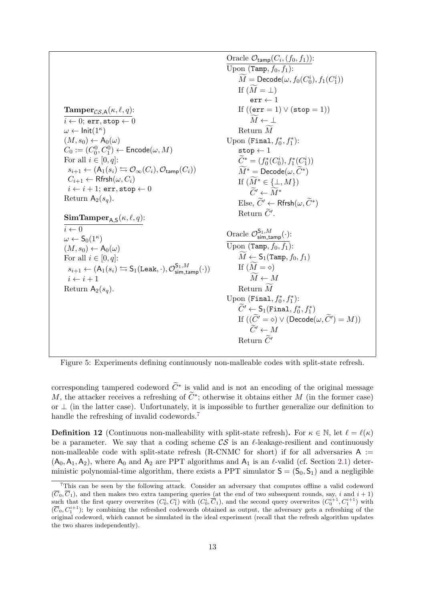<span id="page-13-0"></span> $\mathbf{Tamper}_{\mathcal{CS},\mathsf{A}}(\kappa,\ell,q)$ :  $i \leftarrow 0;$  err, stop  $\leftarrow 0$  $\omega \leftarrow \mathsf{Init}(1^\kappa)$  $(M, s_0) \leftarrow A_0(\omega)$  $C_0 := (C_0^0, C_1^0) \leftarrow \mathsf{Encode}(\omega, M)$ For all  $i \in [0, q]$ :  $s_{i+1} \leftarrow (A_1(s_i) \leftrightarrows \mathcal{O}_{\infty}(C_i), \mathcal{O}_{\text{tamp}}(C_i))$  $C_{i+1} \leftarrow$  Rfrsh $(\omega, C_i)$  $i \leftarrow i + 1$ ; err, stop  $\leftarrow 0$ Return  $A_2(s_q)$ .  $\operatorname{\bf SimTamper}_{\mathsf A,\mathsf S}(\kappa,\ell,q)$ :  $i \leftarrow 0$  $\omega \leftarrow \mathsf{S}_0(1^\kappa)$  $(M, s_0) \leftarrow A_0(\omega)$ For all  $i \in [0, q]$ :  $s_{i+1} \leftarrow (\mathsf{A}_1(s_i) \leftrightarrows \mathsf{S}_1(\texttt{Leak},\cdot), \mathcal{O}^{\mathsf{S}_1,M}_{\textsf{sim}\text{-}\textsf{tamp}}(\cdot))$  $i \leftarrow i + 1$ Return  $A_2(s_a)$ .  $\overline{\text{Upon (Tamp, } f_0, f_1)}$ :  $\widetilde{M} = \mathsf{Decode}(\omega, f_0(C_0^i), f_1(C_1^i))$ If  $(\widetilde{M} = \perp)$  $err \leftarrow 1$ If  $((err = 1) \vee (stop = 1))$  $\widetilde{M} \leftarrow \perp$ Return  $\widetilde{M}$ Upon  $(\text{Final}, f_0^*, f_1^*)$ :  $\texttt{stop} \leftarrow 1$  $\widetilde{C}^*=(f_0^*(C_0^i),f_1^*(C_1^i))$  $\widetilde{M}^* = \mathsf{Decode}(\omega, \widetilde{C}^*)$ If  $(\widetilde{M}^* \in \{\perp, M\})$  $\widetilde{C}' \leftarrow \widetilde{M}^*$ Else,  $\widetilde{C}' \leftarrow \mathsf{Rfrsh}(\omega, \widetilde{C}^*)$ Return  $\tilde{C}'$ . Oracle  $\mathcal{O}^{S_1,M}_{\text{sim-tamp}}(\cdot)$ :  $\overline{\text{Upon (Tamp, } f_0, f_1)}$ :  $\widetilde{M} \leftarrow \mathsf{S}_1(\mathtt{Tamp}, f_0, f_1)$ If  $(\widetilde{M} = \diamond)$  $\widetilde{M} \leftarrow M$ Return  $\widetilde{M}$ Upon  $(Final, f_0^*, f_1^*)$ :  $\widetilde{C}' \leftarrow \mathsf{S}_1(\mathtt{Final}, f_0^*, f_1^*)$ If  $((\widetilde{C}' = \diamond) \vee (\mathsf{Decode}(\omega, \widetilde{C}') = M))$  $\widetilde{C}' \leftarrow M$ Return  $\tilde{C}^{\prime}$ 

Oracle  $\mathcal{O}_{\text{tamp}}(C_i, (f_0, f_1))$ :

Figure 5: Experiments defining continuously non-malleable codes with split-state refresh.

corresponding tampered codeword  $\widetilde{C}^*$  is valid and is not an encoding of the original message M, the attacker receives a refreshing of  $\tilde{C}^*$ ; otherwise it obtains either M (in the former case) or  $\perp$  (in the latter case). Unfortunately, it is impossible to further generalize our definition to handle the refreshing of invalid codewords.<sup>[7](#page-13-1)</sup>

**Definition 12** (Continuous non-malleability with split-state refresh). For  $\kappa \in \mathbb{N}$ , let  $\ell = \ell(\kappa)$ be a parameter. We say that a coding scheme  $\mathcal{CS}$  is an  $\ell$ -leakage-resilient and continuously non-malleable code with split-state refresh (R-CNMC for short) if for all adversaries  $A :=$  $(A_0, A_1, A_2)$ , where  $A_0$  and  $A_2$  are PPT algorithms and  $A_1$  is an  $\ell$ -valid (cf. Section [2.1\)](#page-5-2) deterministic polynomial-time algorithm, there exists a PPT simulator  $S = (S_0, S_1)$  and a negligible

<span id="page-13-1"></span><sup>7</sup>This can be seen by the following attack. Consider an adversary that computes offline a valid codeword  $(\overline{C}_0, \overline{C}_1)$ , and then makes two extra tampering queries (at the end of two subsequent rounds, say, i and  $i + 1$ ) such that the first query overwrites  $(C_0^i, C_1^i)$  with  $(C_0^i, \overline{C}_1)$ , and the second query overwrites  $(C_0^{i+1}, C_1^{i+1})$  with  $(\overline{C}_0, C_1^{i+1})$ ; by combining the refreshed codewords obtained as output, the adversary gets a refreshing of the original codeword, which cannot be simulated in the ideal experiment (recall that the refresh algorithm updates the two shares independently).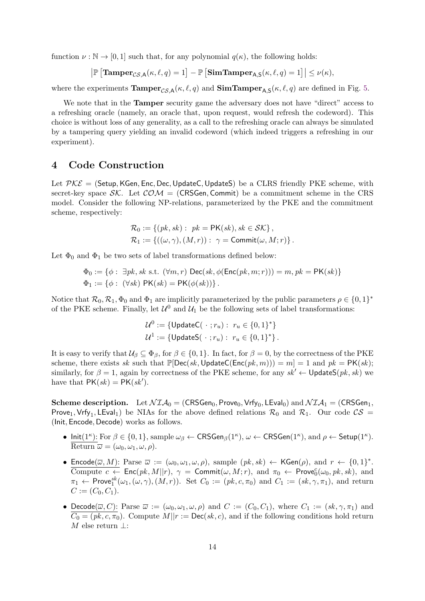function  $\nu : \mathbb{N} \to [0, 1]$  such that, for any polynomial  $q(\kappa)$ , the following holds:

$$
\left|\mathbb{P}\left[\textbf{Tamper}_{\mathcal{CS},A}(\kappa,\ell,q)=1\right]-\mathbb{P}\left[\textbf{SimTamper}_{A,S}(\kappa,\ell,q)=1\right]\right|\leq\nu(\kappa),
$$

where the experiments  $\textbf{Tamper}_{\mathcal{CS},A}(\kappa,\ell,q)$  and  $\textbf{SimTamper}_{A,S}(\kappa,\ell,q)$  are defined in Fig. [5.](#page-13-0)

We note that in the **Tamper** security game the adversary does not have "direct" access to a refreshing oracle (namely, an oracle that, upon request, would refresh the codeword). This choice is without loss of any generality, as a call to the refreshing oracle can always be simulated by a tampering query yielding an invalid codeword (which indeed triggers a refreshing in our experiment).

# <span id="page-14-0"></span>4 Code Construction

Let  $PKE =$  (Setup, KGen, Enc, Dec, UpdateC, UpdateS) be a CLRS friendly PKE scheme, with secret-key space SK. Let  $COM = (CRSGen, Commit)$  be a commitment scheme in the CRS model. Consider the following NP-relations, parameterized by the PKE and the commitment scheme, respectively:

$$
\mathcal{R}_0 := \{ (pk, sk) : \ p k = \mathsf{PK}(sk), sk \in \mathcal{SK} \},\
$$
  

$$
\mathcal{R}_1 := \{ ((\omega, \gamma), (M, r)) : \ \gamma = \mathsf{Commit}(\omega, M; r) \}.
$$

Let  $\Phi_0$  and  $\Phi_1$  be two sets of label transformations defined below:

$$
\Phi_0 := \{ \phi : \exists pk, sk \text{ s.t. } (\forall m, r) \text{ Dec}(sk, \phi(\text{Enc}(pk, m; r))) = m, pk = \text{PK}(sk) \}
$$

$$
\Phi_1 := \{ \phi : (\forall sk) \text{ PK}(sk) = \text{PK}(\phi(sk)) \}.
$$

Notice that  $\mathcal{R}_0, \mathcal{R}_1, \Phi_0$  and  $\Phi_1$  are implicitly parameterized by the public parameters  $\rho \in \{0, 1\}^*$ of the PKE scheme. Finally, let  $\mathcal{U}^0$  and  $\mathcal{U}_1$  be the following sets of label transformations:

$$
\mathcal{U}^0 := \{ \text{UpdateC}(\cdot : r_u) : r_u \in \{0, 1\}^* \}
$$
  

$$
\mathcal{U}^1 := \{ \text{UpdateS}(\cdot : r_u) : r_u \in \{0, 1\}^* \}.
$$

It is easy to verify that  $\mathcal{U}_{\beta} \subseteq \Phi_{\beta}$ , for  $\beta \in \{0,1\}$ . In fact, for  $\beta = 0$ , by the correctness of the PKE scheme, there exists sk such that  $\mathbb{P}[\text{Dec}(sk, \text{UpdateC}(\text{Enc}(pk, m))) = m] = 1$  and  $pk = \text{PK}(sk)$ ; similarly, for  $\beta = 1$ , again by correctness of the PKE scheme, for any  $sk' \leftarrow \mathsf{UpdateS}(pk, sk)$  we have that  $PK(sk) = PK(sk')$ .

**Scheme description.** Let  $\mathcal{NIA}_0 = (\mathsf{CRSGen}_0, \mathsf{Prove}_0, \mathsf{Vrfy}_0, \mathsf{LEval}_0)$  and  $\mathcal{NIA}_1 = (\mathsf{CRSGen}_1,$ Prove<sub>1</sub>, Vrfy<sub>1</sub>, LEval<sub>1</sub>) be NIAs for the above defined relations  $\mathcal{R}_0$  and  $\mathcal{R}_1$ . Our code  $\mathcal{CS}$  = (Init, Encode, Decode) works as follows.

- $\textsf{Init}(1^{\kappa})$ : For  $\beta \in \{0,1\}$ , sample  $\omega_{\beta} \leftarrow \textsf{CRSGen}_{\beta}(1^{\kappa}), \omega \leftarrow \textsf{CRSGen}(1^{\kappa})$ , and  $\rho \leftarrow \textsf{Setup}(1^{\kappa})$ .  $\overline{\text{Return } \omega} = (\omega_0, \omega_1, \omega, \rho).$
- Encode $(\overline{\omega}, M)$ : Parse  $\overline{\omega} := (\omega_0, \omega_1, \omega, \rho)$ , sample  $(pk, sk) \leftarrow \mathsf{KGen}(\rho)$ , and  $r \leftarrow \{0, 1\}^*$ . Compute  $c \leftarrow \mathsf{Enc}(pk, M||r)$ ,  $\gamma = \mathsf{Commit}(\omega, M; r)$ , and  $\pi_0 \leftarrow \mathsf{Prove}^c_0(\omega_0, pk, sk)$ , and  $\pi_1 \leftarrow \mathsf{Prove}_1^{sk}(\omega_1, (\omega, \gamma), (M, r)).$  Set  $C_0 := (pk, c, \pi_0)$  and  $C_1 := (sk, \gamma, \pi_1)$ , and return  $C := (C_0, C_1).$
- Decode( $\overline{\omega}, C$ ): Parse  $\overline{\omega} := (\omega_0, \omega_1, \omega, \rho)$  and  $C := (C_0, C_1)$ , where  $C_1 := (sk, \gamma, \pi_1)$  and  $\overline{C_0 = (pk, c, \pi_0)}$ . Compute  $M||r| = \text{Dec}(sk, c)$ , and if the following conditions hold return M else return  $\perp$ :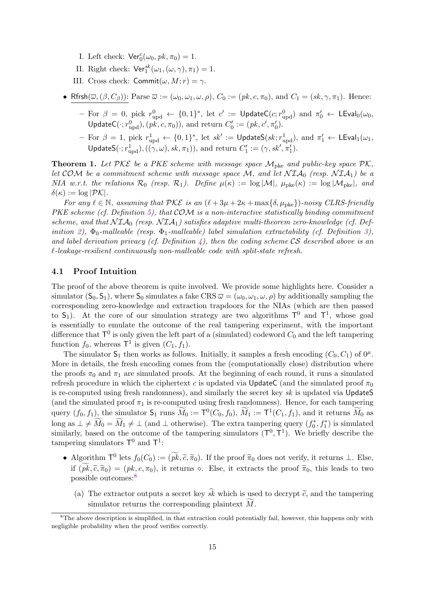- I. Left check:  $\text{Ver}_0^c(\omega_0, pk, \pi_0) = 1.$
- II. Right check:  $\mathsf{Ver}^{sk}_1(\omega_1, (\omega, \gamma), \pi_1) = 1.$
- III. Cross check: Commit $(\omega, M; r) = \gamma$ .
- Rfrsh $(\overline{\omega},(\beta,C_{\beta}))$ : Parse  $\overline{\omega}:=(\omega_0,\omega_1,\omega,\rho), C_0:=(pk,c,\pi_0),$  and  $C_1=(sk,\gamma,\pi_1)$ . Hence:
	- $-$  For  $\beta$  = 0, pick  $r_{\rm{upd}}^0$   $\leftarrow$   $\{0,1\}^*$ , let  $c'$  := <code>UpdateC( $c; r_{\rm{upd}}^0$ )</code> and  $\pi'_{0}$   $\leftarrow$  <code>LEval<sub>0</sub>( $\omega_{0},$ </code> UpdateC( $(r; r^{0}_{\text{upd}})$ ,  $(\bar{pk}, c, \pi_0)$ ), and return  $C'_0 := (\bar{pk}, c', \pi'_0)$ .
	- $-$  For  $\beta = 1$ , pick  $r_{\text{upd}}^1 \leftarrow \{0, 1\}^*$ , let  $sk' := \text{UpdateS}(sk; r_{\text{upd}}^1)$ , and  $\pi'_1 \leftarrow \text{LEval}_1(\omega_1,$ UpdateS( $\cdot; r_{\text{upd}}^1$ ),  $((\gamma, \omega), sk, \pi_1)$ ), and return  $C_1' := (\gamma, sk', \pi_1').$

<span id="page-15-2"></span>**Theorem 1.** Let  $\mathcal{PKE}$  be a PKE scheme with message space  $\mathcal{M}_{\text{pke}}$  and public-key space  $\mathcal{PK}$ , let COM be a commitment scheme with message space M, and let  $NIA_0$  (resp.  $NIA_1$ ) be a NIA w.r.t. the relations  $\mathcal{R}_0$  (resp.  $\mathcal{R}_1$ ). Define  $\mu(\kappa) := \log |\mathcal{M}|$ ,  $\mu_{\text{pke}}(\kappa) := \log |\mathcal{M}_{\text{pke}}|$ , and  $\delta(\kappa) := \log |\mathcal{PK}|$ .

For any  $\ell \in \mathbb{N}$ , assuming that  $\mathcal{PKE}$  is an  $(\ell + 3\mu + 2\kappa + \max{\delta, \mu_{\text{pke}}})$ -noisy CLRS-friendly PKE scheme (cf. Definition [5\)](#page-9-2), that  $COM$  is a non-interactive statistically binding commitment scheme, and that  $NIA_0$  (resp.  $NIA_1$ ) satisfies adaptive multi-theorem zero-knowledge (cf. Def-inition [2\)](#page-7-1),  $\Phi_0$ -malleable (resp.  $\Phi_1$ -malleable) label simulation extractability (cf. Definition [3\)](#page-8-1), and label derivation privacy (cf. Definition [4\)](#page-8-2), then the coding scheme  $\mathcal{CS}$  described above is an  $\ell$ -leakage-resilient continuously non-malleable code with split-state refresh.

### <span id="page-15-0"></span>4.1 Proof Intuition

The proof of the above theorem is quite involved. We provide some highlights here. Consider a simulator  $(S_0, S_1)$ , where  $S_0$  simulates a fake CRS  $\overline{\omega} = (\omega_0, \omega_1, \omega, \rho)$  by additionally sampling the corresponding zero-knowledge and extraction trapdoors for the NIAs (which are then passed to  $S_1$ ). At the core of our simulation strategy are two algorithms  $T^0$  and  $T^1$ , whose goal is essentially to emulate the outcome of the real tampering experiment, with the important difference that  $\mathsf{T}^0$  is only given the left part of a (simulated) codeword  $C_0$  and the left tampering function  $f_0$ , whereas  $\mathsf{T}^1$  is given  $(C_1, f_1)$ .

The simulator  $S_1$  then works as follows. Initially, it samples a fresh encoding  $(C_0, C_1)$  of  $0^{\mu}$ . More in details, the fresh encoding comes from the (computationally close) distribution where the proofs  $\pi_0$  and  $\pi_1$  are simulated proofs. At the beginning of each round, it runs a simulated refresh procedure in which the ciphertext c is updated via UpdateC (and the simulated proof  $\pi_0$ is re-computed using fresh randomness), and similarly the secret key  $sk$  is updated via UpdateS (and the simulated proof  $\pi_1$  is re-computed using fresh randomness). Hence, for each tampering query  $(f_0, f_1)$ , the simulator  $\mathsf{S}_1$  runs  $M_0 := \mathsf{T}^0(C_0, f_0)$ ,  $M_1 := \mathsf{T}^1(C_1, f_1)$ , and it returns  $M_0$  as long as  $\perp \neq \widetilde{M}_0 = \widetilde{M}_1 \neq \perp$  (and  $\perp$  otherwise). The extra tampering query  $(f_0^*, f_1^*)$  is simulated similarly, based on the outcome of the tampering simulators  $(T^0, T^1)$ . We briefly describe the tampering simulators  $T^0$  and  $T^1$ :

- Algorithm  $\mathsf{T}^0$  lets  $f_0(C_0) := (p\bar{k}, \tilde{c}, \tilde{\pi}_0)$ . If the proof  $\tilde{\pi}_0$  does not verify, it returns ⊥. Else, if  $(\widetilde{pk}, \widetilde{c}, \widetilde{\pi}_0) = (pk, c, \pi_0)$ , it returns  $\diamond$ . Else, it extracts the proof  $\widetilde{\pi}_0$ , this leads to two possible outcomes:[8](#page-15-1)
	- (a) The extractor outputs a secret key  $\hat{s k}$  which is used to decrypt  $\tilde{c}$ , and the tampering simulator returns the corresponding plaintext  $\overline{M}$ .

<span id="page-15-1"></span><sup>&</sup>lt;sup>8</sup>The above description is simplified, in that extraction could potentially fail, however, this happens only with negligible probability when the proof verifies correctly.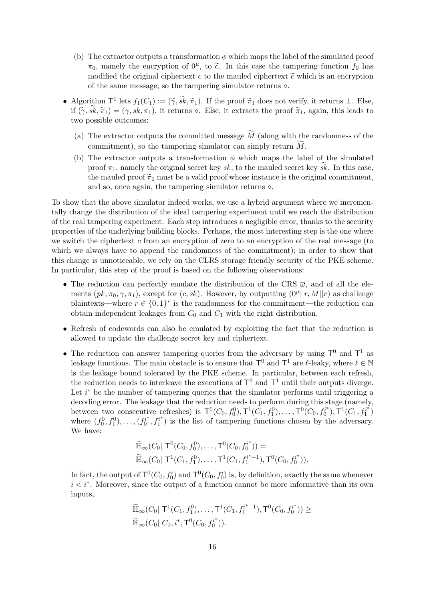- (b) The extractor outputs a transformation  $\phi$  which maps the label of the simulated proof  $\pi_0$ , namely the encryption of  $0^{\mu}$ , to  $\tilde{c}$ . In this case the tampering function  $f_0$  has modified the original eiphertext a to the mouled eiphertext  $\tilde{a}$  which is an energy intermodified the original ciphertext c to the mauled ciphertext  $\tilde{c}$  which is an encryption of the same message, so the tampering simulator returns  $\Diamond$ .
- Algorithm  $\mathsf{T}^1$  lets  $f_1(C_1) := (\tilde{\gamma}, s\tilde{k}, \tilde{\pi}_1)$ . If the proof  $\tilde{\pi}_1$  does not verify, it returns ⊥. Else, if  $(\tilde{\kappa}, \tilde{a}\tilde{k}, \tilde{\pi}) = (s, s\tilde{k}, \pi)$ , it returns  $\hat{\kappa}$ . Else, it extracts the proof  $\tilde{\pi}$ , if  $(\widetilde{\gamma}, \widetilde{k}, \widetilde{\pi}_1) = (\gamma, sk, \pi_1)$ , it returns  $\diamond$ . Else, it extracts the proof  $\widetilde{\pi}_1$ , again, this leads to two possible outcomes:
	- (a) The extractor outputs the committed message  $\widetilde{M}$  (along with the randomness of the commitment), so the tampering simulator can simply return  $M$ .
	- (b) The extractor outputs a transformation  $\phi$  which maps the label of the simulated proof  $\pi_1$ , namely the original secret key sk, to the mauled secret key sk. In this case, the mauled proof  $\tilde{\pi}_1$  must be a valid proof whose instance is the original commitment, and so, once again, the tampering simulator returns  $\diamond$ .

To show that the above simulator indeed works, we use a hybrid argument where we incrementally change the distribution of the ideal tampering experiment until we reach the distribution of the real tampering experiment. Each step introduces a negligible error, thanks to the security properties of the underlying building blocks. Perhaps, the most interesting step is the one where we switch the ciphertext  $c$  from an encryption of zero to an encryption of the real message (to which we always have to append the randomness of the commitment); in order to show that this change is unnoticeable, we rely on the CLRS storage friendly security of the PKE scheme. In particular, this step of the proof is based on the following observations:

- The reduction can perfectly emulate the distribution of the CRS  $\bar{\omega}$ , and of all the elements  $(pk, \pi_0, \gamma, \pi_1)$ , except for  $(c, sk)$ . However, by outputting  $(0^{\mu} || r, M || r)$  as challenge plaintexts—where  $r \in \{0,1\}^*$  is the randomness for the commitment—the reduction can obtain independent leakages from  $C_0$  and  $C_1$  with the right distribution.
- Refresh of codewords can also be emulated by exploiting the fact that the reduction is allowed to update the challenge secret key and ciphertext.
- The reduction can answer tampering queries from the adversary by using  $T^0$  and  $T^1$  as leakage functions. The main obstacle is to ensure that  $T^0$  and  $T^1$  are  $\ell$ -leaky, where  $\ell \in \mathbb{N}$ is the leakage bound tolerated by the PKE scheme. In particular, between each refresh, the reduction needs to interleave the executions of  $\mathsf{T}^0$  and  $\mathsf{T}^1$  until their outputs diverge. Let  $i^*$  be the number of tampering queries that the simulator performs until triggering a decoding error. The leakage that the reduction needs to perform during this stage (namely, between two consecutive refreshes) is  $T^0(C_0, f_0^0)$ ,  $T^1(C_1, f_1^0)$ , ...,  $T^0(C_0, f_0^{i*})$  $(\overline{\overline{G}}^i) , \overline{\mathsf{T}}^1(C_1,f_1^{i^*})$  $\binom{i^*}{1}$ where  $(f_0^0, f_1^0), \ldots, (f_0^{i^*})$  $j_0^{i^*}, f_1^{i^*}$  $\binom{n^*}{1}$  is the list of tampering functions chosen by the adversary. We have:

$$
\widetilde{\mathbb{H}}_{\infty}(C_0 | \mathsf{T}^0(C_0, f_0^0), \dots, \mathsf{T}^0(C_0, f_0^{i^*})) = \n\widetilde{\mathbb{H}}_{\infty}(C_0 | \mathsf{T}^1(C_1, f_1^0), \dots, \mathsf{T}^1(C_1, f_1^{i^*-1}), \mathsf{T}^0(C_0, f_0^{i^*})).
$$

In fact, the output of  $\mathsf{T}^0(C_0, f_0^i)$  and  $\mathsf{T}^0(C_0, f_0^i)$  is, by definition, exactly the same whenever  $i < i^*$ . Moreover, since the output of a function cannot be more informative than its own inputs,

$$
\widetilde{\mathbb{H}}_{\infty}(C_0 | \mathsf{T}^1(C_1, f_1^0), \dots, \mathsf{T}^1(C_1, f_1^{i^*-1}), \mathsf{T}^0(C_0, f_0^{i^*})) \ge \widetilde{\mathbb{H}}_{\infty}(C_0 | C_1, i^*, \mathsf{T}^0(C_0, f_0^{i^*})).
$$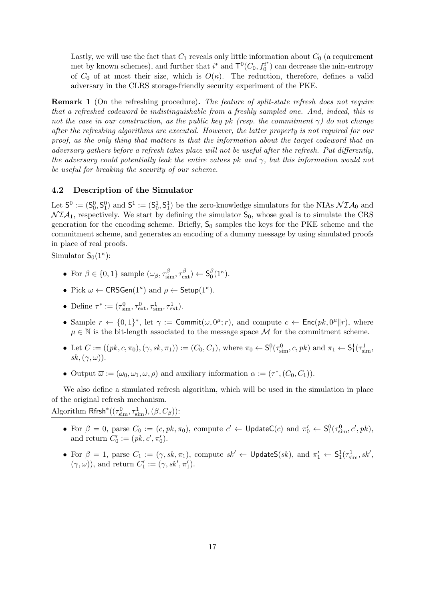Lastly, we will use the fact that  $C_1$  reveals only little information about  $C_0$  (a requirement met by known schemes), and further that  $i^*$  and  $\mathsf{T}^0(C_0, f_0^{i^*})$  $\binom{n}{0}$  can decrease the min-entropy of  $C_0$  of at most their size, which is  $O(\kappa)$ . The reduction, therefore, defines a valid adversary in the CLRS storage-friendly security experiment of the PKE.

Remark 1 (On the refreshing procedure). The feature of split-state refresh does not require that a refreshed codeword be indistinguishable from a freshly sampled one. And, indeed, this is not the case in our construction, as the public key pk (resp. the commitment  $\gamma$ ) do not change after the refreshing algorithms are executed. However, the latter property is not required for our proof, as the only thing that matters is that the information about the target codeword that an adversary gathers before a refresh takes place will not be useful after the refresh. Put differently, the adversary could potentially leak the entire values pk and  $\gamma$ , but this information would not be useful for breaking the security of our scheme.

### <span id="page-17-0"></span>4.2 Description of the Simulator

Let  $S^0 := (S_0^0, S_1^0)$  and  $S^1 := (S_0^1, S_1^1)$  be the zero-knowledge simulators for the NIAs  $NIA_0$  and  $NIA<sub>1</sub>$ , respectively. We start by defining the simulator  $S<sub>0</sub>$ , whose goal is to simulate the CRS generation for the encoding scheme. Briefly,  $S_0$  samples the keys for the PKE scheme and the commitment scheme, and generates an encoding of a dummy message by using simulated proofs in place of real proofs.

# Simulator  $\mathsf{S}_0(1^\kappa)$ :

- For  $\beta \in \{0, 1\}$  sample  $(\omega_{\beta}, \tau_{\text{sim}}^{\beta}, \tau_{\text{ext}}^{\beta}) \leftarrow S_0^{\beta}$  $\frac{\beta}{0}(1^{\kappa}).$
- Pick  $\omega \leftarrow \text{CRSGen}(1^{\kappa})$  and  $\rho \leftarrow \text{Setup}(1^{\kappa})$ .
- Define  $\tau^* := (\tau_{sim}^0, \tau_{ext}^0, \tau_{sim}^1, \tau_{ext}^1)$ .
- Sample  $r \leftarrow \{0,1\}^*$ , let  $\gamma := \text{Commit}(\omega, 0^{\mu}; r)$ , and compute  $c \leftarrow \text{Enc}(pk, 0^{\mu}||r)$ , where  $\mu \in \mathbb{N}$  is the bit-length associated to the message space M for the commitment scheme.
- Let  $C := ((pk, c, \pi_0), (\gamma, sk, \pi_1)) := (C_0, C_1)$ , where  $\pi_0 \leftarrow S_1^0(\tau_{\text{sim}}^0, c, pk)$  and  $\pi_1 \leftarrow S_1^1(\tau_{\text{sim}}^1, c, pk)$ sk,  $(\gamma, \omega)$ ).
- Output  $\overline{\omega} := (\omega_0, \omega_1, \omega, \rho)$  and auxiliary information  $\alpha := (\tau^*, (C_0, C_1)).$

We also define a simulated refresh algorithm, which will be used in the simulation in place of the original refresh mechanism.

Algorithm Rfrsh<sup>\*</sup>( $(\tau_{sim}^0, \tau_{sim}^1), (\beta, C_\beta)$ ):

- For  $\beta = 0$ , parse  $C_0 := (c, pk, \pi_0)$ , compute  $c' \leftarrow \mathsf{UpdateC}(c)$  and  $\pi'_0 \leftarrow \mathsf{S}_1^0(\tau_{\text{sim}}^0, c', pk)$ , and return  $C'_0 := (pk, c', \pi'_0)$ .
- For  $\beta = 1$ , parse  $C_1 := (\gamma, sk, \pi_1)$ , compute  $sk' \leftarrow \mathsf{UpdateS}(sk)$ , and  $\pi'_1 \leftarrow \mathsf{S}_1^1(\tau_{sim}^1, sk',$  $(\gamma,\omega)$ ), and return  $C_1' := (\gamma, sk', \pi_1')$ .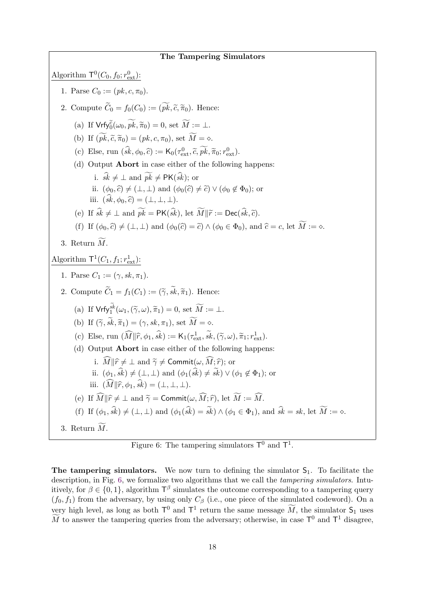<span id="page-18-5"></span><span id="page-18-2"></span><span id="page-18-1"></span><span id="page-18-0"></span>The Tampering Simulators Algorithm  $\mathsf{T}^0(C_0, f_0; r^0_{\text{ext}})$ : 1. Parse  $C_0 := (pk, c, \pi_0)$ . 2. Compute  $\widetilde{C}_0 = f_0(C_0) := (\widetilde{pk}, \widetilde{c}, \widetilde{\pi}_0)$ . Hence: (a) If  $Vrfy_0^{\tilde{c}}(\omega_0, \tilde{pk}, \tilde{\pi}_0) = 0$ , set  $\widetilde{M} := \perp$ . (b) If  $(\widetilde{pk}, \widetilde{c}, \widetilde{\pi}_0) = (pk, c, \pi_0)$ , set  $\widetilde{M} = \diamond$ . (c) Else, run  $(\hat{sk}, \phi_0, \hat{c}) := \mathsf{K}_0(\tau_{\text{ext}}^0, \tilde{c}, \tilde{pk}, \tilde{\pi}_0; r_{\text{ext}}^0).$ (d) Output Abort in case either of the following happens: i.  $\widehat{sk} \neq \bot$  and  $\widetilde{pk} \neq \mathsf{PK}(\widehat{sk})$ ; or ii.  $(\phi_0, \hat{c}) \neq (\perp, \perp)$  and  $(\phi_0(\hat{c}) \neq \hat{c}) \vee (\phi_0 \notin \Phi_0)$ ; or iii.  $(\widehat{sk}, \phi_0, \widehat{c}) = (\perp, \perp, \perp).$ (e) If  $\hat{s}\hat{k} \neq \perp$  and  $\widetilde{pk} = \mathsf{PK}(\hat{s}\hat{k}),$  let  $\widetilde{M}||\widetilde{r} := \mathsf{Dec}(\hat{s}\hat{k}, \widetilde{c}).$ (f) If  $(\phi_0, \hat{c}) \neq (\perp, \perp)$  and  $(\phi_0(\hat{c}) = \hat{c}) \wedge (\phi_0 \in \Phi_0)$ , and  $\hat{c} = c$ , let  $\widetilde{M} := \diamond$ . 3. Return  $\widetilde{M}$ . Algorithm  $\mathsf{T}^1(C_1, f_1; r^1_{\text{ext}})$ : 1. Parse  $C_1 := (\gamma, sk, \pi_1)$ . 2. Compute  $\widetilde{C}_1 = f_1(C_1) := (\widetilde{\gamma}, \widetilde{sk}, \widetilde{\pi}_1)$ . Hence: (a) If  $\mathsf{Vrfy}^{sk}_1(\omega_1, (\widetilde{\gamma}, \omega), \widetilde{\pi}_1) = 0$ , set  $\widetilde{M} := \bot$ . (b) If  $(\widetilde{\gamma}, \widetilde{sk}, \widetilde{\pi}_1) = (\gamma, sk, \pi_1)$ , set  $\widetilde{M} = \diamond$ . (c) Else, run  $(\widehat{M}||\widehat{r}, \phi_1, \widehat{sk}) := \mathsf{K}_1(\tau_{\text{ext}}^1, \widehat{sk}, (\widetilde{\gamma}, \omega), \widetilde{\pi}_1; r_{\text{ext}}^1).$ (d) Output Abort in case either of the following happens: i.  $\widehat{M}||\widehat{r} \neq \bot$  and  $\widetilde{\gamma} \neq \mathsf{Commit}(\omega, \widehat{M}; \widehat{r});$  or ii.  $(\phi_1, \widehat{sk}) \neq (\perp, \perp)$  and  $(\phi_1(\widehat{sk}) \neq \widetilde{sk}) \vee (\phi_1 \notin \Phi_1)$ ; or iii.  $(\widehat{M} \| \widehat{r}, \phi_1, \widehat{sk}) = (\perp, \perp, \perp).$ (e) If  $\widehat{M}||\widehat{r} \neq \bot$  and  $\widetilde{\gamma} = \textsf{Commit}(\omega, \widehat{M}; \widehat{r}),$  let  $\widetilde{M} := \widehat{M}.$ (f) If  $(\phi_1, \hat{s}\hat{k}) \neq (\perp, \perp)$  and  $(\phi_1(\hat{s}\hat{k}) = \tilde{s}\hat{k}) \wedge (\phi_1 \in \Phi_1)$ , and  $\hat{s}\hat{k} = sk$ , let  $\widetilde{M} := \diamond$ . 3. Return  $\widetilde{M}$ . Figure 6: The tampering simulators  $\mathsf{T}^0$  and  $\mathsf{T}^1$ .

<span id="page-18-4"></span><span id="page-18-3"></span>**The tampering simulators.** We now turn to defining the simulator  $S_1$ . To facilitate the description, in Fig. [6,](#page-18-0) we formalize two algorithms that we call the *tampering simulators*. Intuitively, for  $\beta \in \{0,1\}$ , algorithm  $\mathsf{T}^{\beta}$  simulates the outcome corresponding to a tampering query  $(f_0, f_1)$  from the adversary, by using only  $C_\beta$  (i.e., one piece of the simulated codeword). On a very high level, as long as both  $\mathsf{T}^0$  and  $\mathsf{T}^1$  return the same message  $\widetilde{M}$ , the simulator  $\mathsf{S}_1$  uses  $\overline{M}$  to answer the tampering queries from the adversary; otherwise, in case  $\mathsf{T}^0$  and  $\mathsf{T}^1$  disagree,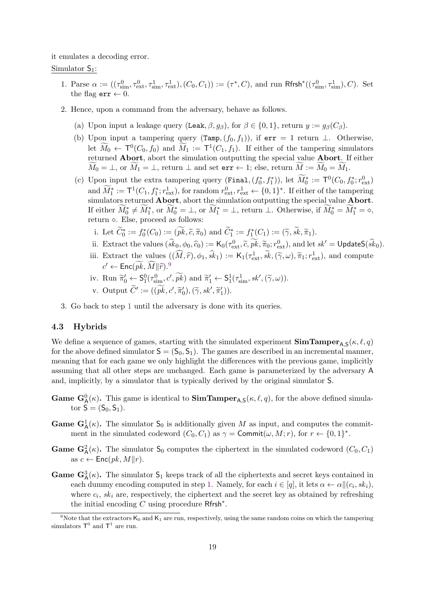it emulates a decoding error.

### Simulator  $S_1$ :

- <span id="page-19-2"></span>1. Parse  $\alpha := ((\tau_{\text{sim}}^0, \tau_{\text{ext}}^0, \tau_{\text{sim}}^1, \tau_{\text{ext}}^1), (C_0, C_1)) := (\tau^*, C)$ , and run Rfrsh<sup>\*</sup>( $(\tau_{\text{sim}}^0, \tau_{\text{sim}}^1), C$ ). Set the flag err  $\leftarrow 0$ .
- 2. Hence, upon a command from the adversary, behave as follows.
	- (a) Upon input a leakage query (Leak,  $\beta$ ,  $g_{\beta}$ ), for  $\beta \in \{0, 1\}$ , return  $y := g_{\beta}(C_{\beta})$ .
	- (b) Upon input a tampering query (Tamp,  $(f_0, f_1)$ ), if err = 1 return  $\perp$ . Otherwise, let  $\widetilde{M}_0 \leftarrow \mathsf{T}^0(C_0, f_0)$  and  $\widetilde{M}_1 := \mathsf{T}^1(C_1, f_1)$ . If either of the tampering simulators returned Abort, abort the simulation outputting the special value Abort. If either  $\widetilde{M}_0 = \bot$ , or  $\widetilde{M}_1 = \bot$ , return  $\bot$  and set  $err \leftarrow 1$ ; else, return  $\widetilde{M} := \widetilde{M}_0 = \widetilde{M}_1$ .
	- (c) Upon input the extra tampering query (Final,  $(f_0^*, f_1^*)$ ), let  $\widetilde{M}_0^* := \mathsf{T}^0(C_0, f_0^*; r_{\text{ext}}^0)$ and  $\widetilde{M}_1^* := \mathsf{T}^1(C_1, f_1^*, r_{\text{ext}}^1)$ , for random  $r_{\text{ext}}^0, r_{\text{ext}}^1 \leftarrow \{0, 1\}^*$ . If either of the tampering simulators returned Abort, abort the simulation outputting the special value Abort. If either  $\widetilde{M}_0^* \neq \widetilde{M}_1^*$ , or  $\widetilde{M}_0^* = \bot$ , or  $\widetilde{M}_1^* = \bot$ , return  $\bot$ . Otherwise, if  $\widetilde{M}_0^* = \widetilde{M}_1^* = \diamond$ , return  $\diamond$ . Else, proceed as follows:
		- i. Let  $\widetilde{C}_0^* := f_0^*(C_0) := (p\vec{k}, \widetilde{c}, \widetilde{\pi}_0)$  and  $\widetilde{C}_1^* := f_1^*(C_1) := (\widetilde{\gamma}, \widetilde{sk}, \widetilde{\pi}_1)$ .
		- ii. Extract the values  $(\widehat{sk}_0, \phi_0, \widehat{c}_0) := \mathsf{K}_0(\tau_{\text{ext}}^0, \widetilde{c}, \widetilde{pk}, \widetilde{\pi}_0; r_{\text{ext}}^0)$ , and let  $sk' = \mathsf{UpdateS}(\widehat{sk}_0)$ .
		- iii. Extract the values  $((\widehat{M}, \widehat{r}), \phi_1, \widehat{sk}_1) := \mathsf{K}_1(\tau_{\text{ext}}^1, \widetilde{sk}, (\widetilde{\gamma}, \omega), \widetilde{\pi}_1; r_{\text{ext}}^1)$ , and compute  $c' \leftarrow \mathsf{Enc}(\widetilde{pk}, \widehat{M} \| \widehat{r})$ .<sup>[9](#page-19-1)</sup>
		- iv. Run  $\widetilde{\pi}_0' \leftarrow S_1^0(\tau_{\text{sim}}^0, c', \widetilde{pk})$  and  $\widetilde{\pi}_1' \leftarrow S_1^1(\tau_{\text{sim}}^1, sk', (\widetilde{\gamma}, \omega)).$
		- v. Output  $\widetilde{C}' := ((\widetilde{pk}, c', \widetilde{\pi}'_0), (\widetilde{\gamma}, sk', \widetilde{\pi}'_1)).$
- 3. Go back to step [1](#page-19-2) until the adversary is done with its queries.

### <span id="page-19-0"></span>4.3 Hybrids

We define a sequence of games, starting with the simulated experiment  $\textbf{SimTamper}_{A,S}(\kappa, \ell, q)$ for the above defined simulator  $S = (S_0, S_1)$ . The games are described in an incremental manner, meaning that for each game we only highlight the differences with the previous game, implicitly assuming that all other steps are unchanged. Each game is parameterized by the adversary A and, implicitly, by a simulator that is typically derived by the original simulator S.

- **Game G**<sub>A</sub> $(\kappa)$ . This game is identical to **SimTamper**<sub>A,5</sub> $(\kappa, \ell, q)$ , for the above defined simulator  $S = (S_0, S_1)$ .
- **Game G<sub>A</sub>**( $\kappa$ ). The simulator  $S_0$  is additionally given M as input, and computes the commitment in the simulated codeword  $(C_0, C_1)$  as  $\gamma = \text{Commit}(\omega, M; r)$ , for  $r \leftarrow \{0, 1\}^*$ .
- **Game G**<sub> $_A^2(\kappa)$ . The simulator  $S_0$  computes the ciphertext in the simulated codeword  $(C_0, C_1)$ </sub> as  $c \leftarrow \mathsf{Enc}(pk, M||r)$ .
- **Game G**<sub>A</sub><sup>3</sup>( $\kappa$ ). The simulator  $S_1$  keeps track of all the ciphertexts and secret keys contained in each dummy encoding computed in step [1.](#page-19-2) Namely, for each  $i \in [q]$ , it lets  $\alpha \leftarrow \alpha || (c_i, sk_i)$ , where  $c_i$ ,  $sk_i$  are, respectively, the ciphertext and the secret key as obtained by refreshing the initial encoding  $C$  using procedure Rfrsh<sup>\*</sup>.

<span id="page-19-1"></span><sup>&</sup>lt;sup>9</sup>Note that the extractors  $K_0$  and  $K_1$  are run, respectively, using the same random coins on which the tampering simulators  $T^0$  and  $T^1$  are run.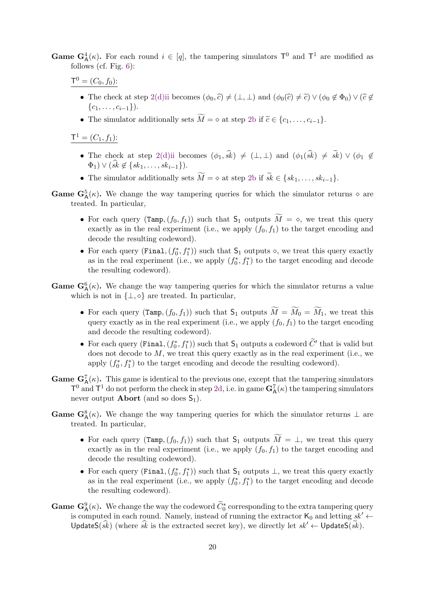**Game G**<sup>4</sup><sub>A</sub>( $\kappa$ ). For each round  $i \in [q]$ , the tampering simulators T<sup>0</sup> and T<sup>1</sup> are modified as follows (cf. Fig. [6\)](#page-18-0):

 $T^0 = (C_0, f_0)$ :

- The check at step [2\(d\)ii](#page-18-1) becomes  $(\phi_0, \hat{c}) \neq (\perp, \perp)$  and  $(\phi_0(\hat{c}) \neq \hat{c}) \vee (\phi_0 \notin \Phi_0) \vee (\hat{c} \notin \Phi_0)$  $\{c_1, \ldots, c_{i-1}\}.$
- The simulator additionally sets  $\widetilde{M} = \diamond$  at step [2b](#page-18-2) if  $\widetilde{c} \in \{c_1, \ldots, c_{i-1}\}.$

 $\mathsf{T}^1 = (C_1, f_1)$ :

- The check at step [2\(d\)ii](#page-18-3) becomes  $(\phi_1, \hat{s}k) \neq (\perp, \perp)$  and  $(\phi_1(\hat{s}k) \neq \hat{s}k) \vee (\phi_1 \notin \mathbb{R})$  $\Phi_1$ )  $\vee$  (sk  $\notin$  {sk<sub>1</sub>, ..., sk<sub>i-1</sub>}).
- The simulator additionally sets  $\widetilde{M} = \diamond$  at step [2b](#page-18-4) if  $\widetilde{sk} \in \{sk_1, \ldots, sk_{i-1}\}.$
- **Game G**<sub>A</sub><sup>5</sup>( $\kappa$ ). We change the way tampering queries for which the simulator returns  $\diamond$  are treated. In particular,
	- For each query (Tamp,  $(f_0, f_1)$ ) such that  $S_1$  outputs  $\widetilde{M} = \diamond$ , we treat this query exactly as in the real experiment (i.e., we apply  $(f_0, f_1)$  to the target encoding and decode the resulting codeword).
	- For each query  $(\text{Final}, (f_0^*, f_1^*))$  such that  $S_1$  outputs  $\diamond$ , we treat this query exactly as in the real experiment (i.e., we apply  $(f_0^*, f_1^*)$  to the target encoding and decode the resulting codeword).
- **Game G**<sub>A</sub><sup>6</sup>( $\kappa$ ). We change the way tampering queries for which the simulator returns a value which is not in  $\{\perp, \diamond\}$  are treated. In particular,
	- For each query (Tamp,  $(f_0, f_1)$ ) such that  $S_1$  outputs  $\widetilde{M} = \widetilde{M}_0 = \widetilde{M}_1$ , we treat this query exactly as in the real experiment (i.e., we apply  $(f_0, f_1)$  to the target encoding and decode the resulting codeword).
	- For each query (Final,  $(f_0^*, f_1^*)$ ) such that  $S_1$  outputs a codeword  $\widetilde{C}'$  that is valid but does not decode to  $M$ , we treat this query exactly as in the real experiment (i.e., we apply  $(f_0^*, f_1^*)$  to the target encoding and decode the resulting codeword).
- **Game**  $G_A^7(\kappa)$ **.** This game is identical to the previous one, except that the tampering simulators  $T^0$  and  $T^1$  do not perform the check in step [2d,](#page-18-5) i.e. in game  $G_A^7(\kappa)$  the tampering simulators never output **Abort** (and so does  $S_1$ ).
- **Game G**<sub>A</sub><sup>8</sup>( $\kappa$ ). We change the way tampering queries for which the simulator returns  $\perp$  are treated. In particular,
	- For each query (Tamp,  $(f_0, f_1)$ ) such that  $S_1$  outputs  $\widetilde{M} = \perp$ , we treat this query exactly as in the real experiment (i.e., we apply  $(f_0, f_1)$  to the target encoding and decode the resulting codeword).
	- For each query  $(\text{Final}, (f_0^*, f_1^*))$  such that  $S_1$  outputs  $\perp$ , we treat this query exactly as in the real experiment (i.e., we apply  $(f_0^*, f_1^*)$  to the target encoding and decode the resulting codeword).
- **Game G**<sup>9</sup><sub>A</sub>( $\kappa$ ). We change the way the codeword  $\widetilde{C}_0^*$  corresponding to the extra tampering query is computed in each round. Namely, instead of running the extractor  $K_0$  and letting  $sk' \leftarrow$ UpdateS( $\widehat{sk}$ ) (where  $\widehat{sk}$  is the extracted secret key), we directly let  $sk' \leftarrow$  UpdateS( $\widetilde{sk}$ ).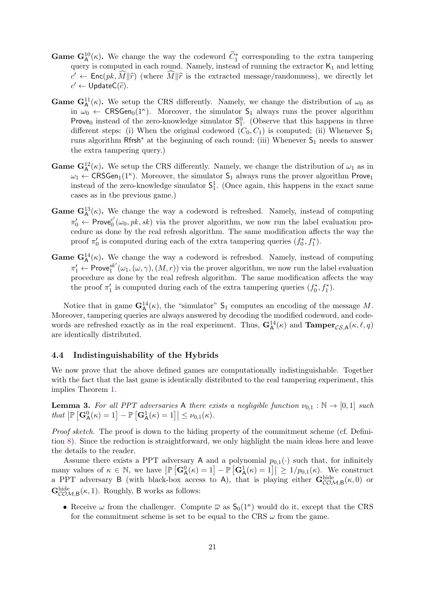- **Game G**<sup>10</sup>( $\kappa$ ). We change the way the codeword  $\tilde{C}_1^*$  corresponding to the extra tampering query is computed in each round. Namely, instead of running the extractor  $K_1$  and letting  $c' \leftarrow \text{Enc}(pk, \widehat{M}||\widehat{r})$  (where  $\widehat{M}||\widehat{r}$  is the extracted message/randomness), we directly let  $c' \leftarrow \mathsf{UpdateC}(\widetilde{c}).$
- **Game G**<sup>11</sup>( $\kappa$ ). We setup the CRS differently. Namely, we change the distribution of  $\omega_0$  as in  $\omega_0$   $\leftarrow$  CRSGen<sub>0</sub>(1<sup> $\kappa$ </sup>). Moreover, the simulator S<sub>1</sub> always runs the prover algorithm Prove<sub>0</sub> instead of the zero-knowledge simulator  $S_1^0$ . (Observe that this happens in three different steps: (i) When the original codeword  $(C_0, C_1)$  is computed; (ii) Whenever  $S_1$ runs algorithm Rfrsh<sup>\*</sup> at the beginning of each round; (iii) Whenever  $S_1$  needs to answer the extra tampering query.)
- **Game G**<sup>12</sup>( $\kappa$ ). We setup the CRS differently. Namely, we change the distribution of  $\omega_1$  as in  $\omega_1 \leftarrow \text{CRSGen}_1(1^{\kappa})$ . Moreover, the simulator  $S_1$  always runs the prover algorithm Prove<sub>1</sub> instead of the zero-knowledge simulator  $S_1^1$ . (Once again, this happens in the exact same cases as in the previous game.)
- **Game G**<sup>13</sup>( $\kappa$ ). We change the way a codeword is refreshed. Namely, instead of computing  $\pi'_0 \leftarrow \mathsf{Prove}_0^{c'}$  $\binom{c}{0}(\omega_0, pk, sk)$  via the prover algorithm, we now run the label evaluation procedure as done by the real refresh algorithm. The same modification affects the way the proof  $\pi'_0$  is computed during each of the extra tampering queries  $(f_0^*, f_1^*)$ .
- **Game G**<sup>14</sup>( $\kappa$ ). We change the way a codeword is refreshed. Namely, instead of computing  $\pi'_1 \leftarrow \text{Prove}_{1}^{sk'}(\omega_1, (\omega, \gamma), (M, r))$  via the prover algorithm, we now run the label evaluation procedure as done by the real refresh algorithm. The same modification affects the way the proof  $\pi'_1$  is computed during each of the extra tampering queries  $(f_0^*, f_1^*)$ .

Notice that in game  $\mathbf{G}_{\mathsf{A}}^{14}(\kappa)$ , the "simulator"  $\mathsf{S}_1$  computes an encoding of the message M. Moreover, tampering queries are always answered by decoding the modified codeword, and codewords are refreshed exactly as in the real experiment. Thus,  $\mathbf{G}_{\mathbf{A}}^{14}(\kappa)$  and  $\mathbf{Tamper}_{\mathcal{CS},\mathbf{A}}(\kappa,\ell,q)$ are identically distributed.

# <span id="page-21-0"></span>4.4 Indistinguishability of the Hybrids

We now prove that the above defined games are computationally indistinguishable. Together with the fact that the last game is identically distributed to the real tampering experiment, this implies Theorem [1.](#page-15-2)

**Lemma 3.** For all PPT adversaries A there exists a negligible function  $\nu_{0,1} : \mathbb{N} \to [0,1]$  such that  $\left| \mathbb{P}\left[\mathbf{G}^0_{\mathsf{A}}(\kappa)=1\right]-\mathbb{P}\left[\mathbf{G}^1_{\mathsf{A}}(\kappa)=1\right]\right|\leq \nu_{0,1}(\kappa).$ 

Proof sketch. The proof is down to the hiding property of the commitment scheme (cf. Definition [8\)](#page-10-2). Since the reduction is straightforward, we only highlight the main ideas here and leave the details to the reader.

Assume there exists a PPT adversary A and a polynomial  $p_{0,1}(\cdot)$  such that, for infinitely many values of  $\kappa \in \mathbb{N}$ , we have  $\left| \mathbb{P} \left[ \mathbf{G}_{\mathsf{A}}^{0}(\kappa) = 1 \right] - \mathbb{P} \left[ \mathbf{G}_{\mathsf{A}}^{1}(\kappa) = 1 \right] \right| \geq 1/p_{0,1}(\kappa)$ . We construct a PPT adversary B (with black-box access to A), that is playing either  $\mathbf{G}_{COM,B}^{\text{hide}}(\kappa,0)$  or  $\mathbf{G}_{\mathcal{COM},\mathsf{B}}^{\text{hide}}(\kappa,1)$ . Roughly, B works as follows:

• Receive  $\omega$  from the challenger. Compute  $\overline{\omega}$  as  $S_0(1^{\kappa})$  would do it, except that the CRS for the commitment scheme is set to be equal to the CRS  $\omega$  from the game.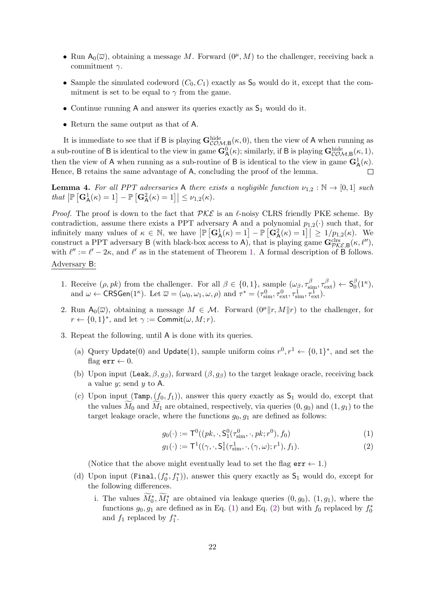- Run  $A_0(\overline{\omega})$ , obtaining a message M. Forward  $(0^{\mu}, M)$  to the challenger, receiving back a commitment  $\gamma$ .
- Sample the simulated codeword  $(C_0, C_1)$  exactly as  $S_0$  would do it, except that the commitment is set to be equal to  $\gamma$  from the game.
- Continue running A and answer its queries exactly as  $S_1$  would do it.
- Return the same output as that of A.

It is immediate to see that if B is playing  $G_{COM,B}^{hide}(\kappa,0)$ , then the view of A when running as a sub-routine of B is identical to the view in game  $\mathbf{G}_{\mathsf{A}}^{0}(\kappa)$ ; similarly, if B is playing  $\mathbf{G}_{\mathcal{COM},\mathsf{B}}^{\text{hide}}(\kappa,1)$ , then the view of A when running as a sub-routine of B is identical to the view in game  $G_A^1(\kappa)$ . Hence, B retains the same advantage of A, concluding the proof of the lemma.  $\Box$ 

<span id="page-22-4"></span>**Lemma 4.** For all PPT adversaries A there exists a negligible function  $\nu_{1,2} : \mathbb{N} \to [0,1]$  such that  $\left| \mathbb{P} \left[ \mathbf{G}^1_{\mathsf{A}}(\kappa) = 1 \right] - \mathbb{P} \left[ \mathbf{G}^2_{\mathsf{A}}(\kappa) = 1 \right] \right| \leq \nu_{1,2}(\kappa).$ 

*Proof.* The proof is down to the fact that  $PKE$  is an  $\ell$ -noisy CLRS friendly PKE scheme. By contradiction, assume there exists a PPT adversary A and a polynomial  $p_{1,2}(\cdot)$  such that, for infinitely many values of  $\kappa \in \mathbb{N}$ , we have  $\left| \mathbb{P} \left[ \mathbf{G}_{\mathsf{A}}^1(\kappa) = 1 \right] - \mathbb{P} \left[ \mathbf{G}_{\mathsf{A}}^2(\kappa) = 1 \right] \right| \geq 1/p_{1,2}(\kappa)$ . We construct a PPT adversary B (with black-box access to A), that is playing game  $\mathbf{G}_{\mathcal{PKE},\mathsf{B}}^{\text{clrs}}(\kappa,\ell'')$ , with  $\ell' := \ell' - 2\kappa$ , and  $\ell'$  as in the statement of Theorem [1.](#page-15-2) A formal description of B follows. Adversary B:

- 1. Receive  $(\rho, pk)$  from the challenger. For all  $\beta \in \{0, 1\}$ , sample  $(\omega_{\beta}, \tau_{\text{sim}}^{\beta}, \tau_{\text{ext}}^{\beta}) \leftarrow S_0^{\beta}$  $\int_0^\beta (1^\kappa),$ and  $\omega \leftarrow \textsf{CRSGen}(1^{\kappa})$ . Let  $\overline{\omega} = (\omega_0, \omega_1, \omega, \rho)$  and  $\tau^* = (\tau_{\text{sim}}^0, \tau_{\text{ext}}^0, \tau_{\text{sim}}^1, \tau_{\text{ext}}^1)$ .
- 2. Run  $A_0(\overline{\omega})$ , obtaining a message  $M \in \mathcal{M}$ . Forward  $(0^{\mu}||r, M||r)$  to the challenger, for  $r \leftarrow \{0, 1\}^*$ , and let  $\gamma := \text{Commit}(\omega, M; r)$ .
- <span id="page-22-3"></span><span id="page-22-2"></span>3. Repeat the following, until A is done with its queries.
	- (a) Query Update(0) and Update(1), sample uniform coins  $r^0, r^1 \leftarrow \{0, 1\}^*$ , and set the flag err  $\leftarrow$  0.
	- (b) Upon input (Leak,  $\beta$ ,  $g_{\beta}$ ), forward  $(\beta, g_{\beta})$  to the target leakage oracle, receiving back a value  $y$ ; send  $y$  to A.
	- (c) Upon input  $(Tamp, (f_0, f_1))$ , answer this query exactly as  $S_1$  would do, except that the values  $M_0$  and  $M_1$  are obtained, respectively, via queries  $(0, g_0)$  and  $(1, g_1)$  to the target leakage oracle, where the functions  $g_0, g_1$  are defined as follows:

<span id="page-22-0"></span>
$$
g_0(\cdot) := \mathsf{T}^0((pk, \cdot, \mathsf{S}_1^0(\tau_{\text{sim}}^0, \cdot, pk; r^0), f_0) \tag{1}
$$

<span id="page-22-1"></span>
$$
g_1(\cdot) := \mathsf{T}^1((\gamma, \cdot, \mathsf{S}_1^1(\tau_{\text{sim}}^1, \cdot, (\gamma, \omega); r^1), f_1). \tag{2}
$$

(Notice that the above might eventually lead to set the flag  $err \leftarrow 1$ .)

- (d) Upon input (Final,  $(f_0^*, f_1^*)$ ), answer this query exactly as  $S_1$  would do, except for the following differences.
	- i. The values  $\widetilde{M}_0^*, \widetilde{M}_1^*$  are obtained via leakage queries  $(0, g_0)$ ,  $(1, g_1)$ , where the functions  $g_0, g_1$  are defined as in Eq. [\(1\)](#page-22-0) and Eq. [\(2\)](#page-22-1) but with  $f_0$  replaced by  $f_0^*$ and  $f_1$  replaced by  $f_1^*$ .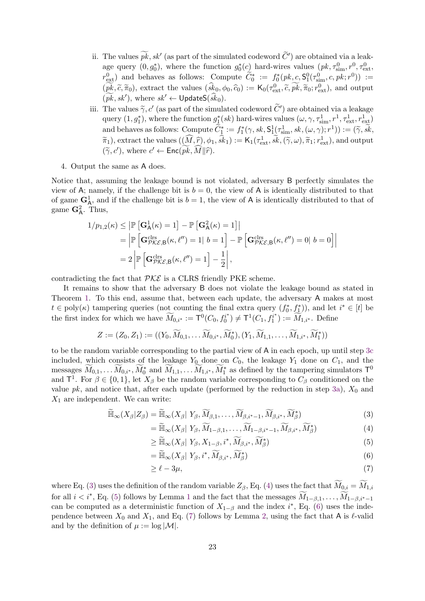- <span id="page-23-5"></span>ii. The values  $\widetilde{pk}$ , sk' (as part of the simulated codeword  $\widetilde{C}'$ ) are obtained via a leakage query  $(0, g_0^*)$ , where the function  $g_0^*(c)$  hard-wires values  $(pk, \tau_{\text{sim}}^0, r^0, \tau_{\text{ext}}^0,$  $r_{\text{ext}}^0$ ) and behaves as follows: Compute  $\widetilde{C}_0^* := f_0^*(pk, c, S_1^0(\tau_{\text{sim}}^0, c, pk; r^0)) :=$  $(\widetilde{pk}, \widetilde{c}, \widetilde{\pi}_0)$ , extract the values  $(\widehat{sk}_0, \phi_0, \widehat{c}_0) := \mathsf{K}_0(\tau_{\text{ext}}^0, \widetilde{c}, \widetilde{pk}, \widetilde{\pi}_0; r_{\text{ext}}^0)$ , and output  $(\widetilde{pk}, sk')$ , where  $sk' \leftarrow \mathsf{UpdateS}(\widehat{sk}_0)$ .
- <span id="page-23-6"></span>iii. The values  $\tilde{\gamma}, c'$  (as part of the simulated codeword  $\tilde{C}'$ ) are obtained via a leakage<br>current (1, c<sup>\*</sup>), where the function  $c^*(cb)$  hard wings values (4, c,  $\pi^1$ ,  $\pi^1$ ,  $\pi^1$ ,  $\pi^1$ ) query  $(1, g_1^*)$ , where the function  $g_1^*(sk)$  hard-wires values  $(\omega, \gamma, \tau_{\text{sim}}^1, r^1, \tau_{\text{ext}}^1, r_{\text{ext}}^1)$ and behaves as follows: Compute  $\widetilde{C}_{1}^{*} := f_{1}^{*}(\gamma, sk, \mathsf{S}_{1}^{1}(\tau_{\text{sim}}^{1}, sk, (\omega, \gamma); r^{1})) := (\widetilde{\gamma}, \widetilde{sk}, \widetilde{\gamma})$  $(\widetilde{m}_1),$  extract the values  $((\widetilde{M}, \widehat{r}), \phi_1, \widehat{sk}_1) := \mathsf{K}_1(\tau_{\text{ext}}^1, \widetilde{sk}, (\widetilde{\gamma}, \omega), \widetilde{\pi}_1; r_{\text{ext}}^1),$  and output  $(\widetilde{\gamma}, c')$ , where  $c' \leftarrow \text{Enc}(\widetilde{pk}, \widehat{M} || \widehat{r})$ .
- 4. Output the same as A does.

Notice that, assuming the leakage bound is not violated, adversary B perfectly simulates the view of A; namely, if the challenge bit is  $b = 0$ , the view of A is identically distributed to that of game  $\mathbf{G}_{\mathsf{A}}^1$ , and if the challenge bit is  $b=1$ , the view of A is identically distributed to that of game  $\mathbf{G}_{\mathsf{A}}^2$ . Thus,

$$
1/p_{1,2}(\kappa) \leq \left| \mathbb{P} \left[ \mathbf{G}_{\mathsf{A}}^{1}(\kappa) = 1 \right] - \mathbb{P} \left[ \mathbf{G}_{\mathsf{A}}^{2}(\kappa) = 1 \right] \right|
$$
  
= 
$$
\left| \mathbb{P} \left[ \mathbf{G}_{\mathcal{PKE},\mathsf{B}}^{\text{clrs}}(\kappa,\ell^{\prime\prime}) = 1 | b = 1 \right] - \mathbb{P} \left[ \mathbf{G}_{\mathcal{PKE},\mathsf{B}}^{\text{clrs}}(\kappa,\ell^{\prime\prime}) = 0 | b = 0 \right] \right|
$$
  
= 
$$
2 \left| \mathbb{P} \left[ \mathbf{G}_{\mathcal{PKE},\mathsf{B}}^{\text{clrs}}(\kappa,\ell^{\prime\prime}) = 1 \right] - \frac{1}{2} \right|,
$$

contradicting the fact that  $PKE$  is a CLRS friendly PKE scheme.

It remains to show that the adversary B does not violate the leakage bound as stated in Theorem [1.](#page-15-2) To this end, assume that, between each update, the adversary A makes at most  $t \in \text{poly}(\kappa)$  tampering queries (not counting the final extra query  $(f_0^*, f_1^*)$ ), and let  $i^* \in [t]$  be the first index for which we have  $\widetilde{M}_{0,i^*} := \mathsf{T}^0(C_0, f_0^{i^*})$  $C_0^{i^*}$ )  $\neq \mathsf{T}^1(C_1, f_1^{i^*})$  $j_{1}^{n^{*}}):=M_{1,i^{*}}$ . Define

$$
Z := (Z_0, Z_1) := ((Y_0, \widetilde{M}_{0,1}, \dots, \widetilde{M}_{0,i^*}, \widetilde{M}_0^*), (Y_1, \widetilde{M}_{1,1}, \dots, \widetilde{M}_{1,i^*}, \widetilde{M}_1^*))
$$

to be the random variable corresponding to the partial view of A in each epoch, up until step [3c](#page-22-2) included, which consists of the leakage  $Y_0$  done on  $C_0$ , the leakage  $Y_1$  done on  $C_1$ , and the messages  $\widetilde{M}_{0,1}, \ldots \widetilde{M}_{0,i^*}, \widetilde{M}_0^*$  and  $\widetilde{M}_{1,1}, \ldots \widetilde{M}_{1,i^*}, \widetilde{M}_1^*$  as defined by the tampering simulators  $\mathsf{T}^0$ and  $\mathsf{T}^1$ . For  $\beta \in \{0,1\}$ , let  $X_\beta$  be the random variable corresponding to  $C_\beta$  conditioned on the value  $pk$ , and notice that, after each update (performed by the reduction in step [3a\)](#page-22-3),  $X_0$  and  $X_1$  are independent. We can write:

$$
\widetilde{\mathbb{H}}_{\infty}(X_{\beta}|Z_{\beta}) = \widetilde{\mathbb{H}}_{\infty}(X_{\beta}|Y_{\beta},\widetilde{M}_{\beta,1},\ldots,\widetilde{M}_{\beta,i^*-1},\widetilde{M}_{\beta,i^*},\widetilde{M}_{\beta}^*)
$$
\n(3)

<span id="page-23-0"></span>
$$
= \widetilde{\mathbb{H}}_{\infty}(X_{\beta} | Y_{\beta}, \widetilde{M}_{1-\beta,1}, \dots, \widetilde{M}_{1-\beta,i^{*}-1}, \widetilde{M}_{\beta,i^{*}}, \widetilde{M}_{\beta}^{*})
$$
(4)

<span id="page-23-2"></span><span id="page-23-1"></span>
$$
\geq \widetilde{\mathbb{H}}_{\infty}(X_{\beta} | Y_{\beta}, X_{1-\beta}, i^*, \widetilde{M}_{\beta, i^*}, \widetilde{M}_{\beta}^*)
$$
\n
$$
\tag{5}
$$

<span id="page-23-4"></span><span id="page-23-3"></span>
$$
= \widetilde{\mathbb{H}}_{\infty}(X_{\beta} | Y_{\beta}, i^*, \widetilde{M}_{\beta, i^*}, \widetilde{M}_{\beta}^*)
$$
\n
$$
\tag{6}
$$

$$
\geq \ell - 3\mu,\tag{7}
$$

where Eq. [\(3\)](#page-23-0) uses the definition of the random variable  $Z_{\beta}$ , Eq. [\(4\)](#page-23-1) uses the fact that  $\widetilde{M}_{0,i} = \widetilde{M}_{1,i}$ for all  $i < i^*$ , Eq. [\(5\)](#page-23-2) follows by Lemma [1](#page-6-1) and the fact that the messages  $M_{1-\beta,1}, \ldots, M_{1-\beta,i^*-1}$ can be computed as a deterministic function of  $X_{1-\beta}$  and the index i<sup>\*</sup>, Eq. [\(6\)](#page-23-3) uses the independence between  $X_0$  and  $X_1$ , and Eq. [\(7\)](#page-23-4) follows by Lemma [2,](#page-6-2) using the fact that A is  $\ell$ -valid and by the definition of  $\mu := \log |\mathcal{M}|$ .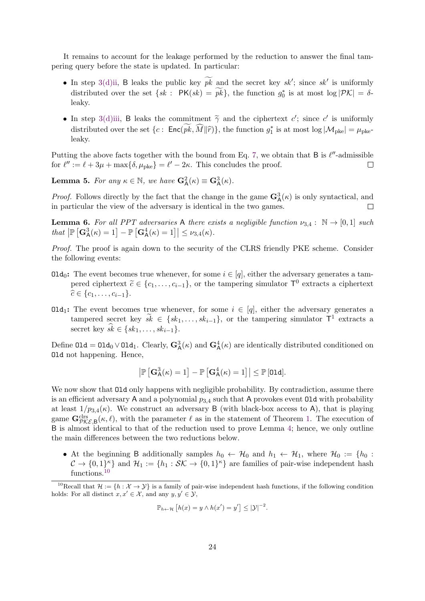It remains to account for the leakage performed by the reduction to answer the final tampering query before the state is updated. In particular:

- In step [3\(d\)ii,](#page-23-5) B leaks the public key  $\widetilde{pk}$  and the secret key  $sk'$ ; since  $sk'$  is uniformly distributed over the set  $\{sk : \mathsf{PK}(sk) = pk\}$ , the function  $g_0^*$  is at most  $\log |\mathcal{PK}| = \delta$ leaky.
- In step [3\(d\)iii,](#page-23-6) B leaks the commitment  $\tilde{\gamma}$  and the ciphertext c'; since c' is uniformly distributed over the set  $\{c: \mathsf{Enc}(p\vec{k}, \vec{M}||\hat{r})\}$ , the function  $g_1^*$  is at most log  $|\mathcal{M}_{\text{pke}}| = \mu_{\text{pke}}$ leaky.

Putting the above facts together with the bound from Eq. [7,](#page-23-4) we obtain that  $B$  is  $\ell''$ -admissible for  $\ell'':= \ell + 3\mu + \max{\delta, \mu_{\text{pke}} } = \ell' - 2\kappa$ . This concludes the proof.  $\Box$ 

**Lemma 5.** For any  $\kappa \in \mathbb{N}$ , we have  $\mathbf{G}_{\mathbf{A}}^2(\kappa) \equiv \mathbf{G}_{\mathbf{A}}^3(\kappa)$ .

*Proof.* Follows directly by the fact that the change in the game  $G_A^3(\kappa)$  is only syntactical, and in particular the view of the adversary is identical in the two games.  $\Box$ 

**Lemma 6.** For all PPT adversaries A there exists a negligible function  $\nu_{3,4} : \mathbb{N} \to [0,1]$  such that  $\left| \mathbb{P}\left[\mathbf{G}^3_{\mathsf{A}}(\kappa)=1\right]-\mathbb{P}\left[\mathbf{G}^4_{\mathsf{A}}(\kappa)=1\right]\right|\leq \nu_{3,4}(\kappa).$ 

Proof. The proof is again down to the security of the CLRS friendly PKE scheme. Consider the following events:

- $0 \text{Id}_0$ : The event becomes true whenever, for some  $i \in [q]$ , either the adversary generates a tampered ciphertext  $\tilde{c} \in \{c_1, \ldots, c_{i-1}\}$ , or the tampering simulator  $\mathsf{T}^0$  extracts a ciphertext  $\hat{c} \in \{c_1, \ldots, c_{i-1}\}.$
- Old<sub>1</sub>: The event becomes true whenever, for some  $i \in [q]$ , either the adversary generates a tampered secret key  $\widetilde{sk} \in \{sk_1, \ldots, sk_{i-1}\},\$ or the tampering simulator  $\mathsf{T}^1$  extracts a secret key  $s\hat{k} \in \{sk_1, \ldots, sk_{i-1}\}.$

Define 01d = 01d<sub>0</sub>  $\vee$  01d<sub>1</sub>. Clearly,  $\mathbf{G}_{\mathbf{A}}^{3}(\kappa)$  and  $\mathbf{G}_{\mathbf{A}}^{4}(\kappa)$  are identically distributed conditioned on Old not happening. Hence,

$$
\left|\mathbb{P}\left[\mathbf{G}^3_{\mathsf{A}}(\kappa)=1\right]-\mathbb{P}\left[\mathbf{G}^4_{\mathsf{A}}(\kappa)=1\right]\right|\leq \mathbb{P}\left[\text{01d}\right].
$$

We now show that **OLD** only happens with negligible probability. By contradiction, assume there is an efficient adversary A and a polynomial  $p_{3,4}$  such that A provokes event Old with probability at least  $1/p_{3,4}(\kappa)$ . We construct an adversary B (with black-box access to A), that is playing game  $\mathbf{G}_{\mathcal{PKE},\mathbf{B}}^{\text{clrs}}(\kappa,\ell)$ , with the parameter  $\ell$  as in the statement of Theorem [1.](#page-15-2) The execution of B is almost identical to that of the reduction used to prove Lemma [4;](#page-22-4) hence, we only outline the main differences between the two reductions below.

• At the beginning B additionally samples  $h_0 \leftarrow H_0$  and  $h_1 \leftarrow H_1$ , where  $H_0 := \{h_0 :$  $\mathcal{C} \to \{0,1\}^{\kappa}$  and  $\mathcal{H}_1 := \{h_1 : \mathcal{SK} \to \{0,1\}^{\kappa}\}\$ are families of pair-wise independent hash functions.<sup>[10](#page-24-0)</sup>

$$
\mathbb{P}_{h\leftarrow\mathcal{H}}\left[h(x)=y\wedge h(x')=y'\right]\leq |\mathcal{Y}|^{-2}.
$$

<span id="page-24-0"></span><sup>&</sup>lt;sup>10</sup>Recall that  $\mathcal{H} := \{h : \mathcal{X} \to \mathcal{Y}\}\$ is a family of pair-wise independent hash functions, if the following condition holds: For all distinct  $x, x' \in \mathcal{X}$ , and any  $y, y' \in \mathcal{Y}$ ,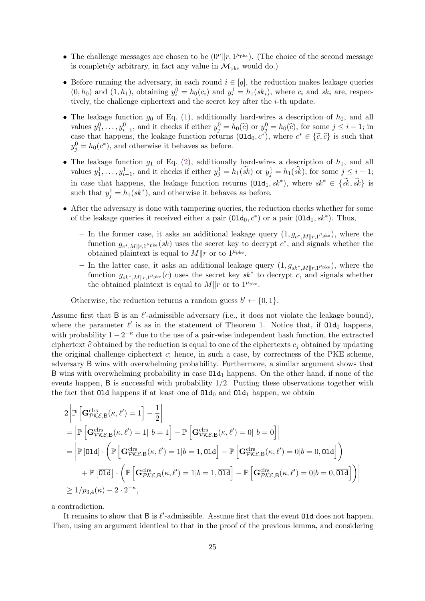- The challenge messages are chosen to be  $(0^{\mu}||r, 1^{\mu_{\text{pke}}})$ . (The choice of the second message is completely arbitrary, in fact any value in  $\mathcal{M}_{\text{pke}}$  would do.)
- Before running the adversary, in each round  $i \in [q]$ , the reduction makes leakage queries  $(0, h_0)$  and  $(1, h_1)$ , obtaining  $y_i^0 = h_0(c_i)$  and  $y_i^1 = h_1(sk_i)$ , where  $c_i$  and  $sk_i$  are, respectively, the challenge ciphertext and the secret key after the *i*-th update.
- The leakage function  $g_0$  of Eq. [\(1\)](#page-22-0), additionally hard-wires a description of  $h_0$ , and all values  $y_1^0, \ldots, y_{i-1}^0$ , and it checks if either  $y_j^0 = h_0(\tilde{c})$  or  $y_j^0 = h_0(\tilde{c})$ , for some  $j \leq i - 1$ ; in case that happens, the leakage function returns  $(01d_0, c^*)$ , where  $c^* \in {\tilde{c}, \tilde{c}}$  is such that  $c^0 =$  $y_j^0 = h_0(c^*)$ , and otherwise it behaves as before.
- The leakage function  $g_1$  of Eq. [\(2\)](#page-22-1), additionally hard-wires a description of  $h_1$ , and all values  $y_1^1, \ldots, y_{i-1}^1$ , and it checks if either  $y_j^1 = h_1(\widetilde{sk})$  or  $y_j^1 = h_1(\widehat{sk})$ , for some  $j \leq i-1$ ; in case that happens, the leakage function returns  $(01d_1, sk^*)$ , where  $sk^* \in {\widetilde{\delta k}, \widetilde{\delta k}}$  is such that  $y_j^1 = h_1(s k^*)$ , and otherwise it behaves as before.
- After the adversary is done with tampering queries, the reduction checks whether for some of the leakage queries it received either a pair  $(01d_0, c^*)$  or a pair  $(01d_1, sk^*)$ . Thus,
	- − In the former case, it asks an additional leakage query  $(1, g_{c*,M||r,1^{\mu_{\text{pke}}}})$ , where the function  $g_{c^*,M||r,1^{\mu_{\text{pke}}}}(sk)$  uses the secret key to decrypt  $c^*$ , and signals whether the obtained plaintext is equal to  $M||r$  or to  $1^{\mu_{\text{pke}}}$ .
	- In the latter case, it asks an additional leakage query  $(1, g_{sk^*,M||r,1^{\mu_{\text{pke}}}})$ , where the function  $g_{sk^*,M||r,1^{\mu_{\text{pke}}}}(c)$  uses the secret key  $sk^*$  to decrypt c, and signals whether the obtained plaintext is equal to  $M||r$  or to  $1^{\mu_{\text{pke}}}$ .

Otherwise, the reduction returns a random guess  $b' \leftarrow \{0, 1\}.$ 

Assume first that  $B$  is an  $\ell'$ -admissible adversary (i.e., it does not violate the leakage bound), where the parameter  $\ell'$  is as in the statement of Theorem [1.](#page-15-2) Notice that, if  $O1d_0$  happens, with probability  $1 - 2^{-\kappa}$  due to the use of a pair-wise independent hash function, the extracted ciphertext  $\hat{c}$  obtained by the reduction is equal to one of the ciphertexts  $c_i$  obtained by updating the original challenge ciphertext  $c$ ; hence, in such a case, by correctness of the PKE scheme, adversary B wins with overwhelming probability. Furthermore, a similar argument shows that B wins with overwhelming probability in case  $\texttt{Old}_1$  happens. On the other hand, if none of the events happen,  $\bf{B}$  is successful with probability 1/2. Putting these observations together with the fact that Old happens if at least one of  $0ld_0$  and  $0ld_1$  happen, we obtain

$$
2\left|\mathbb{P}\left[\mathbf{G}_{\mathcal{PKE},\mathsf{B}}^{\text{clrs}}(\kappa,\ell')=1\right]-\frac{1}{2}\right|
$$
\n
$$
=\left|\mathbb{P}\left[\mathbf{G}_{\mathcal{PKE},\mathsf{B}}^{\text{clrs}}(\kappa,\ell')=1\right|b=1\right]-\mathbb{P}\left[\mathbf{G}_{\mathcal{PKE},\mathsf{B}}^{\text{clrs}}(\kappa,\ell')=0\right|b=0\right]\right|
$$
\n
$$
=\left|\mathbb{P}\left[\text{01d}\right]\cdot\left(\mathbb{P}\left[\mathbf{G}_{\mathcal{PKE},\mathsf{B}}^{\text{clrs}}(\kappa,\ell')=1|b=1,\text{01d}\right]-\mathbb{P}\left[\mathbf{G}_{\mathcal{PKE},\mathsf{B}}^{\text{clrs}}(\kappa,\ell')=0|b=0,\text{01d}\right]\right)
$$
\n
$$
+\mathbb{P}\left[\overline{\text{01d}}\right]\cdot\left(\mathbb{P}\left[\mathbf{G}_{\mathcal{PKE},\mathsf{B}}^{\text{clrs}}(\kappa,\ell')=1|b=1,\overline{\text{01d}}\right]-\mathbb{P}\left[\mathbf{G}_{\mathcal{PKE},\mathsf{B}}^{\text{clrs}}(\kappa,\ell')=0|b=0,\overline{\text{01d}}\right]\right)\right|
$$
\n
$$
\geq 1/p_{3,4}(\kappa)-2\cdot2^{-\kappa},
$$

a contradiction.

It remains to show that  $B$  is  $\ell'$ -admissible. Assume first that the event  $O1d$  does not happen. Then, using an argument identical to that in the proof of the previous lemma, and considering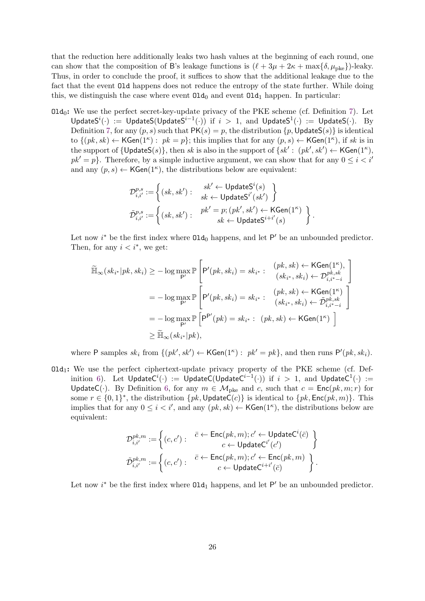that the reduction here additionally leaks two hash values at the beginning of each round, one can show that the composition of B's leakage functions is  $(\ell + 3\mu + 2\kappa + \max{\delta, \mu_{\text{pke}}})$ -leaky. Thus, in order to conclude the proof, it suffices to show that the additional leakage due to the fact that the event Old happens does not reduce the entropy of the state further. While doing this, we distinguish the case where event  $01d_0$  and event  $01d_1$  happen. In particular:

 $01d_0$ : We use the perfect secret-key-update privacy of the PKE scheme (cf. Definition [7\)](#page-9-3). Let UpdateS<sup>*i*</sup>(·) := UpdateS(UpdateS<sup>*i*-1</sup>(·)) if  $i > 1$ , and UpdateS<sup>1</sup>(·) := UpdateS(·). By Definition [7,](#page-9-3) for any  $(p, s)$  such that  $PK(s) = p$ , the distribution  $\{p, \text{UpdateS}(s)\}\$ is identical to  $\{(pk, sk) \leftarrow \mathsf{KGen}(1^{\kappa}) : pk = p\}$ ; this implies that for any  $(p, s) \leftarrow \mathsf{KGen}(1^{\kappa})$ , if sk is in the support of  $\{\mathsf{UpdateS}(s)\}\)$ , then  $sk$  is also in the support of  $\{sk': (pk', sk') \leftarrow \mathsf{KGen}(1^{\kappa})\}$ ,  $pk' = p$ . Therefore, by a simple inductive argument, we can show that for any  $0 \le i \le i'$ and any  $(p, s) \leftarrow \mathsf{KGen}(1^{\kappa})$ , the distributions below are equivalent:

$$
\begin{aligned} \mathcal{D}_{i,i'}^{p,s} := & \left\{ (sk, sk'): \begin{array}{c} sk' \leftarrow \mathsf{UpdateS}^i(s) \\ sk \leftarrow \mathsf{UpdateS}^{i'}(sk') \end{array} \right\} \\ \tilde{\mathcal{D}}_{i,i'}^{p,s} := & \left\{ (sk, sk'): \begin{array}{c} pk' = p; (pk', sk') \leftarrow \mathsf{KGen}(1^{\kappa}) \\ sk \leftarrow \mathsf{UpdateS}^{i+i'}(s) \end{array} \right. \right\} \end{aligned}
$$

.

Let now  $i^*$  be the first index where  $01d_0$  happens, and let P' be an unbounded predictor. Then, for any  $i < i^*$ , we get:

$$
\widetilde{\mathbb{H}}_{\infty}(sk_{i^*}|pk, sk_i) \ge -\log \max_{\mathsf{P}'} \mathbb{P}\left[\mathsf{P}'(pk, sk_i) = sk_{i^*}: \begin{array}{l} (pk, sk) \leftarrow \mathsf{KGen}(1^{\kappa}), \\ (sk_{i^*}, sk_i) \leftarrow \mathcal{D}_{i, i^* - i}^{pk, sk} \end{array}\right]\right]
$$
\n
$$
= -\log \max_{\mathsf{P}'} \mathbb{P}\left[\mathsf{P}'(pk, sk_i) = sk_{i^*}: \begin{array}{l} (pk, sk) \leftarrow \mathsf{KGen}(1^{\kappa}) \\ (sk_{i^*}, sk_i) \leftarrow \mathcal{\tilde{D}}_{i, i^* - i}^{pk, sk} \end{array}\right]\right]
$$
\n
$$
= -\log \max_{\mathsf{P}'} \mathbb{P}\left[\mathsf{P}^{\mathsf{P}'}(pk) = sk_{i^*}: (pk, sk) \leftarrow \mathsf{KGen}(1^{\kappa})\right]
$$
\n
$$
\ge \widetilde{\mathbb{H}}_{\infty}(sk_{i^*}|pk),
$$

where P samples  $sk_i$  from  $\{(pk', sk') \leftarrow \mathsf{KGen}(1^{\kappa}) : pk' = pk\}$ , and then runs  $\mathsf{P}'(pk, sk_i)$ .

 $01d_1$ : We use the perfect ciphertext-update privacy property of the PKE scheme (cf. Definition [6\)](#page-9-4). Let UpdateC<sup>i</sup> (·) := UpdateC(UpdateCi−<sup>1</sup> (·)) if i > 1, and UpdateC<sup>1</sup> (·) := UpdateC(·). By Definition [6,](#page-9-4) for any  $m \in \mathcal{M}_{\text{pke}}$  and c, such that  $c = \text{Enc}(pk, m; r)$  for some  $r \in \{0,1\}^*$ , the distribution  $\{pk, \text{UpdateC}(c)\}\$ is identical to  $\{pk, \text{Enc}(pk, m)\}\$ . This implies that for any  $0 \le i \le i'$ , and any  $(pk, sk) \leftarrow \mathsf{KGen}(1^{\kappa})$ , the distributions below are equivalent:

$$
\begin{aligned} \mathcal{D}^{pk,m}_{i,i'} &:= \left\{ (c,c'):\quad \begin{array}{l} \bar{c} \leftarrow \mathsf{Enc}(pk,m); c' \leftarrow \mathsf{UpdateC}^i(\bar{c}) \\ c \leftarrow \mathsf{UpdateC}^{i'}(c') \end{array} \right\} \\ \tilde{\mathcal{D}}^{pk,m}_{i,i'} &:= \left\{ (c,c'):\quad \begin{array}{l} \bar{c} \leftarrow \mathsf{Enc}(pk,m); c' \leftarrow \mathsf{Enc}(pk,m) \\ c \leftarrow \mathsf{UpdateC}^{i+i'}(\bar{c}) \end{array} \right\} \right. . \end{aligned}
$$

Let now  $i^*$  be the first index where  $\texttt{Old}_1$  happens, and let P' be an unbounded predictor.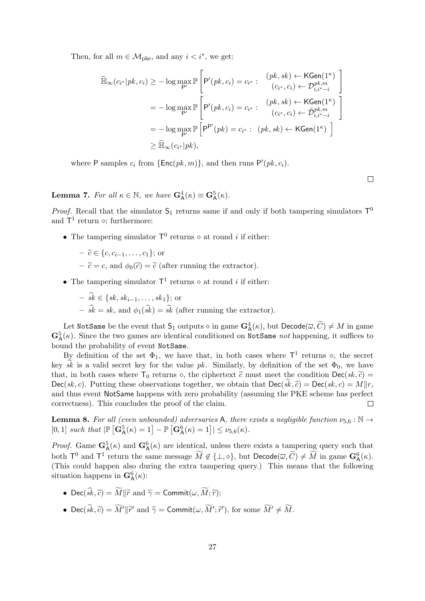Then, for all  $m \in \mathcal{M}_{\text{pke}}$ , and any  $i < i^*$ , we get:

$$
\widetilde{\mathbb{H}}_{\infty}(c_{i^*}|pk, c_i) \ge -\log \max_{\mathsf{P}'} \mathbb{P}\left[\mathsf{P}'(pk, c_i) = c_{i^*}: \begin{array}{c} (pk, sk) \leftarrow \mathsf{KGen}(1^{\kappa}) \\ (c_{i^*}, c_i) \leftarrow \mathcal{D}_{i, i^{*-1}}^{pk, m} \end{array}\right]\right]
$$
\n
$$
= -\log \max_{\mathsf{P}'} \mathbb{P}\left[\mathsf{P}'(pk, c_i) = c_{i^*}: \begin{array}{c} (pk, sk) \leftarrow \mathsf{KGen}(1^{\kappa}) \\ (c_{i^*}, c_i) \leftarrow \tilde{\mathcal{D}}_{i, i^{*-1}}^{pk, m} \end{array}\right]\right]
$$
\n
$$
= -\log \max_{\mathsf{P}'} \mathbb{P}\left[\mathsf{P}^{\mathsf{P}'}(pk) = c_{i^*}: (pk, sk) \leftarrow \mathsf{KGen}(1^{\kappa})\right]
$$
\n
$$
\ge \widetilde{\mathbb{H}}_{\infty}(c_{i^*}|pk),
$$

where P samples  $c_i$  from  $\{\text{Enc}(pk, m)\},$  and then runs  $\mathsf{P}'(pk, c_i)$ .

**Lemma 7.** For all  $\kappa \in \mathbb{N}$ , we have  $\mathbf{G}_{\mathbf{A}}^4(\kappa) \equiv \mathbf{G}_{\mathbf{A}}^5(\kappa)$ .

*Proof.* Recall that the simulator  $S_1$  returns same if and only if both tampering simulators  $T^0$ and  $\mathsf{T}^1$  return  $\diamond$ ; furthermore:

• The tampering simulator  $T^0$  returns  $\diamond$  at round *i* if either:

$$
- \widetilde{c} \in \{c, c_{i-1}, \dots, c_1\}; \text{ or }
$$

- $-\hat{c} = c$ , and  $\phi_0(\hat{c}) = \tilde{c}$  (after running the extractor).
- The tampering simulator  $T^1$  returns  $\diamond$  at round *i* if either:

$$
- sk \in \{sk, sk_{i-1}, \ldots, sk_1\}; \text{ or }
$$

 $-sk = sk$ , and  $\phi_1(sk) = sk$  (after running the extractor).

Let NotSame be the event that  $S_1$  outputs  $\diamond$  in game  $G_A^4(\kappa)$ , but  $Decode(\overline{\omega}, \widetilde{C}) \neq M$  in game  $G_A^5(\kappa)$ . Since the two games are identical conditioned on NotSame not happening, it suffices to bound the probability of event NotSame.

By definition of the set  $\Phi_1$ , we have that, in both cases where  $\mathsf{T}^1$  returns  $\diamond$ , the secret key sk is a valid secret key for the value pk. Similarly, by definition of the set  $\Phi_0$ , we have that, in both cases where  $\mathsf{T}_0$  returns  $\diamond$ , the ciphertext  $\tilde{c}$  must meet the condition  $\mathsf{Dec}(sk, \tilde{c})$  $Dec(sk, c)$ . Putting these observations together, we obtain that  $Dec(sk, \tilde{c}) = Dec(sk, c) = M||r$ , and thus event NotSame happens with zero probability (assuming the PKE scheme has perfect correctness). This concludes the proof of the claim.  $\Box$ 

**Lemma 8.** For all (even unbounded) adversaries A, there exists a negligible function  $\nu_{5,6} : \mathbb{N} \to$  $[0,1]$  such that  $\left| \mathbb{P}\left[\mathbf{G}^{5}_{\mathsf{A}}(\kappa)=1\right]-\mathbb{P}\left[\mathbf{G}^{6}_{\mathsf{A}}(\kappa)=1\right]\right| \leq \nu_{5,6}(\kappa).$ 

*Proof.* Game  $G_A^5(\kappa)$  and  $G_A^6(\kappa)$  are identical, unless there exists a tampering query such that both  $\mathsf{T}^0$  and  $\mathsf{T}^1$  return the same message  $\widetilde{M} \notin \{\bot, \diamond\}$ , but  $\mathsf{Decode}(\overline{\omega}, \widetilde{C}) \neq \widetilde{M}$  in game  $\mathbf{G}^6_{\mathsf{A}}(\kappa)$ . (This could happen also during the extra tampering query.) This means that the following situation happens in  $\mathbf{G}_{\mathsf{A}}^{6}(\kappa)$ :

- Dec( $\widehat{sk}, \widetilde{c}$ ) =  $\widetilde{M}||\widetilde{r}$  and  $\widetilde{\gamma}$  = Commit( $\omega, \widetilde{M}; \widehat{r}$ );
- Dec( $\widetilde{sk}, \widetilde{c}$ ) =  $\widetilde{M}'|\widetilde{r}'$  and  $\widetilde{\gamma}$  = Commit( $\omega, \widetilde{M}'; \widetilde{r}'$ ), for some  $\widetilde{M}' \neq \widetilde{M}$ .

 $\Box$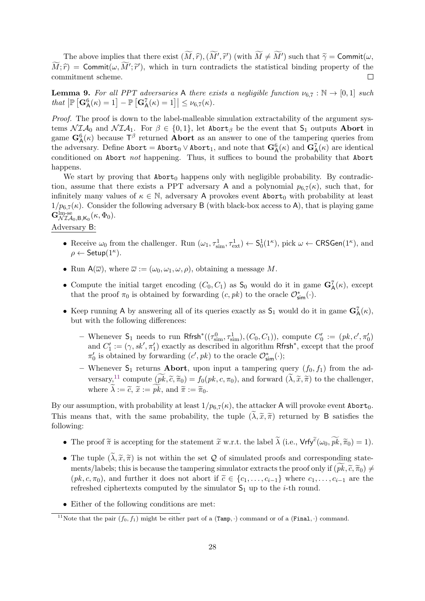The above implies that there exist  $(\tilde{M}, \hat{r}), (\tilde{M}', \tilde{r}')$  (with  $\tilde{M} \neq \tilde{M}'$ ) such that  $\tilde{\gamma} = \text{Commit}(\omega, \hat{\omega})$  $\widetilde{M};\hat{r}$  = Commit $(\omega, \widetilde{M}';\tilde{r}')$ , which in turn contradicts the statistical binding property of the commitment scheme.  $\Box$ 

**Lemma 9.** For all PPT adversaries A there exists a negligible function  $\nu_{6.7} : \mathbb{N} \to [0,1]$  such that  $\left| \mathbb{P}\left[\mathbf{G}^6_{\mathsf{A}}(\kappa)=1\right]-\mathbb{P}\left[\mathbf{G}^7_{\mathsf{A}}(\kappa)=1\right]\right|\leq \nu_{6,7}(\kappa).$ 

Proof. The proof is down to the label-malleable simulation extractability of the argument systems  $NIA_0$  and  $NIA_1$ . For  $\beta \in \{0,1\}$ , let Abort<sub> $\beta$ </sub> be the event that  $S_1$  outputs **Abort** in game  $\mathbf{G}_{\mathsf{A}}^6(\kappa)$  because  $\mathsf{T}^{\beta}$  returned **Abort** as an answer to one of the tampering queries from the adversary. Define  $\text{Abort} = \text{Abort}_0 \vee \text{Abort}_1$ , and note that  $\mathbf{G}_{\mathsf{A}}^6(\kappa)$  and  $\mathbf{G}_{\mathsf{A}}^7(\kappa)$  are identical conditioned on Abort *not* happening. Thus, it suffices to bound the probability that Abort happens.

We start by proving that  $\text{Abort}_0$  happens only with negligible probability. By contradiction, assume that there exists a PPT adversary A and a polynomial  $p_{6.7}(\kappa)$ , such that, for infinitely many values of  $\kappa \in \mathbb{N}$ , adversary A provokes event Abort<sub>0</sub> with probability at least  $1/p_{6,7}(\kappa)$ . Consider the following adversary B (with black-box access to A), that is playing game  $\mathbf{G}^{\text{lm-se}}_{\mathcal{NIA}_0,B,\mathsf{K}_0}(\kappa,\Phi_0).$ 

Adversary B:

- Receive  $\omega_0$  from the challenger. Run  $(\omega_1, \tau_{\text{sim}}^1, \tau_{\text{ext}}^1) \leftarrow S_0^1(1^{\kappa})$ , pick  $\omega \leftarrow \text{CRSGen}(1^{\kappa})$ , and  $\rho \leftarrow$  Setup $(1^{\kappa})$ .
- Run  $A(\overline{\omega})$ , where  $\overline{\omega} := (\omega_0, \omega_1, \omega, \rho)$ , obtaining a message M.
- Compute the initial target encoding  $(C_0, C_1)$  as  $S_0$  would do it in game  $\mathbf{G}_{\mathbf{A}}^7(\kappa)$ , except that the proof  $\pi_0$  is obtained by forwarding  $(c, pk)$  to the oracle  $\mathcal{O}^*_{\text{sim}}(\cdot)$ .
- Keep running A by answering all of its queries exactly as  $S_1$  would do it in game  $G_A^7(\kappa)$ , but with the following differences:
	- Whenever  $S_1$  needs to run Rfrsh<sup>\*</sup>(( $\tau_{sim}^0$ ,  $\tau_{sim}^1$ ), ( $C_0$ ,  $C_1$ )), compute  $C'_0 := (pk, c', \pi'_0)$ and  $C'_1 := (\gamma, sk', \pi'_1)$  exactly as described in algorithm Rfrsh<sup>\*</sup>, except that the proof  $\pi'_0$  is obtained by forwarding  $(c',pk)$  to the oracle  $\mathcal{O}^*_{\textsf{sim}}(\cdot)$ ;
	- Whenever  $S_1$  returns **Abort**, upon input a tampering query  $(f_0, f_1)$  from the ad-versary,<sup>[11](#page-28-0)</sup> compute  $(\widetilde{pk}, \widetilde{c}, \widetilde{\pi}_0) = f_0(pk, c, \pi_0)$ , and forward  $(\widetilde{\lambda}, \widetilde{x}, \widetilde{\pi})$  to the challenger, where  $\widetilde{\lambda} := \widetilde{c}, \widetilde{x} := \widetilde{pk}, \text{ and } \widetilde{\pi} := \widetilde{\pi}_0.$

By our assumption, with probability at least  $1/p_{6,7}(\kappa)$ , the attacker A will provoke event Abort<sub>0</sub>. This means that, with the same probability, the tuple  $(\lambda, \tilde{x}, \tilde{\pi})$  returned by B satisfies the following:

- The proof  $\widetilde{\pi}$  is accepting for the statement  $\widetilde{x}$  w.r.t. the label  $\widetilde{\lambda}$  (i.e.,  $\mathsf{Vrfy}^{\widetilde{c}}(\omega_0, \widetilde{pk}, \widetilde{\pi}_0) = 1$ ).
- The tuple  $(\lambda, \tilde{x}, \tilde{\pi})$  is not within the set Q of simulated proofs and corresponding statements/labels; this is because the tampering simulator extracts the proof only if  $(\tilde{pk}, \tilde{c}, \tilde{\pi}_0) \neq$  $(pk, c, \pi_0)$ , and further it does not abort if  $\tilde{c} \in \{c_1, \ldots, c_{i-1}\}$  where  $c_1, \ldots, c_{i-1}$  are the refreshed ciphertexts computed by the simulator  $S_1$  up to the *i*-th round.
- Either of the following conditions are met:

<span id="page-28-0"></span><sup>&</sup>lt;sup>11</sup>Note that the pair  $(f_0, f_1)$  might be either part of a (Tamp, ·) command or of a (Final, ·) command.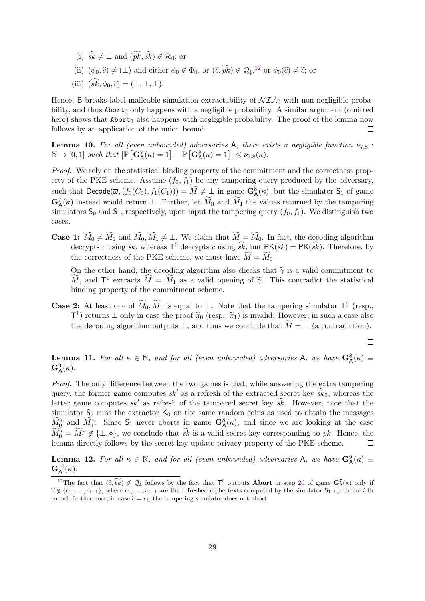- (i)  $\widehat{sk} \neq \perp$  and  $(\widetilde{pk}, \widehat{sk}) \notin \mathcal{R}_0$ ; or
- (ii)  $(\phi_0, \hat{c}) \neq (\perp)$  and either  $\phi_0 \notin \Phi_0$ , or  $(\hat{c}, p\hat{k}) \notin \mathcal{Q}_\downarrow, ^{12}$  $(\hat{c}, p\hat{k}) \notin \mathcal{Q}_\downarrow, ^{12}$  $(\hat{c}, p\hat{k}) \notin \mathcal{Q}_\downarrow, ^{12}$  or  $\phi_0(\hat{c}) \neq \tilde{c}$ ; or
- (iii)  $(\widehat{sk}, \phi_0, \widehat{c}) = (\perp, \perp, \perp).$

Hence, B breaks label-malleable simulation extractability of  $NIA_0$  with non-negligible probability, and thus Abort<sub>0</sub> only happens with a negligible probability. A similar argument (omitted here) shows that  $\text{Abort}_1$  also happens with negligible probability. The proof of the lemma now follows by an application of the union bound.  $\Box$ 

**Lemma 10.** For all (even unbounded) adversaries A, there exists a negligible function  $v_{7,8}$ :  $\mathbb{N} \to [0,1]$  such that  $\left| \mathbb{P} \left[ \mathbf{G}_{\mathsf{A}}^{7}(\kappa) = 1 \right] - \mathbb{P} \left[ \mathbf{G}_{\mathsf{A}}^{8}(\kappa) = 1 \right] \right| \leq \nu_{7,8}(\kappa)$ .

Proof. We rely on the statistical binding property of the commitment and the correctness property of the PKE scheme. Assume  $(f_0, f_1)$  be any tampering query produced by the adversary, such that  $\mathsf{Decode}(\overline{\omega}, (f_0(C_0), f_1(C_1))) = \widetilde{M} \neq \perp \text{ in game } \mathbf{G}_{\mathsf{A}}^8(\kappa)$ , but the simulator  $\mathsf{S}_1$  of game  $\mathbf{G}_{\mathsf{A}}^{7}(\kappa)$  instead would return  $\perp$ . Further, let  $M_0$  and  $M_1$  the values returned by the tampering simulators  $S_0$  and  $S_1$ , respectively, upon input the tampering query  $(f_0, f_1)$ . We distinguish two cases.

**Case 1:**  $\widetilde{M}_0 \neq \widetilde{M}_1$  and  $\widetilde{M}_0, \widetilde{M}_1 \neq \bot$ . We claim that  $\widetilde{M} = \widetilde{M}_0$ . In fact, the decoding algorithm decrypts  $\tilde{c}$  using  $\tilde{s}k$ , whereas  $\mathsf{T}^0$  decrypts  $\tilde{c}$  using  $\tilde{s}k$ , but  $\mathsf{PK}(\tilde{s}k) = \mathsf{PK}(\tilde{s}k)$ . Therefore, by the correctness of the PKE scheme, we must have  $\overline{M} = \overline{M}_0$ .

On the other hand, the decoding algorithm also checks that  $\tilde{\gamma}$  is a valid commitment to  $\widetilde{M}$ , and  $\mathsf{T}^1$  extracts  $\widehat{M} = \widetilde{M}_1$  as a valid opening of  $\widetilde{\gamma}$ . This contradict the statistical hinding property of the commitment scheme binding property of the commitment scheme.

**Case 2:** At least one of  $\widetilde{M}_0$ ,  $\widetilde{M}_1$  is equal to  $\perp$ . Note that the tampering simulator  $\mathsf{T}^0$  (resp.,  $T^1$ ) returns  $\perp$  only in case the proof  $\tilde{\pi}_0$  (resp.,  $\tilde{\pi}_1$ ) is invalid. However, in such a case also the decoding algorithm outputs  $\perp$ , and thus we conclude that  $\widetilde{M} = \perp$  (a contradiction).

$$
\Box
$$

**Lemma 11.** For all  $\kappa \in \mathbb{N}$ , and for all (even unbounded) adversaries A, we have  $\mathbf{G}_{\mathbf{A}}^8(\kappa) \equiv$  ${\bf G}_{\mathsf{A}}^9(\kappa).$ 

Proof. The only difference between the two games is that, while answering the extra tampering query, the former game computes  $sk'$  as a refresh of the extracted secret key  $\widehat{sk}_0$ , whereas the latter game computes  $sk'$  as refresh of the tampered secret key  $sk$ . However, note that the simulator  $S_1$  runs the extractor  $K_0$  on the same random coins as used to obtain the messages  $\widetilde{M}_0^*$  and  $\widetilde{M}_1^*$ . Since  $S_1$  never aborts in game  $\mathbf{G}_{\mathsf{A}}^8(\kappa)$ , and since we are looking at the case  $\widetilde{M}_{0}^{*} = \widetilde{M}_{1}^{*} \notin \{\bot, \diamond\},\$  we conclude that  $\widetilde{sk}$  is a valid secret key corresponding to pk. Hence, the lemma directly follows by the secret-key update privacy property of the PKE scheme.

**Lemma 12.** For all  $\kappa \in \mathbb{N}$ , and for all (even unbounded) adversaries A, we have  $\mathbf{G}_{\mathbf{A}}^9(\kappa) \equiv$  ${\bf G}_{\mathsf{A}}^{10}(\kappa).$ 

<span id="page-29-0"></span><sup>&</sup>lt;sup>12</sup>The fact that  $(\widehat{c}, \widetilde{pk}) \notin \mathcal{Q}_\downarrow$  follows by the fact that  $T^0$  outputs **Abort** in step [2d](#page-18-5) of game  $G_A^7(\kappa)$  only if  $\hat{c} \notin \{c_1, \ldots, c_{i-1}\}\$ , where  $c_1, \ldots, c_{i-1}$  are the refreshed ciphertexts computed by the simulator  $S_1$  up to the *i*-th round; furthermore, in case  $\hat{c} = c_i$ , the tampering simulator does not abort.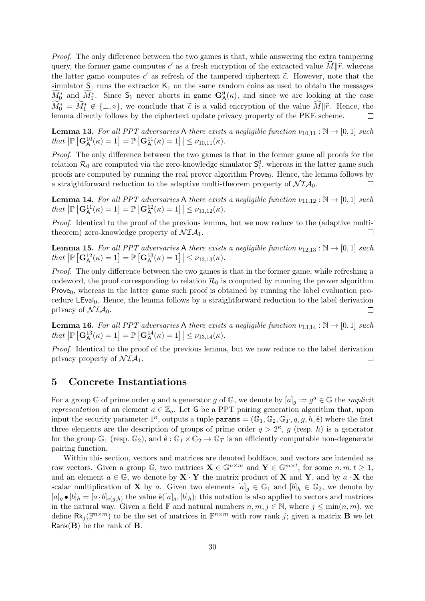Proof. The only difference between the two games is that, while answering the extra tampering query, the former game computes c' as a fresh encryption of the extracted value  $\widehat{M}||\widehat{r}$ , whereas the latter game computes  $c'$  as refresh of the tampered ciphertext  $\tilde{c}$ . However, note that the computer  $S_1$  runs the extractor  $K_1$  on the game random coing as used to obtain the message simulator  $S_1$  runs the extractor  $K_1$  on the same random coins as used to obtain the messages  $\widetilde{M}_0^*$  and  $\widetilde{M}_1^*$ . Since  $S_1$  never aborts in game  $\mathbf{G}_{\mathsf{A}}^9(\kappa)$ , and since we are looking at the case  $\widetilde{M}_{0}^{*} = \widetilde{M}_{1}^{*} \notin \{\perp, \diamond\},$  we conclude that  $\widetilde{c}$  is a valid encryption of the value  $\widehat{M}||\widehat{r}$ . Hence, the large directly follows by the eighertoy undete privacy property of the PKF scheme. lemma directly follows by the ciphertext update privacy property of the PKE scheme.

**Lemma 13.** For all PPT adversaries A there exists a negligible function  $\nu_{10,11} : \mathbb{N} \to [0,1]$  such that  $\left| \mathbb{P}\left[\mathbf{G}^{10}_{\mathsf{A}}(\kappa)=1\right]=\mathbb{P}\left[\mathbf{G}^{11}_{\mathsf{A}}(\kappa)=1\right]\right|\leq \nu_{10,11}(\kappa).$ 

Proof. The only difference between the two games is that in the former game all proofs for the relation  $\mathcal{R}_0$  are computed via the zero-knowledge simulator  $\mathsf{S}_1^0$ , whereas in the latter game such proofs are computed by running the real prover algorithm  $Prove<sub>0</sub>$ . Hence, the lemma follows by a straightforward reduction to the adaptive multi-theorem property of  $NIA_0$ .  $\Box$ 

**Lemma 14.** For all PPT adversaries A there exists a negligible function  $\nu_{11,12} : \mathbb{N} \to [0,1]$  such that  $\left| \mathbb{P}\left[\mathbf{G}^{11}_{\mathsf{A}}(\kappa)=1\right]=\mathbb{P}\left[\mathbf{G}^{12}_{\mathsf{A}}(\kappa)=1\right]\right|\leq \nu_{11,12}(\kappa).$ 

Proof. Identical to the proof of the previous lemma, but we now reduce to the (adaptive multitheorem) zero-knowledge property of  $NIA<sub>1</sub>$ .  $\Box$ 

**Lemma 15.** For all PPT adversaries A there exists a negligible function  $\nu_{12,13} : \mathbb{N} \to [0,1]$  such that  $\left| \mathbb{P}\left[\mathbf{G}^{12}_\mathsf{A}(\kappa)=1 \right]=\mathbb{P}\left[\mathbf{G}^{13}_\mathsf{A}(\kappa)=1 \right] \right| \leq \nu_{12,13}(\kappa).$ 

Proof. The only difference between the two games is that in the former game, while refreshing a codeword, the proof corresponding to relation  $\mathcal{R}_0$  is computed by running the prover algorithm Prove<sub>0</sub>, whereas in the latter game such proof is obtained by running the label evaluation procedure LEval0. Hence, the lemma follows by a straightforward reduction to the label derivation privacy of  $NIA_0$ .  $\Box$ 

**Lemma 16.** For all PPT adversaries A there exists a negligible function  $\nu_{13,14} : \mathbb{N} \to [0,1]$  such that  $\left| \mathbb{P}\left[\mathbf{G}^{13}_{\mathsf{A}}(\kappa)=1\right]=\mathbb{P}\left[\mathbf{G}^{14}_{\mathsf{A}}(\kappa)=1\right]\right|\leq \nu_{13,14}(\kappa).$ 

Proof. Identical to the proof of the previous lemma, but we now reduce to the label derivation privacy property of  $NIA<sub>1</sub>$ .  $\Box$ 

# <span id="page-30-0"></span>5 Concrete Instantiations

For a group G of prime order q and a generator g of G, we denote by  $[a]_g := g^a \in \mathbb{G}$  the *implicit* representation of an element  $a \in \mathbb{Z}_q$ . Let G be a PPT pairing generation algorithm that, upon input the security parameter  $1^{\kappa}$ , outputs a tuple params =  $(\mathbb{G}_1, \mathbb{G}_2, \mathbb{G}_T, q, g, h, \hat{e})$  where the first three elements are the description of groups of prime order  $q > 2^{\kappa}$ , g (resp. h) is a generator for the group  $\mathbb{G}_1$  (resp.  $\mathbb{G}_2$ ), and  $\hat{\mathbf{e}} : \mathbb{G}_1 \times \mathbb{G}_2 \to \mathbb{G}_T$  is an efficiently computable non-degenerate pairing function.

Within this section, vectors and matrices are denoted boldface, and vectors are intended as row vectors. Given a group  $\mathbb{G}$ , two matrices  $\mathbf{X} \in \mathbb{G}^{n \times m}$  and  $\mathbf{Y} \in \mathbb{G}^{m \times t}$ , for some  $n, m, t \geq 1$ , and an element  $a \in \mathbb{G}$ , we denote by  $\mathbf{X} \cdot \mathbf{Y}$  the matrix product of  $\mathbf{X}$  and  $\mathbf{Y}$ , and by  $a \cdot \mathbf{X}$  the scalar multiplication of **X** by a. Given two elements  $[a]_q \in \mathbb{G}_1$  and  $[b]_h \in \mathbb{G}_2$ , we denote by  $[a]_g \bullet [b]_h = [a \cdot b]_{e(g,h)}$  the value  $\hat{e}([a]_g, [b]_h)$ ; this notation is also applied to vectors and matrices in the natural way. Given a field F and natural numbers  $n, m, j \in \mathbb{N}$ , where  $j \leq \min(n, m)$ , we define  $\mathsf{Rk}_j(\mathbb{F}^{n\times m})$  to be the set of matrices in  $\mathbb{F}^{n\times m}$  with row rank j; given a matrix **B** we let Rank( $\bf{B}$ ) be the rank of  $\bf{B}$ .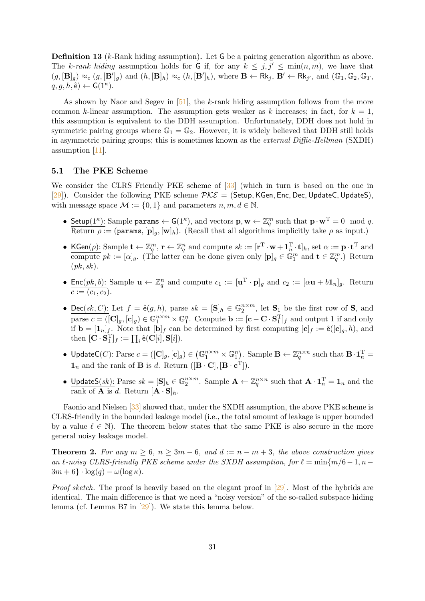Definition 13 (k-Rank hiding assumption). Let G be a pairing generation algorithm as above. The k-rank hiding assumption holds for G if, for any  $k \leq j, j' \leq \min(n, m)$ , we have that  $(g, [\mathbf{B}]_g) \approx_c (g, [\mathbf{B}']_g)$  and  $(h, [\mathbf{B}]_h) \approx_c (h, [\mathbf{B}']_h)$ , where  $\mathbf{B} \leftarrow \mathsf{Rk}_j$ ,  $\mathbf{B}' \leftarrow \mathsf{Rk}_{j'}$ , and  $(\mathbb{G}_1, \mathbb{G}_2, \mathbb{G}_T)$ ,  $q, g, h, \hat{\mathsf{e}} \rangle \leftarrow \mathsf{G}(1^{\kappa}).$ 

As shown by Naor and Segev in  $[51]$ , the k-rank hiding assumption follows from the more common k-linear assumption. The assumption gets weaker as k increases; in fact, for  $k = 1$ , this assumption is equivalent to the DDH assumption. Unfortunately, DDH does not hold in symmetric pairing groups where  $\mathbb{G}_1 = \mathbb{G}_2$ . However, it is widely believed that DDH still holds in asymmetric pairing groups; this is sometimes known as the external Diffie-Hellman (SXDH) assumption [\[11\]](#page-48-15).

# <span id="page-31-0"></span>5.1 The PKE Scheme

We consider the CLRS Friendly PKE scheme of [\[33\]](#page-49-1) (which in turn is based on the one in [\[29\]](#page-49-3)). Consider the following PKE scheme  $\mathcal{PKE} =$  (Setup, KGen, Enc, Dec, UpdateC, UpdateS), with message space  $\mathcal{M} := \{0, 1\}$  and parameters  $n, m, d \in \mathbb{N}$ .

- Setup( $1^{\kappa}$ ): Sample params  $\leftarrow G(1^{\kappa})$ , and vectors  $\mathbf{p}, \mathbf{w} \leftarrow \mathbb{Z}_q^m$  such that  $\mathbf{p} \cdot \mathbf{w}^T = 0 \mod q$ . Return  $\rho := (\text{params}, [\mathbf{p}]_g, [\mathbf{w}]_h)$ . (Recall that all algorithms implicitly take  $\rho$  as input.)
- KGen $(\rho)$ : Sample  $\mathbf{t} \leftarrow \mathbb{Z}_q^m$ ,  $\mathbf{r} \leftarrow \mathbb{Z}_q^n$  and compute  $sk := [\mathbf{r}^T \cdot \mathbf{w} + \mathbf{1}_n^T \cdot \mathbf{t}]_h$ , set  $\alpha := \mathbf{p} \cdot \mathbf{t}^T$  and compute  $pk := [\alpha]_g$ . (The latter can be done given only  $[\mathbf{p}]_g \in \mathbb{G}_1^m$  and  $\mathbf{t} \in \mathbb{Z}_q^m$ .) Return  $(pk, sk)$ .
- Enc $(pk, b)$ : Sample  $\mathbf{u} \leftarrow \mathbb{Z}_q^n$  and compute  $c_1 := [\mathbf{u}^T \cdot \mathbf{p}]_g$  and  $c_2 := [\alpha \mathbf{u} + b \mathbf{1}_n]_g$ . Return  $c := (c_1, c_2).$
- Dec(sk, C): Let  $f = \hat{e}(g, h)$ , parse  $sk = [\mathbf{S}]_h \in \mathbb{G}_2^{n \times m}$ , let  $\mathbf{S}_1$  be the first row of  $\mathbf{S}$ , and parse  $c = ([\mathbf{C}]_g, [\mathbf{c}]_g) \in \mathbb{G}_1^{n \times m} \times \mathbb{G}_1^n$ . Compute  $\mathbf{b} := [\mathbf{c} - \mathbf{C} \cdot \mathbf{S}_1^T]_f$  and output 1 if and only if  $\mathbf{b} = [\mathbf{1}_n]_f$ . Note that  $[\mathbf{b}]_f$  can be determined by first computing  $[\mathbf{c}]_f := \hat{\mathbf{e}}([\mathbf{c}]_g, h)$ , and then  $[\mathbf{C} \cdot \mathbf{S}_1^{\mathrm{T}}]_f := \prod_i \hat{\mathbf{e}}(\mathbf{C}[i], \mathbf{S}[i]).$
- UpdateC(C): Parse  $c = ([C]_g, [c]_g) \in (\mathbb{G}_1^{n \times m} \times \mathbb{G}_1^n)$ . Sample  $\mathbf{B} \leftarrow \mathbb{Z}_q^{n \times n}$  such that  $\mathbf{B} \cdot \mathbf{1}_n^{\mathrm{T}} =$  $\mathbf{1}_n$  and the rank of **B** is d. Return ([**B**  $\cdot$  **C**], [**B**  $\cdot$  **c**<sup>T</sup>]).
- UpdateS(sk): Parse  $sk = [\mathbf{S}]_h \in \mathbb{G}_2^{n \times m}$ . Sample  $\mathbf{A} \leftarrow \mathbb{Z}_q^{n \times n}$  such that  $\mathbf{A} \cdot \mathbf{1}_n^{\mathrm{T}} = \mathbf{1}_n$  and the rank of **A** is d. Return  $[\mathbf{A} \cdot \mathbf{S}]_h$ .

Faonio and Nielsen [\[33\]](#page-49-1) showed that, under the SXDH assumption, the above PKE scheme is CLRS-friendly in the bounded leakage model (i.e., the total amount of leakage is upper bounded by a value  $\ell \in \mathbb{N}$ . The theorem below states that the same PKE is also secure in the more general noisy leakage model.

**Theorem 2.** For any  $m \geq 6$ ,  $n \geq 3m - 6$ , and  $d := n - m + 3$ , the above construction gives an  $\ell$ -noisy CLRS-friendly PKE scheme under the SXDH assumption, for  $\ell = \min\{m/6-1, n-\ell\}$  $3m + 6$ } ·  $\log(q) - \omega(\log \kappa)$ .

*Proof sketch.* The proof is heavily based on the elegant proof in  $[29]$ . Most of the hybrids are identical. The main difference is that we need a "noisy version" of the so-called subspace hiding lemma (cf. Lemma B7 in [\[29\]](#page-49-3)). We state this lemma below.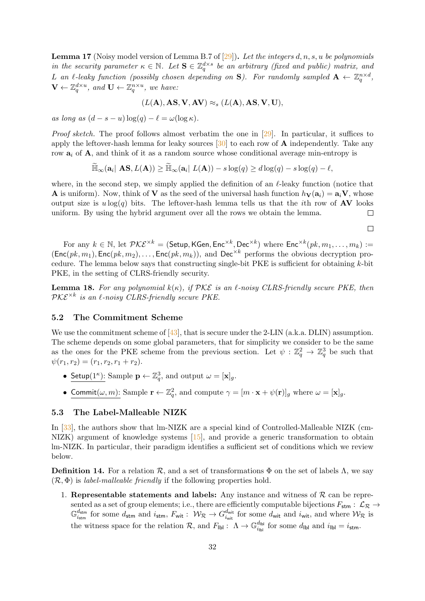**Lemma 17** (Noisy model version of Lemma B.7 of  $[29]$ ). Let the integers d, n, s, u be polynomials in the security parameter  $\kappa \in \mathbb{N}$ . Let  $S \in \mathbb{Z}_q^{d \times s}$  be an arbitrary (fixed and public) matrix, and L an  $\ell$ -leaky function (possibly chosen depending on S). For randomly sampled  $\mathbf{A} \leftarrow \mathbb{Z}_q^{n \times d}$ ,  $\mathbf{V} \leftarrow \mathbb{Z}_q^{d \times u}$ , and  $\mathbf{U} \leftarrow \mathbb{Z}_q^{n \times u}$ , we have:

$$
(L(\mathbf{A}), \mathbf{AS}, \mathbf{V}, \mathbf{AV}) \approx_s (L(\mathbf{A}), \mathbf{AS}, \mathbf{V}, \mathbf{U}),
$$

as long as  $(d - s - u) \log(a) - \ell = \omega(\log \kappa)$ .

*Proof sketch.* The proof follows almost verbatim the one in [\[29\]](#page-49-3). In particular, it suffices to apply the leftover-hash lemma for leaky sources  $[30]$  to each row of **A** independently. Take any row  $a_i$  of  $A$ , and think of it as a random source whose conditional average min-entropy is

$$
\widetilde{\mathbb{H}}_{\infty}(\mathbf{a}_i | \mathbf{AS}, L(\mathbf{A})) \ge \widetilde{\mathbb{H}}_{\infty}(\mathbf{a}_i | L(\mathbf{A})) - s \log(q) \ge d \log(q) - s \log(q) - \ell,
$$

where, in the second step, we simply applied the definition of an  $\ell$ -leaky function (notice that **A** is uniform). Now, think of **V** as the seed of the universal hash function  $h_{\mathbf{V}}(a_i) = a_i \mathbf{V}$ , whose output size is  $u \log(q)$  bits. The leftover-hash lemma tells us that the *i*th row of **AV** looks uniform. By using the hybrid argument over all the rows we obtain the lemma.  $\Box$ 

$$
\Box
$$

For any  $k\in\mathbb{N},$  let  $\mathcal{PKE}^{\times k}=($  Setup, KGen, Enc $^{\times k},$  Dec $^{\times k})$  where  $\mathsf{Enc}^{\times k}(pk,m_1,\ldots,m_k):=$  $(Enc(pk, m_1), Enc(pk, m_2), \ldots, Enc(pk, m_k))$ , and  $Dec^{\times k}$  performs the obvious decryption procedure. The lemma below says that constructing single-bit PKE is sufficient for obtaining  $k$ -bit PKE, in the setting of CLRS-friendly security.

**Lemma 18.** For any polynomial  $k(\kappa)$ , if  $\mathcal{PKE}$  is an  $\ell$ -noisy CLRS-friendly secure PKE, then  $\mathcal{PKE}^{\times k}$  is an  $\ell$ -noisy CLRS-friendly secure PKE.

### <span id="page-32-0"></span>5.2 The Commitment Scheme

We use the commitment scheme of  $[43]$ , that is secure under the 2-LIN  $(a.k.a. DLIN)$  assumption. The scheme depends on some global parameters, that for simplicity we consider to be the same as the ones for the PKE scheme from the previous section. Let  $\psi : \mathbb{Z}_q^2 \to \mathbb{Z}_q^3$  be such that  $\psi(r_1, r_2) = (r_1, r_2, r_1 + r_2).$ 

- Setup $(1^{\kappa})$ : Sample  $\mathbf{p} \leftarrow \mathbb{Z}_q^3$ , and output  $\omega = [\mathbf{x}]_g$ .
- Commit $(\omega, m)$ : Sample  $\mathbf{r} \leftarrow \mathbb{Z}_q^2$ , and compute  $\gamma = [m \cdot \mathbf{x} + \psi(\mathbf{r})]_g$  where  $\omega = [\mathbf{x}]_g$ .

#### <span id="page-32-1"></span>5.3 The Label-Malleable NIZK

In [\[33\]](#page-49-1), the authors show that lm-NIZK are a special kind of Controlled-Malleable NIZK (cm-NIZK) argument of knowledge systems [\[15\]](#page-48-5), and provide a generic transformation to obtain lm-NIZK. In particular, their paradigm identifies a sufficient set of conditions which we review below.

**Definition 14.** For a relation  $\mathcal{R}$ , and a set of transformations  $\Phi$  on the set of labels  $\Lambda$ , we say  $(\mathcal{R}, \Phi)$  is *label-malleable friendly* if the following properties hold.

1. Representable statements and labels: Any instance and witness of  $R$  can be represented as a set of group elements; i.e., there are efficiently computable bijections  $F_{\text{stm}}: \mathcal{L}_{\mathcal{R}} \to$  $\mathbb{G}^{d_\mathsf{stm}}$  $\frac{d_{\sf{stm}}}{d_{\sf{stm}}}$  for some  $d_{\sf{stm}}$  and  $i_{\sf{stm}}$ ,  $F_{\sf{wit}}$  :  $\mathcal{W}_{\mathcal{R}} \to G_{i_{\sf{wit}}}^{d_{\sf{wit}}}$  $\frac{d_{\text{wit}}}{i_{\text{wit}}}$  for some  $d_{\text{wit}}$  and  $i_{\text{wit}}$ , and where  $\mathcal{W}_{\mathcal{R}}$  is the witness space for the relation  $\mathcal{R}$ , and  $F_{\text{lb}}$ :  $\Lambda \to \mathbb{G}_{i_{\text{lb}}}^{d_{\text{lb}}}$  $\frac{a_{\text{lb}}}{i_{\text{lb}}}$  for some  $d_{\text{lb}}$  and  $i_{\text{lb}} = i_{\text{stm}}$ .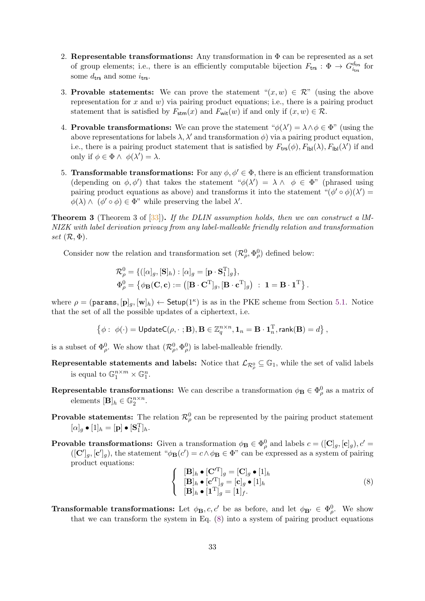- 2. Representable transformations: Any transformation in  $\Phi$  can be represented as a set of group elements; i.e., there is an efficiently computable bijection  $F_{\text{trs}} : \Phi \to G_{\text{thr}}^{\text{d}_{\text{tr}}}\$  $\frac{d_{\mathsf{trs}}}{i_{\mathsf{trs}}}$  for some  $d_{\text{trs}}$  and some  $i_{\text{trs}}$ .
- 3. Provable statements: We can prove the statement " $(x, w) \in \mathcal{R}$ " (using the above representation for  $x$  and  $w$ ) via pairing product equations; i.e., there is a pairing product statement that is satisfied by  $F_{\text{stm}}(x)$  and  $F_{\text{wit}}(w)$  if and only if  $(x, w) \in \mathcal{R}$ .
- 4. Provable transformations: We can prove the statement " $\phi(\lambda') = \lambda \wedge \phi \in \Phi$ " (using the above representations for labels  $\lambda$ ,  $\lambda'$  and transformation  $\phi$ ) via a pairing product equation, i.e., there is a pairing product statement that is satisfied by  $F_{\text{trs}}(\phi)$ ,  $F_{\text{lb}}(\lambda)$ ,  $F_{\text{lb}}(\lambda')$  if and only if  $\phi \in \Phi \land \phi(\lambda') = \lambda$ .
- 5. Transformable transformations: For any  $\phi, \phi' \in \Phi$ , there is an efficient transformation (depending on  $\phi$ ,  $\phi'$ ) that takes the statement " $\phi(\lambda') = \lambda \wedge \phi \in \Phi$ " (phrased using pairing product equations as above) and transforms it into the statement " $(\phi' \circ \phi)(\lambda') =$  $\phi(\lambda) \wedge (\phi' \circ \phi) \in \Phi$ " while preserving the label  $\lambda'$ .

**Theorem 3** (Theorem 3 of  $[33]$ ). If the DLIN assumption holds, then we can construct a lM-NIZK with label derivation privacy from any label-malleable friendly relation and transformation set  $(\mathcal{R}, \Phi)$ .

Consider now the relation and transformation set  $(\mathcal{R}_{\rho}^0, \Phi_{\rho}^0)$  defined below:

$$
\mathcal{R}^0_\rho = \{([\alpha]_g, [\mathbf{S}]_h) : [\alpha]_g = [\mathbf{p} \cdot \mathbf{S}_1^{\mathrm{T}}]_g \}, \Phi^0_\rho = \left\{ \phi_\mathbf{B}(\mathbf{C}, \mathbf{c}) := \left( [\mathbf{B} \cdot \mathbf{C}^{\mathrm{T}}]_g, [\mathbf{B} \cdot \mathbf{c}^{\mathrm{T}}]_g \right) \ : \ \mathbf{1} = \mathbf{B} \cdot \mathbf{1}^{\mathrm{T}} \right\}.
$$

where  $\rho = (\text{params}, [\mathbf{p}]_g, [\mathbf{w}]_h) \leftarrow \text{Setup}(1^{\kappa})$  is as in the PKE scheme from Section [5.1.](#page-31-0) Notice that the set of all the possible updates of a ciphertext, i.e.

$$
\left\{\phi:\ \phi(\cdot) = \mathsf{UpdateC}(\rho,\cdot \; ; \mathbf{B}), \mathbf{B} \in \mathbb{Z}_q^{n \times n}, \mathbf{1}_n = \mathbf{B} \cdot \mathbf{1}_n^{\mathrm{T}}, \mathsf{rank}(\mathbf{B}) = d\right\},\
$$

is a subset of  $\Phi_{\rho}^0$ . We show that  $(\mathcal{R}_{\rho}^0, \Phi_{\rho}^0)$  is label-malleable friendly.

- **Representable statements and labels:** Notice that  $\mathcal{L}_{\mathcal{R}^0_\rho} \subseteq \mathbb{G}_1$ , while the set of valid labels is equal to  $\mathbb{G}_1^{n \times m} \times \mathbb{G}_1^n$ .
- **Representable transformations:** We can describe a transformation  $\phi_{\mathbf{B}} \in \Phi_{\rho}^{0}$  as a matrix of elements  $[\mathbf{B}]_h \in \mathbb{G}_2^{n \times n}$ .
- **Provable statements:** The relation  $\mathcal{R}^0_\rho$  can be represented by the pairing product statement  $[\alpha]_g \bullet [1]_h = [\mathbf{p}] \bullet [\mathbf{S}_1^{\mathrm{T}}]_h.$
- **Provable transformations:** Given a transformation  $\phi_B \in \Phi_\rho^0$  and labels  $c = ([C]_g, [c]_g), c' =$  $([{\bf C}']_g, [{\bf c}']_g)$ , the statement " $\phi_{\bf B}(c') = c \wedge \phi_{\bf B} \in \Phi$ " can be expressed as a system of pairing product equations:

<span id="page-33-0"></span>
$$
\begin{cases}\n[\mathbf{B}]_h \bullet [\mathbf{C}^{\prime \mathrm{T}}]_g = [\mathbf{C}]_g \bullet [1]_h \\
[\mathbf{B}]_h \bullet [\mathbf{c}^{\prime \mathrm{T}}]_g = [\mathbf{c}]_g \bullet [1]_h \\
[\mathbf{B}]_h \bullet [\mathbf{1}^{\mathrm{T}}]_g = [\mathbf{1}]_f.\n\end{cases} (8)
$$

**Transformable transformations:** Let  $\phi_B$ , c, c' be as before, and let  $\phi_{B'} \in \Phi_{\rho}^0$ . We show that we can transform the system in Eq. [\(8\)](#page-33-0) into a system of pairing product equations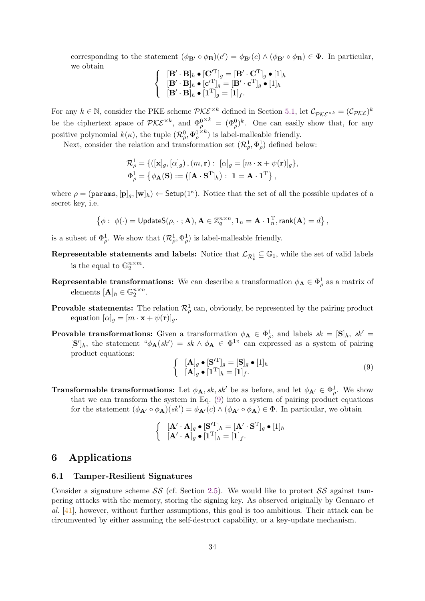corresponding to the statement  $(\phi_{\mathbf{B}} \circ \phi_{\mathbf{B}})(c') = \phi_{\mathbf{B}}(c) \wedge (\phi_{\mathbf{B}} \circ \phi_{\mathbf{B}}) \in \Phi$ . In particular, we obtain

$$
\left\{\begin{array}{c} [\mathbf{B}'\cdot\mathbf{B}]_h\bullet[\mathbf{C}'^{\mathrm{T}}]_g=[\mathbf{B}'\cdot\mathbf{C}^{\mathrm{T}}]_g\bullet[1]_h\\ [\mathbf{B}'\cdot\mathbf{B}]_h\bullet[\mathbf{c}'^{\mathrm{T}}]_g=[\mathbf{B}'\cdot\mathbf{c}^{\mathrm{T}}]_g\bullet[1]_h\\ [\mathbf{B}'\cdot\mathbf{B}]_h\bullet[\mathbf{1}^{\mathrm{T}}]_g=[\mathbf{1}]_f.\end{array}\right.
$$

For any  $k \in \mathbb{N}$ , consider the PKE scheme  $\mathcal{PKE}^{\times k}$  defined in Section [5.1,](#page-31-0) let  $\mathcal{C}_{\mathcal{PKE}^{\times k}} = (\mathcal{C}_{\mathcal{PKE}})^k$ be the ciphertext space of  $\mathcal{PKE}^{\times k}$ , and  $\Phi_{\rho}^{0\times k} = (\Phi_{\rho}^{0})^{k}$ . One can easily show that, for any positive polynomial  $k(\kappa)$ , the tuple  $(\mathcal{R}_{\rho}^0, \Phi_{\rho}^0)$  $x^{k}$ ) is label-malleable friendly.

Next, consider the relation and transformation set  $(\mathcal{R}^1_\rho, \Phi^1_\rho)$  defined below:

$$
\mathcal{R}^1_\rho = \{([\mathbf{x}]_g, [\alpha]_g), (m, \mathbf{r}) : [\alpha]_g = [m \cdot \mathbf{x} + \psi(\mathbf{r})]_g \},
$$
  

$$
\Phi^1_\rho = \{ \phi_\mathbf{A}(\mathbf{S}) := ([\mathbf{A} \cdot \mathbf{S}^T]_h) : \mathbf{1} = \mathbf{A} \cdot \mathbf{1}^T \},
$$

where  $\rho = (\text{params}, [\mathbf{p}]_g, [\mathbf{w}]_h) \leftarrow \text{Setup}(1^{\kappa})$ . Notice that the set of all the possible updates of a secret key, i.e.

$$
\left\{\phi: \ \phi(\cdot) = \mathsf{UpdateS}(\rho, \cdot \; ; \mathbf{A}), \mathbf{A} \in \mathbb{Z}_q^{n \times n}, \mathbf{1}_n = \mathbf{A} \cdot \mathbf{1}_n^{\mathrm{T}}, \mathsf{rank}(\mathbf{A}) = d\right\},\
$$

is a subset of  $\Phi^1_\rho$ . We show that  $(\mathcal{R}^1_\rho, \Phi^1_\rho)$  is label-malleable friendly.

- **Representable statements and labels:** Notice that  $\mathcal{L}_{\mathcal{R}^1_\rho} \subseteq \mathbb{G}_1$ , while the set of valid labels is the equal to  $\mathbb{G}_2^{n \times m}$ .
- **Representable transformations:** We can describe a transformation  $\phi_{\mathbf{A}} \in \Phi_{\rho}^1$  as a matrix of elements  $[\mathbf{A}]_h \in \mathbb{G}_2^{n \times n}$ .
- **Provable statements:** The relation  $\mathcal{R}^1_\rho$  can, obviously, be represented by the pairing product equation  $[\alpha]_g = [m \cdot \mathbf{x} + \psi(\mathbf{r})]_g$ .
- **Provable transformations:** Given a transformation  $\phi_{\mathbf{A}} \in \Phi_{\rho}^{1}$ , and labels  $sk = [\mathbf{S}]_h$ ,  $sk' =$  $[\mathbf{S}']_h$ , the statement " $\phi_{\mathbf{A}}(sk') = sk \wedge \phi_{\mathbf{A}} \in \Phi^{1}$ " can expressed as a system of pairing product equations:

<span id="page-34-2"></span>
$$
\begin{cases}\n[\mathbf{A}]_g \bullet [\mathbf{S}^T]_g = [\mathbf{S}]_g \bullet [1]_h \\
[\mathbf{A}]_g \bullet [\mathbf{1}^T]_h = [\mathbf{1}]_f.\n\end{cases} \tag{9}
$$

**Transformable transformations:** Let  $\phi_A$ , sk, sk<sup>t</sup> be as before, and let  $\phi_{A'} \in \Phi^1_{\rho}$ . We show that we can transform the system in Eq. [\(9\)](#page-34-2) into a system of pairing product equations for the statement  $(\phi_{\mathbf{A}'} \circ \phi_{\mathbf{A}})(sk') = \phi_{\mathbf{A}'}(c) \wedge (\phi_{\mathbf{A}'} \circ \phi_{\mathbf{A}}) \in \Phi$ . In particular, we obtain

$$
\begin{cases} [\mathbf{A}' \cdot \mathbf{A}]_g \bullet [\mathbf{S}^T]_h = [\mathbf{A}' \cdot \mathbf{S}^T]_g \bullet [1]_h \\ [\mathbf{A}' \cdot \mathbf{A}]_g \bullet [\mathbf{1}^T]_h = [\mathbf{1}]_f. \end{cases}
$$

# <span id="page-34-0"></span>6 Applications

#### <span id="page-34-1"></span>6.1 Tamper-Resilient Signatures

Consider a signature scheme  $\mathcal{SS}$  (cf. Section [2.5\)](#page-10-0). We would like to protect  $\mathcal{SS}$  against tampering attacks with the memory, storing the signing key. As observed originally by Gennaro et  $al.$  [\[41\]](#page-50-15), however, without further assumptions, this goal is too ambitious. Their attack can be circumvented by either assuming the self-destruct capability, or a key-update mechanism.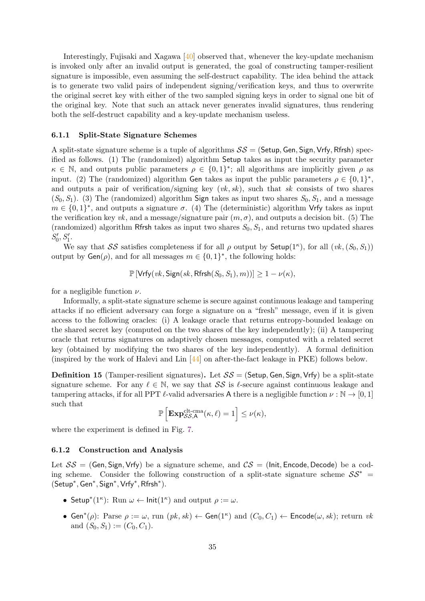Interestingly, Fujisaki and Xagawa  $[40]$  observed that, whenever the key-update mechanism is invoked only after an invalid output is generated, the goal of constructing tamper-resilient signature is impossible, even assuming the self-destruct capability. The idea behind the attack is to generate two valid pairs of independent signing/verification keys, and thus to overwrite the original secret key with either of the two sampled signing keys in order to signal one bit of the original key. Note that such an attack never generates invalid signatures, thus rendering both the self-destruct capability and a key-update mechanism useless.

#### 6.1.1 Split-State Signature Schemes

A split-state signature scheme is a tuple of algorithms  $SS = (Setup, Gen, Sign, Vrfy, Rfrsh)$  specified as follows. (1) The (randomized) algorithm Setup takes as input the security parameter  $\kappa \in \mathbb{N}$ , and outputs public parameters  $\rho \in \{0,1\}^*$ ; all algorithms are implicitly given  $\rho$  as input. (2) The (randomized) algorithm Gen takes as input the public parameters  $\rho \in \{0,1\}^*$ , and outputs a pair of verification/signing key  $(vk, sk)$ , such that sk consists of two shares  $(S_0, S_1)$ . (3) The (randomized) algorithm Sign takes as input two shares  $S_0, S_1$ , and a message  $m \in \{0,1\}^*$ , and outputs a signature  $\sigma$ . (4) The (deterministic) algorithm Vrfy takes as input the verification key vk, and a message/signature pair  $(m, \sigma)$ , and outputs a decision bit. (5) The (randomized) algorithm Rfrsh takes as input two shares  $S_0, S_1$ , and returns two updated shares  $S'_0, S'_1.$ 

We say that SS satisfies completeness if for all  $\rho$  output by Setup(1<sup> $\kappa$ </sup>), for all  $(vk, (S_0, S_1))$ output by  $Gen(\rho)$ , and for all messages  $m \in \{0,1\}^*$ , the following holds:

$$
\mathbb{P}\left[\mathsf{Vrfy}(vk, \mathsf{Sign}(sk, \mathsf{Rfrsh}(S_0, S_1), m))\right] \ge 1 - \nu(\kappa),
$$

for a negligible function  $\nu$ .

Informally, a split-state signature scheme is secure against continuous leakage and tampering attacks if no efficient adversary can forge a signature on a "fresh" message, even if it is given access to the following oracles: (i) A leakage oracle that returns entropy-bounded leakage on the shared secret key (computed on the two shares of the key independently); (ii) A tampering oracle that returns signatures on adaptively chosen messages, computed with a related secret key (obtained by modifying the two shares of the key independently). A formal definition (inspired by the work of Halevi and Lin [\[44\]](#page-50-16) on after-the-fact leakage in PKE) follows below.

**Definition 15** (Tamper-resilient signatures). Let  $SS = (Setup, Gen, Sign, Vrfy)$  be a split-state signature scheme. For any  $\ell \in \mathbb{N}$ , we say that SS is  $\ell$ -secure against continuous leakage and tampering attacks, if for all PPT  $\ell$ -valid adversaries A there is a negligible function  $\nu : \mathbb{N} \to [0, 1]$ such that

$$
\mathbb{P}\left[\mathbf{Exp}^{\mathrm{clt-cma}}_{\mathcal{SS},\mathsf{A}}(\kappa,\ell)=1\right] \leq \nu(\kappa),
$$

where the experiment is defined in Fig. [7.](#page-36-0)

#### 6.1.2 Construction and Analysis

Let  $SS = (Gen, Sign, Vrfy)$  be a signature scheme, and  $CS = (Init, Encode, Decode)$  be a coding scheme. Consider the following construction of a split-state signature scheme  $SS^*$  = (Setup<sup>∗</sup> , Gen<sup>∗</sup> , Sign<sup>∗</sup> , Vrfy<sup>∗</sup> , Rfrsh<sup>∗</sup> ).

- Setup<sup>\*</sup>(1<sup> $\kappa$ </sup>): Run  $\omega \leftarrow \text{Init}(1^{\kappa})$  and output  $\rho := \omega$ .
- Gen<sup>\*</sup>( $\rho$ ): Parse  $\rho := \omega$ , run  $(pk, sk) \leftarrow$  Gen $(1^{\kappa})$  and  $(C_0, C_1) \leftarrow$  Encode $(\omega, sk)$ ; return vk and  $(S_0, S_1) := (C_0, C_1)$ .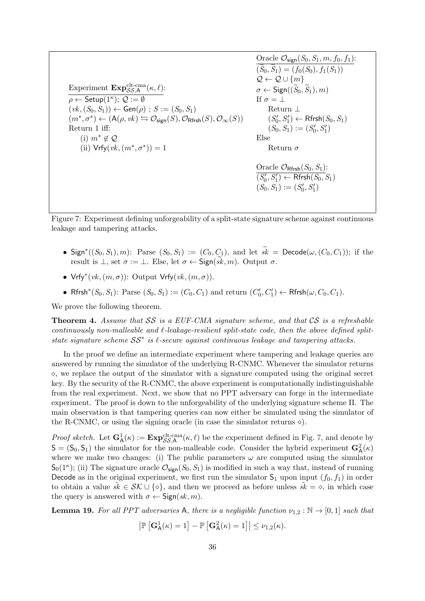<span id="page-36-0"></span>Experiment  $\mathbf{Exp}_{\mathcal{SS},\mathsf{A}}^{\text{clt-cma}}(\kappa,\ell)$ :  $\overline{\rho \leftarrow \mathsf{Setup}(1^\kappa); \, \mathcal{Q} := \emptyset}$  $(vk,(S_0, S_1)) \leftarrow \text{Gen}(\rho)$ ;  $S := (S_0, S_1)$  $(m^*, \sigma^*) \leftarrow (A(\rho, vk) \leftrightarrows \mathcal{O}_{sign}(S), \mathcal{O}_{Rfrsh}(S), \mathcal{O}_{\infty}(S))$ Return 1 iff: (i)  $m^* \notin \mathcal{Q}$ (ii)  $Vrfy(vk, (m^*, \sigma^*)) = 1$ Oracle  $\mathcal{O}_{\text{sign}}(S_0, S_1, m, f_0, f_1)$ :  $(\widetilde{S}_0, \widetilde{S}_1) = (f_0(S_0), f_1(S_1))$  $\mathcal{Q} \leftarrow \mathcal{Q} \cup \{m\}$  $\sigma \leftarrow \mathsf{Sign}((\widetilde{S}_0, \widetilde{S}_1), m)$ If  $\sigma = \perp$ Return ⊥  $(S'_0, S'_1) \leftarrow$  Rfrsh $(S_0, S_1)$  $(S_0, S_1) := (S'_0, S'_1)$ Else Return  $\sigma$ Oracle  $\mathcal{O}_{\mathsf{Rfrsh}}(S_0, S_1)$ :  $\overline{(S'_0, S'_1) \leftarrow$  Rfrsh $(S_0, S_1)$  $(S_0, S_1) := (S'_0, S'_1)$ 

Figure 7: Experiment defining unforgeability of a split-state signature scheme against continuous leakage and tampering attacks.

- Sign<sup>\*</sup>( $(S_0, S_1)$ , m): Parse  $(S_0, S_1) := (C_0, C_1)$ , and let  $\widetilde{sk} = \textsf{Decode}(\omega, (C_0, C_1))$ ; if the result is  $\bot$ , set  $\sigma := \bot$ . Else, let  $\sigma \leftarrow \text{Sign}(\widetilde{sk}, m)$ . Output  $\sigma$ .
- Vrfy<sup>\*</sup>( $vk, (m, \sigma)$ ): Output Vrfy( $vk, (m, \sigma)$ ).
- Rfrsh<sup>\*</sup>(S<sub>0</sub>, S<sub>1</sub>): Parse (S<sub>0</sub>, S<sub>1</sub>) := (C<sub>0</sub>, C<sub>1</sub>) and return (C'<sub>0</sub>, C'<sub>1</sub>)  $\leftarrow$  Rfrsh( $\omega$ , C<sub>0</sub>, C<sub>1</sub>).

We prove the following theorem.

**Theorem 4.** Assume that  $SS$  is a EUF-CMA signature scheme, and that  $CS$  is a refreshable continuously non-malleable and  $\ell$ -leakage-resilient split-state code, then the above defined splitstate signature scheme  $SS^*$  is  $l$ -secure against continuous leakage and tampering attacks.

In the proof we define an intermediate experiment where tampering and leakage queries are answered by running the simulator of the underlying R-CNMC. Whenever the simulator returns  $\Diamond$ , we replace the output of the simulator with a signature computed using the original secret key. By the security of the R-CNMC, the above experiment is computationally indistinguishable from the real experiment. Next, we show that no PPT adversary can forge in the intermediate experiment. The proof is down to the unforgeability of the underlying signature scheme Π. The main observation is that tampering queries can now either be simulated using the simulator of the R-CNMC, or using the signing oracle (in case the simulator returns  $\diamond$ ).

*Proof sketch.* Let  $\mathbf{G}_{\mathbf{A}}^1(\kappa) := \mathbf{Exp}_{SS,\mathbf{A}}^{\text{clt-cma}}(\kappa,\ell)$  be the experiment defined in Fig. [7,](#page-36-0) and denote by  $S = (S_0, S_1)$  the simulator for the non-malleable code. Consider the hybrid experiment  $\mathbf{G}_{\mathbf{A}}^2(\kappa)$ where we make two changes: (i) The public parameters  $\omega$  are computed using the simulator  $\mathsf{S}_0(1^{\kappa})$ ; (ii) The signature oracle  $\mathcal{O}_{\text{sign}}(S_0, S_1)$  is modified in such a way that, instead of running Decode as in the original experiment, we first run the simulator  $S_1$  upon input  $(f_0, f_1)$  in order to obtain a value  $sk \in \mathcal{SK} \cup \{\diamond\}$ , and then we proceed as before unless  $sk = \diamond$ , in which case the query is answered with  $\sigma \leftarrow$  Sign(sk, m).

**Lemma 19.** For all PPT adversaries A, there is a negligible function  $\nu_{1,2} : \mathbb{N} \to [0,1]$  such that

$$
\left|\mathbb{P}\left[\mathbf{G}^1_{\mathsf{A}}(\kappa)=1\right]-\mathbb{P}\left[\mathbf{G}^2_{\mathsf{A}}(\kappa)=1\right]\right|\leq\nu_{1,2}(\kappa).
$$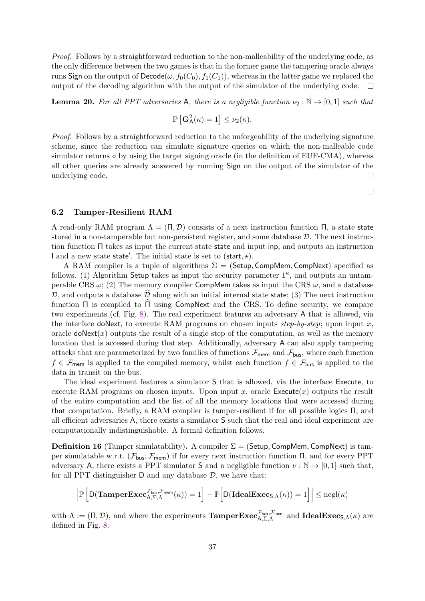Proof. Follows by a straightforward reduction to the non-malleability of the underlying code, as the only difference between the two games is that in the former game the tampering oracle always runs Sign on the output of Decode $(\omega, f_0(C_0), f_1(C_1))$ , whereas in the latter game we replaced the output of the decoding algorithm with the output of the simulator of the underlying code.  $\Box$ 

**Lemma 20.** For all PPT adversaries A, there is a negligible function  $\nu_2 : \mathbb{N} \to [0,1]$  such that

$$
\mathbb{P}\left[\mathbf{G}_{\mathsf{A}}^{2}(\kappa)=1\right]\leq\nu_{2}(\kappa).
$$

Proof. Follows by a straightforward reduction to the unforgeability of the underlying signature scheme, since the reduction can simulate signature queries on which the non-malleable code simulator returns  $\diamond$  by using the target signing oracle (in the definition of EUF-CMA), whereas all other queries are already answered by running Sign on the output of the simulator of the underlying code.  $\Box$ 

 $\Box$ 

### <span id="page-37-0"></span>6.2 Tamper-Resilient RAM

A read-only RAM program  $\Lambda = (\Pi, \mathcal{D})$  consists of a next instruction function  $\Pi$ , a state state stored in a non-tamperable but non-persistent register, and some database  $\mathcal{D}$ . The next instruction function Π takes as input the current state state and input inp, and outputs an instruction I and a new state state'. The initial state is set to (start,  $\star$ ).

A RAM compiler is a tuple of algorithms  $\Sigma = ($ Setup, CompMem, CompNext) specified as follows. (1) Algorithm Setup takes as input the security parameter  $1<sup>\kappa</sup>$ , and outputs an untamperable CRS  $\omega$ ; (2) The memory compiler CompMem takes as input the CRS  $\omega$ , and a database  $\mathcal{D}$ , and outputs a database  $\hat{\mathcal{D}}$  along with an initial internal state state; (3) The next instruction function  $\Pi$  is compiled to  $\widehat{\Pi}$  using CompNext and the CRS. To define security, we compare two experiments (cf. Fig. [8\)](#page-38-0). The real experiment features an adversary A that is allowed, via the interface doNext, to execute RAM programs on chosen inputs step-by-step; upon input x, oracle  $\text{doNext}(x)$  outputs the result of a single step of the computation, as well as the memory location that is accessed during that step. Additionally, adversary A can also apply tampering attacks that are parameterized by two families of functions  $\mathcal{F}_{\text{mem}}$  and  $\mathcal{F}_{\text{bus}}$ , where each function  $f \in \mathcal{F}_{\text{mem}}$  is applied to the compiled memory, whilst each function  $f \in \mathcal{F}_{\text{bus}}$  is applied to the data in transit on the bus.

The ideal experiment features a simulator S that is allowed, via the interface Execute, to execute RAM programs on chosen inputs. Upon input x, oracle  $\mathsf{Execute}(x)$  outputs the result of the entire computation and the list of all the memory locations that were accessed during that computation. Briefly, a RAM compiler is tamper-resilient if for all possible logics Π, and all efficient adversaries A, there exists a simulator S such that the real and ideal experiment are computationally indistinguishable. A formal definition follows.

**Definition 16** (Tamper simulatability). A compiler  $\Sigma =$  (Setup, CompMem, CompNext) is tamper simulatable w.r.t. ( $\mathcal{F}_{bus}$ ,  $\mathcal{F}_{mem}$ ) if for every next instruction function Π, and for every PPT adversary A, there exists a PPT simulator S and a negligible function  $\nu : \mathbb{N} \to [0, 1]$  such that, for all PPT distinguisher  $D$  and any database  $D$ , we have that:

$$
\left|\mathbb{P}\left[D(\mathbf{TamperExec}_{A,\Sigma,\Lambda}^{\mathcal{F}_{bus},\mathcal{F}_{mem}}(\kappa))=1\right]-\mathbb{P}\Big[D(\mathbf{IdealExec}_{S,\Lambda}(\kappa))=1\Big]\right|\leq \mathrm{negl}(\kappa)
$$

with  $\Lambda := (\Pi, \mathcal{D})$ , and where the experiments  $\operatorname{TamperExec}_{A,\Sigma,\Lambda}^{\mathcal{F}_{bus},\mathcal{F}_{mem}}$  and  $\operatorname{IdealExec}_{S,\Lambda}(\kappa)$  are defined in Fig. [8.](#page-38-0)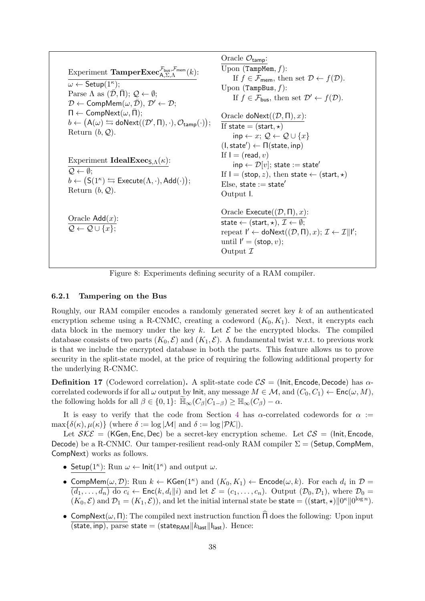<span id="page-38-0"></span>

|                                                                                                                                                                                                                                           | Oracle $\mathcal{O}_{\text{tamp}}$ :                                                                   |
|-------------------------------------------------------------------------------------------------------------------------------------------------------------------------------------------------------------------------------------------|--------------------------------------------------------------------------------------------------------|
| Experiment TamperExec <sup>Fbus, <math>\mathcal{F}_{\text{new}}(k)</math>:</sup><br>$\omega \leftarrow$ Setup $(1^{\kappa});$<br>Parse $\Lambda$ as $(\mathcal{D}, \Pi)$ ; $\mathcal{Q} \leftarrow \emptyset$ ;                           | Upon (TampMem, $f$ ):                                                                                  |
|                                                                                                                                                                                                                                           | If $f \in \mathcal{F}_{\text{mem}}$ , then set $\mathcal{D} \leftarrow f(\mathcal{D})$ .               |
|                                                                                                                                                                                                                                           | Upon (TampBus, $f$ ):                                                                                  |
|                                                                                                                                                                                                                                           | If $f \in \mathcal{F}_{\text{bus}}$ , then set $\mathcal{D}' \leftarrow f(\mathcal{D})$ .              |
| $\mathcal{D} \leftarrow \mathsf{CompMem}(\omega, \overline{\mathcal{D}}), \, \mathcal{D}' \leftarrow \mathcal{D};$                                                                                                                        |                                                                                                        |
| $\Pi \leftarrow \textsf{CompNext}(\omega, \Pi);$<br>$b \leftarrow (A(\omega) \leftrightarrows \text{doNext}((\mathcal{D}', \Pi), \cdot), \mathcal{O}_{\text{tamp}}(\cdot));$                                                              | Oracle $\text{doNext}((\mathcal{D},\Pi),x)$ :                                                          |
|                                                                                                                                                                                                                                           | If state $=$ (start, $\star$ )                                                                         |
| Return $(b, Q)$ .                                                                                                                                                                                                                         | $\mathsf{inp} \leftarrow x: \mathcal{Q} \leftarrow \mathcal{Q} \cup \{x\}$                             |
|                                                                                                                                                                                                                                           | $(I, state') \leftarrow \Pi(state, inp)$                                                               |
| Experiment <b>IdealExec</b> <sub>S,<math>\Lambda(\kappa)</math>:</sub><br>$\mathcal{Q} \leftarrow \emptyset$ :<br>$b \leftarrow (S(1^{\kappa}) \leftrightarrows \text{Execute}(\Lambda, \cdot), \text{Add}(\cdot));$<br>Return $(b, Q)$ . | If $I = (read, v)$                                                                                     |
|                                                                                                                                                                                                                                           | $\mathsf{inp} \leftarrow \mathcal{D}[v];$ state := state'                                              |
|                                                                                                                                                                                                                                           | If $I = (stop, z)$ , then state $\leftarrow$ (start, $\star$ )                                         |
|                                                                                                                                                                                                                                           | Else, state $:=$ state'                                                                                |
|                                                                                                                                                                                                                                           | Output I.                                                                                              |
|                                                                                                                                                                                                                                           | Oracle Execute $((\mathcal{D}, \Pi), x)$ :                                                             |
| Oracle $Add(x)$ :<br>$\overline{\mathcal{Q} \leftarrow \mathcal{Q} \cup \{x\}}$                                                                                                                                                           | state $\leftarrow$ (start, $\star$ ), $\mathcal{I} \leftarrow \emptyset$ ;                             |
|                                                                                                                                                                                                                                           | repeat $I' \leftarrow \text{doNext}((\mathcal{D}, \Pi), x); \mathcal{I} \leftarrow \mathcal{I}    I';$ |
|                                                                                                                                                                                                                                           | until $I' =$ (stop, v);                                                                                |
|                                                                                                                                                                                                                                           | Output $\mathcal I$                                                                                    |
|                                                                                                                                                                                                                                           |                                                                                                        |

Figure 8: Experiments defining security of a RAM compiler.

#### 6.2.1 Tampering on the Bus

Roughly, our RAM compiler encodes a randomly generated secret key k of an authenticated encryption scheme using a R-CNMC, creating a codeword  $(K_0, K_1)$ . Next, it encrypts each data block in the memory under the key k. Let  $\mathcal E$  be the encrypted blocks. The compiled database consists of two parts  $(K_0, \mathcal{E})$  and  $(K_1, \mathcal{E})$ . A fundamental twist w.r.t. to previous work is that we include the encrypted database in both the parts. This feature allows us to prove security in the split-state model, at the price of requiring the following additional property for the underlying R-CNMC.

**Definition 17** (Codeword correlation). A split-state code  $CS = (Init, Encode, Decode)$  has  $\alpha$ correlated codewords if for all  $\omega$  output by Init, any message  $M \in \mathcal{M}$ , and  $(C_0, C_1) \leftarrow \text{Enc}(\omega, M)$ , the following holds for all  $\beta \in \{0,1\}$ :  $\mathbb{H}_{\infty}(C_{\beta}|C_{1-\beta}) \geq \mathbb{H}_{\infty}(C_{\beta}) - \alpha$ .

It is easy to verify that the code from Section [4](#page-14-0) has  $\alpha$ -correlated codewords for  $\alpha$  :=  $\max{\{\delta(\kappa), \mu(\kappa)\}}$  (where  $\delta := \log |\mathcal{M}|$  and  $\delta := \log |\mathcal{PK}|$ ).

Let  $\mathcal{SKE} = (KGen, Enc, Dec)$  be a secret-key encryption scheme. Let  $\mathcal{CS} = (Init, Encode,$ Decode) be a R-CNMC. Our tamper-resilient read-only RAM compiler  $\Sigma =$  (Setup, CompMem, CompNext) works as follows.

- Setup( $1^{\kappa}$ ): Run  $\omega \leftarrow \text{Init}(1^{\kappa})$  and output  $\omega$ .
- CompMem $(\omega, \mathcal{D})$ : Run  $k \leftarrow \mathsf{KGen}(1^{\kappa})$  and  $(K_0, K_1) \leftarrow \mathsf{Encode}(\omega, k)$ . For each  $d_i$  in  $\mathcal{D} =$  $\overline{(d_1,\ldots,d_n)}$  do  $c_i \leftarrow \text{Enc}(k,d_i||i)$  and let  $\mathcal{E} = (c_1,\ldots,c_n)$ . Output  $(\mathcal{D}_0,\mathcal{D}_1)$ , where  $\mathcal{D}_0 =$  $(K_0, \mathcal{E})$  and  $\mathcal{D}_1 = (K_1, \mathcal{E})$ , and let the initial internal state be state = ((start,  $\star$ )||0<sup> $\kappa$ </sup>||0<sup>log n</sup>).
- CompNext( $\omega$ , Π): The compiled next instruction function  $\Pi$  does the following: Upon input (state, inp), parse state  $=$  (state<sub>RAM</sub>  $||k_{\text{last}}||_{\text{last}}$ ). Hence: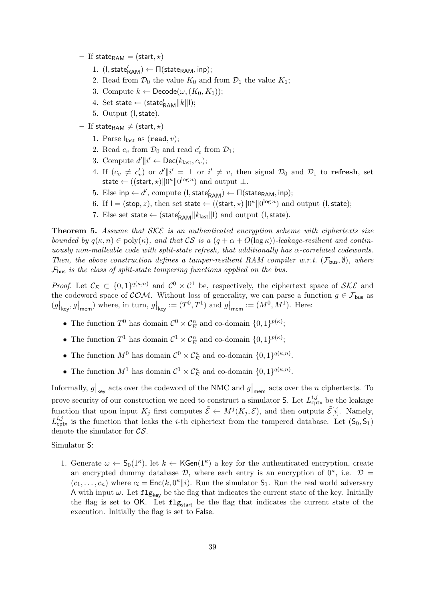- If state<sub>RAM</sub> = (start,  $\star$ )
	- $1. \ \ (l, state'_{RAM}) \leftarrow \Pi(state_{RAM}, inp);$
	- 2. Read from  $\mathcal{D}_0$  the value  $K_0$  and from  $\mathcal{D}_1$  the value  $K_1$ ;
	- 3. Compute  $k \leftarrow \textsf{Decode}(\omega, (K_0, K_1));$
	- 4. Set state  $\leftarrow$  (state $'_{\sf RAM} || k || {\sf I}$ );
	- 5. Output (I,state).
- $-$  If state<sub>RAM</sub>  $\neq$  (start,  $\star$ )
	- 1. Parse  $I<sub>last</sub>$  as (read, v);
	- 2. Read  $c_v$  from  $\mathcal{D}_0$  and read  $c'_v$  from  $\mathcal{D}_1$ ;
	- 3. Compute  $d'||i' \leftarrow \mathsf{Dec}(k_{\mathsf{last}}, c_v);$
	- 4. If  $(c_v \neq c'_v)$  or  $d'||i' = \perp$  or  $i' \neq v$ , then signal  $\mathcal{D}_0$  and  $\mathcal{D}_1$  to refresh, set state  $\leftarrow ((\mathsf{start},\star)\|0^\kappa\|0^{\log n})$  and  $\text{output } \bot.$
	- 5. Else inp ←  $d'$ , compute  $(I, state'_{RAM})$  ← Π(state<sub>RAM</sub>, inp);
	- 6. If  $I = (\mathsf{stop}, z)$ , then set state  $\leftarrow ((\mathsf{start}, \star) \| 0^{\kappa} \| 0^{\log n})$  and output  $(I, \mathsf{state})$ ;
	- 7. Else set state  $\leftarrow$  (state $'_{RAM} || k_{last} || l$ ) and output (l, state).

<span id="page-39-0"></span>**Theorem 5.** Assume that  $SKE$  is an authenticated encryption scheme with ciphertexts size bounded by  $q(\kappa, n) \in \text{poly}(\kappa)$ , and that  $\mathcal{CS}$  is a  $(q + \alpha + O(\log \kappa))$ -leakage-resilient and continuously non-malleable code with split-state refresh, that additionally has  $\alpha$ -correlated codewords. Then, the above construction defines a tamper-resilient RAM compiler w.r.t.  $(\mathcal{F}_{\text{bus}}, \emptyset)$ , where  $\mathcal{F}_{\text{bus}}$  is the class of split-state tampering functions applied on the bus.

*Proof.* Let  $\mathcal{C}_E \subset \{0,1\}^{q(\kappa,n)}$  and  $\mathcal{C}^0 \times \mathcal{C}^1$  be, respectively, the ciphertext space of  $\mathcal{SKE}$  and the codeword space of  $COM$ . Without loss of generality, we can parse a function  $g \in \mathcal{F}_{\text{bus}}$  as  $(g|_{\mathsf{key}}, g|_{\mathsf{mem}})$  where, in turn,  $g|_{\mathsf{key}} := (T^0, T^1)$  and  $g|_{\mathsf{mem}} := (M^0, M^1)$ . Here:

- The function  $T^0$  has domain  $C^0 \times C_E^n$  and co-domain  $\{0,1\}^{p(\kappa)}$ ;
- The function  $T^1$  has domain  $C^1 \times C_E^n$  and co-domain  $\{0,1\}^{p(\kappa)}$ ;
- The function  $M^0$  has domain  $C^0 \times C_E^n$  and co-domain  $\{0,1\}^{q(\kappa,n)}$ .
- The function  $M^1$  has domain  $C^1 \times C_E^n$  and co-domain  $\{0,1\}^{q(\kappa,n)}$ .

Informally,  $g|_{\text{key}}$  acts over the codeword of the NMC and  $g|_{\text{mem}}$  acts over the *n* ciphertexts. To prove security of our construction we need to construct a simulator S. Let  $L_{\text{cptx}}^{i,j}$  be the leakage function that upon input  $K_j$  first computes  $\tilde{E} \leftarrow M^j(K_j, \mathcal{E})$ , and then outputs  $\tilde{\mathcal{E}}[i]$ . Namely,  $L_{\text{cptx}}^{i,j}$  is the function that leaks the *i*-th ciphertext from the tampered database. Let  $(S_0, S_1)$ denote the simulator for CS.

#### Simulator S:

1. Generate  $\omega \leftarrow S_0(1^{\kappa})$ , let  $k \leftarrow \text{KGen}(1^{\kappa})$  a key for the authenticated encryption, create an encrypted dummy database  $\mathcal{D}$ , where each entry is an encryption of  $0^{\kappa}$ , i.e.  $\mathcal{D} =$  $(c_1, \ldots, c_n)$  where  $c_i = \mathsf{Enc}(k, 0^{\kappa} || i)$ . Run the simulator  $S_1$ . Run the real world adversary A with input  $\omega$ . Let  $\texttt{flg}_{\text{key}}$  be the flag that indicates the current state of the key. Initially the flag is set to  $OK$ . Let  $\mathrm{flg}_{\text{start}}$  be the flag that indicates the current state of the execution. Initially the flag is set to False.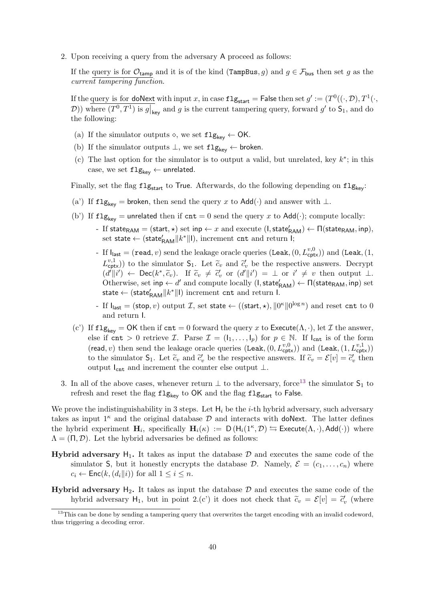2. Upon receiving a query from the adversary A proceed as follows:

If the query is for  $\mathcal{O}_{\text{tamp}}$  and it is of the kind (TampBus, g) and  $g \in \mathcal{F}_{\text{bus}}$  then set g as the current tampering function.

If the query is for doNext with input  $x,$  in case  $\mathtt{flg}_{\mathsf{start}} = \mathsf{False}$  then set  $g' := (T^0((\cdot,\mathcal{D}),T^1(\cdot,\mathcal{D})))$  $(D)$ ) where  $(T^0, T^1)$  is  $g|_{\mathsf{key}}$  and g is the current tampering query, forward  $g'$  to  $\mathsf{S}_1$ , and do the following:

- (a) If the simulator outputs  $\diamond$ , we set  $\texttt{flg}_{\textsf{key}} \leftarrow \textsf{OK}.$
- (b) If the simulator outputs  $\bot$ , we set  $\mathtt{flg}_{\mathsf{key}} \leftarrow \mathtt{broken}.$
- (c) The last option for the simulator is to output a valid, but unrelated, key  $k^*$ ; in this case, we set  $\texttt{flg}_{\text{key}} \leftarrow$  unrelated.

Finally, set the flag  $flg_{start}$  to True. Afterwards, do the following depending on  $flg_{key}$ :

- (a) If  $f\mathbb{1}g_{\mathsf{key}}$  = broken, then send the query x to Add(·) and answer with  $\bot$ .
- (b') If  $f1g_{\text{key}} =$  unrelated then if  $\text{cnt} = 0$  send the query x to  $\text{Add}(\cdot)$ ; compute locally:
	- If state<sub>RAM</sub> = (start,  $\star$ ) set inp  $\leftarrow x$  and execute  $(\mathsf{I},\mathsf{state}_\mathsf{RAM}) \leftarrow \mathsf{\Pi}(\mathsf{state}_\mathsf{RAM},\mathsf{inp}),$  $\text{set state} \leftarrow (\text{state}'_{\textsf{RAM}} || k^* || l), \text{increment ent and return l};$
	- If  $I_{\text{last}} = (\texttt{read}, v)$  send the leakage oracle queries  $(\texttt{Leak}, (0, L^{v,0}_{\texttt{cptx}}))$  and  $(\texttt{Leak}, (1,$  $L^{v,1}_{\text{cptx}}$ ) to the simulator  $S_1$ . Let  $\tilde{c}_v$  and  $\tilde{c}'_v$  be the respective answers. Decrypt  $(d'||d')$   $\longrightarrow$   $\text{Dec}(k^* \tilde{a})$  if  $\tilde{a} \neq \tilde{a}'$  or  $(d'||d') = \text{Dec}(k^* \tilde{a})$  then output  $(d' \parallel i') \leftarrow \text{Dec}(k^*, \tilde{c}_v)$ . If  $\tilde{c}_v \neq \tilde{c}'_v$  or  $(d' \parallel i') = \perp$  or  $i' \neq v$  then output  $\perp$ . Otherwise, set  $\mathsf{inp} \leftarrow d'$  and compute locally  $(\mathsf{I},\mathsf{state}'_{\mathsf{RAM}}) \leftarrow \Pi(\mathsf{state}_{\mathsf{RAM}},\mathsf{inp})$  set state  $\leftarrow$  (state $'_{\sf RAM} || k^* || {\sf I}$ ) increment cnt and return I.
	- If  $I_{\text{last}} = (\text{stop}, v)$  output  $\mathcal{I}$ , set state  $\leftarrow ((\text{start}, \star), \|0^{\kappa}\|0^{\log n})$  and reset cnt to  $0$ and return I.
- (c') If  $f1g_{\text{key}} = OK$  then if cnt = 0 forward the query x to Execute( $\Lambda$ , $\cdot$ ), let  $\mathcal I$  the answer, else if cnt > 0 retrieve *I*. Parse  $\mathcal{I} = (I_1, \ldots, I_p)$  for  $p \in \mathbb{N}$ . If  $I_{\text{cnt}}$  is of the form (read, v) then send the leakage oracle queries  $(\text{Leak}, (0, L^{v,0}_{\text{cptx}}))$  and  $(\text{Leak}, (1, L^{v,1}_{\text{cptx}}))$ to the simulator  $S_1$ . Let  $\tilde{c}_v$  and  $\tilde{c}'_v$  be the respective answers. If  $\tilde{c}_v = \mathcal{E}[v] = \tilde{c}'_v$  then output  $I_{\text{cnt}}$  and increment the counter else output  $\perp$ .
- 3. In all of the above cases, whenever return  $\perp$  to the adversary, force<sup>[13](#page-40-0)</sup> the simulator  $S_1$  to refresh and reset the flag  $f1g_{\text{key}}$  to OK and the flag  $f1g_{\text{start}}$  to False.

We prove the indistinguishability in 3 steps. Let  $H_i$  be the *i*-th hybrid adversary, such adversary takes as input  $1^{\kappa}$  and the original database  $\mathcal{D}$  and interacts with doNext. The latter defines the hybrid experiment  $H_i$ , specifically  $H_i(\kappa) := D(H_i(1^{\kappa}, \mathcal{D}) \leftrightarrows \text{Execute}(\Lambda, \cdot), \text{Add}(\cdot))$  where  $\Lambda = (\Pi, \mathcal{D})$ . Let the hybrid adversaries be defined as follows:

- **Hybrid adversary**  $H_1$ . It takes as input the database  $\mathcal{D}$  and executes the same code of the simulator S, but it honestly encrypts the database D. Namely,  $\mathcal{E} = (c_1, \ldots, c_n)$  where  $c_i \leftarrow \mathsf{Enc}(k, (d_i || i))$  for all  $1 \leq i \leq n$ .
- **Hybrid adversary**  $H_2$ . It takes as input the database  $\mathcal{D}$  and executes the same code of the hybrid adversary  $H_1$ , but in point 2.(c') it does not check that  $\tilde{c}_v = \mathcal{E}[v] = \tilde{c}'_v$  (where

<span id="page-40-0"></span><sup>&</sup>lt;sup>13</sup>This can be done by sending a tampering query that overwrites the target encoding with an invalid codeword, thus triggering a decoding error.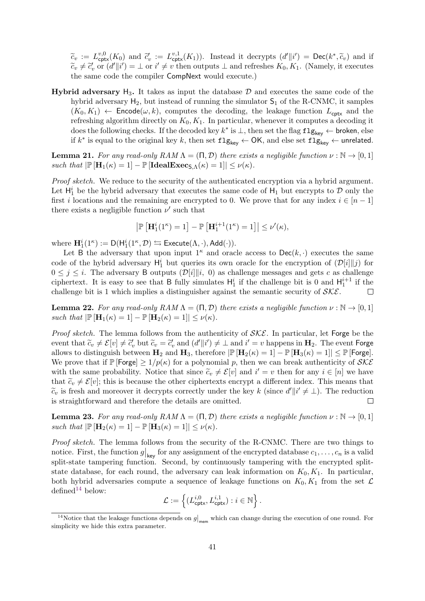$\widetilde{c}_v := L^{v,0}_{\text{cptx}}(K_0)$  and  $\widetilde{c}'_v := L^{v,1}_{\text{cptx}}(K_1)$ . Instead it decrypts  $(d'||i') = \text{Dec}(k^*, \widetilde{c}_v)$  and if  $\widetilde{c}_v \neq \widetilde{c}'_v$  or  $(d'||i') = \bot$  or  $i' \neq v$  then outputs  $\bot$  and refreshes  $K_0, K_1$ . (Namely, it executes the same sode the samples Complex would execute the same code the compiler CompNext would execute.)

**Hybrid adversary**  $H_3$ . It takes as input the database  $\mathcal{D}$  and executes the same code of the hybrid adversary  $H_2$ , but instead of running the simulator  $S_1$  of the R-CNMC, it samples  $(K_0, K_1) \leftarrow$  Encode $(\omega, k)$ , computes the decoding, the leakage function  $L_{\text{cptx}}$  and the refreshing algorithm directly on  $K_0, K_1$ . In particular, whenever it computes a decoding it does the following checks. If the decoded key  $k^*$  is  $\perp$ , then set the flag  $\mathtt{flg}_{\mathsf{key}} \leftarrow \mathtt{broken},$  else if  $k^*$  is equal to the original key  $k,$  then set  $\mathtt{flg}_{\mathsf{key}} \gets \mathsf{OK},$  and else set  $\mathtt{flg}_{\mathsf{key}} \gets$  unrelated.

<span id="page-41-1"></span>**Lemma 21.** For any read-only RAM  $\Lambda = (\Pi, \mathcal{D})$  there exists a negligible function  $\nu : \mathbb{N} \to [0, 1]$ such that  $|\mathbb{P}[\mathbf{H}_1(\kappa) = 1] - \mathbb{P}[\mathbf{IdealExec}_{S,\Lambda}(\kappa) = 1]| \leq \nu(\kappa).$ 

Proof sketch. We reduce to the security of the authenticated encryption via a hybrid argument. Let  $H_1^i$  be the hybrid adversary that executes the same code of  $H_1$  but encrypts to  $\mathcal D$  only the first i locations and the remaining are encrypted to 0. We prove that for any index  $i \in [n-1]$ there exists a negligible function  $\nu'$  such that

$$
\left|\mathbb{P}\left[\mathbf{H}_1^i(1^{\kappa})=1\right]-\mathbb{P}\left[\mathbf{H}_1^{i+1}(1^{\kappa})=1\right]\right|\leq \nu'(\kappa),
$$

where  $\mathbf{H}_{1}^{i}(1^{\kappa}) := \mathsf{D}(\mathsf{H}_{1}^{i}(1^{\kappa}, \mathcal{D}) \leftrightarrows \mathsf{Execute}(\Lambda, \cdot), \mathsf{Add}(\cdot)).$ 

Let B the adversary that upon input  $1^{\kappa}$  and oracle access to  $\text{Dec}(k, \cdot)$  executes the same code of the hybrid adversary  $H_1^i$  but queries its own oracle for the encryption of  $(\mathcal{D}[i] \| j)$  for  $0 \leq j \leq i$ . The adversary B outputs  $(\mathcal{D}[i] \| i, 0)$  as challenge messages and gets c as challenge ciphertext. It is easy to see that B fully simulates  $H_1^i$  if the challenge bit is 0 and  $H_1^{i+1}$  if the challenge bit is 1 which implies a distinguisher against the semantic security of SKE.  $\Box$ 

<span id="page-41-2"></span>**Lemma 22.** For any read-only RAM  $\Lambda = (\Pi, \mathcal{D})$  there exists a negligible function  $\nu : \mathbb{N} \to [0, 1]$ such that  $\left|\mathbb{P}\left[\mathbf{H}_1(\kappa)=1\right]-\mathbb{P}\left[\mathbf{H}_2(\kappa)=1\right]\right|\leq \nu(\kappa).$ 

*Proof sketch.* The lemma follows from the authenticity of  $SKE$ . In particular, let Forge be the event that  $\widetilde{c}_v \neq \mathcal{E}[v] \neq \widetilde{c}'_v$  but  $\widetilde{c}_v = \widetilde{c}'_v$  and  $(d'||i') \neq \bot$  and  $i' = v$  happens in  $\mathbf{H}_2$ . The event Forge<br>ployer to distinguish between  $\mathbf{H}$  and  $\mathbf{H}$  therefore  $\mathbb{P}[\mathbf{H}_v(\mu) = 1]$  allows to distinguish between  $H_2$  and  $H_3$ , therefore  $\left| \mathbb{P} [\mathbf{H}_2(\kappa) = 1] - \mathbb{P} [\mathbf{H}_3(\kappa) = 1] \right| \leq \mathbb{P} [\mathsf{Forge}].$ We prove that if  $\mathbb{P}[\text{Forge}] \geq 1/p(\kappa)$  for a polynomial p, then we can break authenticity of  $\mathcal{SKE}$ with the same probability. Notice that since  $\tilde{c}_v \neq \mathcal{E}[v]$  and  $i' = v$  then for any  $i \in [n]$  we have<br>that  $\tilde{c}_v \neq \mathcal{E}[v]$ , this is because the other sinkertows appear a different index. This means that that  $\tilde{c}_v \neq \mathcal{E}[v]$ ; this is because the other ciphertexts encrypt a different index. This means that  $\widetilde{c}_v$  is fresh and moreover it decrypts correctly under the key k (since  $d'||i' \neq \perp$ ). The reduction is straightforward and therefore the details are omitted.  $\Box$ 

**Lemma 23.** For any read-only RAM  $\Lambda = (\Pi, \mathcal{D})$  there exists a negligible function  $\nu : \mathbb{N} \to [0, 1]$ such that  $\left|\mathbb{P}\left[\mathbf{H}_{2}(\kappa)=1\right]-\mathbb{P}\left[\mathbf{H}_{3}(\kappa)=1\right]\right|\leq\nu(\kappa).$ 

Proof sketch. The lemma follows from the security of the R-CNMC. There are two things to notice. First, the function  $g|_{\mathsf{key}}$  for any assignment of the encrypted database  $c_1, \ldots, c_n$  is a valid split-state tampering function. Second, by continuously tampering with the encrypted splitstate database, for each round, the adversary can leak information on  $K_0, K_1$ . In particular, both hybrid adversaries compute a sequence of leakage functions on  $K_0, K_1$  from the set  $\mathcal L$ defined<sup>[14](#page-41-0)</sup> below:

$$
\mathcal{L} := \left\{ (L^{i,0}_{\text{cptx}}, L^{i,1}_{\text{cptx}}) : i \in \mathbb{N} \right\}.
$$

<span id="page-41-0"></span><sup>&</sup>lt;sup>14</sup>Notice that the leakage functions depends on  $g|_{\text{mem}}$  which can change during the execution of one round. For simplicity we hide this extra parameter.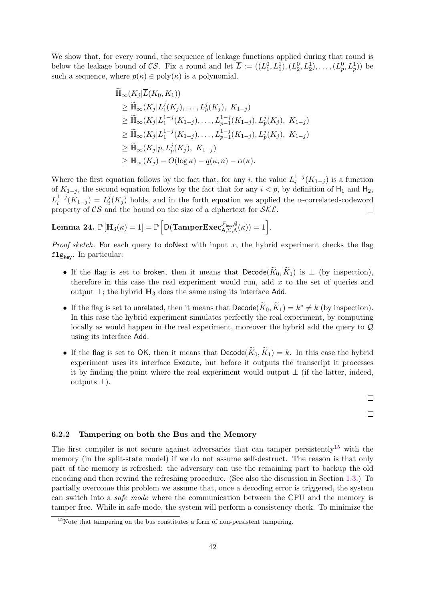We show that, for every round, the sequence of leakage functions applied during that round is below the leakage bound of CS. Fix a round and let  $\overline{L} := ((L_1^0, L_1^1), (L_2^0, L_2^1), \ldots, (L_p^0, L_p^1))$  be such a sequence, where  $p(\kappa) \in \text{poly}(\kappa)$  is a polynomial.

$$
\widetilde{\mathbb{H}}_{\infty}(K_{j}|\overline{L}(K_{0},K_{1}))
$$
\n
$$
\geq \widetilde{\mathbb{H}}_{\infty}(K_{j}|L_{1}^{j}(K_{j}),\ldots,L_{p}^{j}(K_{j}), K_{1-j})
$$
\n
$$
\geq \widetilde{\mathbb{H}}_{\infty}(K_{j}|L_{1}^{1-j}(K_{1-j}),\ldots,L_{p-1}^{1-j}(K_{1-j}),L_{p}^{j}(K_{j}), K_{1-j})
$$
\n
$$
\geq \widetilde{\mathbb{H}}_{\infty}(K_{j}|L_{1}^{1-j}(K_{1-j}),\ldots,L_{p-1}^{1-j}(K_{1-j}),L_{p}^{j}(K_{j}), K_{1-j})
$$
\n
$$
\geq \widetilde{\mathbb{H}}_{\infty}(K_{j}|p,L_{p}^{j}(K_{j}), K_{1-j})
$$
\n
$$
\geq \mathbb{H}_{\infty}(K_{j}) - O(\log \kappa) - q(\kappa, n) - \alpha(\kappa).
$$

Where the first equation follows by the fact that, for any i, the value  $L_i^{1-j}$  $i_i^{-1-j}(K_{1-j})$  is a function of  $K_{1-j}$ , the second equation follows by the fact that for any  $i < p$ , by definition of H<sub>1</sub> and H<sub>2</sub>,  $L_i^{1-j}$  $i^{-j}(K_{1-j}) = L_i^j$  $i(K_j)$  holds, and in the forth equation we applied the  $\alpha$ -correlated-codeword property of  $\mathcal{CS}$  and the bound on the size of a ciphertext for  $\mathcal{SKE}$ .  $\Box$ 

 $\textbf{Lemma 24.}\;\; \mathbb{P}\left[\textbf{H}_{3}(\kappa)=1\right]=\mathbb{P}\left[\text{D}(\textbf{TamperExec}_{\textbf{A},\Sigma,\Lambda}^{\mathcal{F}_{\text{bus}},\emptyset}(\kappa))=1\right].$ 

*Proof sketch.* For each query to **doNext** with input  $x$ , the hybrid experiment checks the flag  $f1g_{\text{kev}}$ . In particular:

- If the flag is set to broken, then it means that  $Decode(\widetilde{K}_0, \widetilde{K}_1)$  is  $\perp$  (by inspection), therefore in this case the real experiment would run, add  $x$  to the set of queries and output  $\perp$ ; the hybrid  $H_3$  does the same using its interface Add.
- If the flag is set to unrelated, then it means that  $\text{Decode}(\widetilde{K}_0, \widetilde{K}_1) = k^* \neq k$  (by inspection). In this case the hybrid experiment simulates perfectly the real experiment, by computing locally as would happen in the real experiment, moreover the hybrid add the query to Q using its interface Add.
- If the flag is set to OK, then it means that  $Decode(\widetilde{K}_0, \widetilde{K}_1) = k$ . In this case the hybrid experiment uses its interface Execute, but before it outputs the transcript it processes it by finding the point where the real experiment would output  $\perp$  (if the latter, indeed, outputs  $\perp$ ).

 $\Box$ 

 $\Box$ 

### 6.2.2 Tampering on both the Bus and the Memory

The first compiler is not secure against adversaries that can tamper persistently<sup>[15](#page-42-0)</sup> with the memory (in the split-state model) if we do not assume self-destruct. The reason is that only part of the memory is refreshed: the adversary can use the remaining part to backup the old encoding and then rewind the refreshing procedure. (See also the discussion in Section [1.3.](#page-4-0)) To partially overcome this problem we assume that, once a decoding error is triggered, the system can switch into a safe mode where the communication between the CPU and the memory is tamper free. While in safe mode, the system will perform a consistency check. To minimize the

<span id="page-42-0"></span><sup>&</sup>lt;sup>15</sup>Note that tampering on the bus constitutes a form of non-persistent tampering.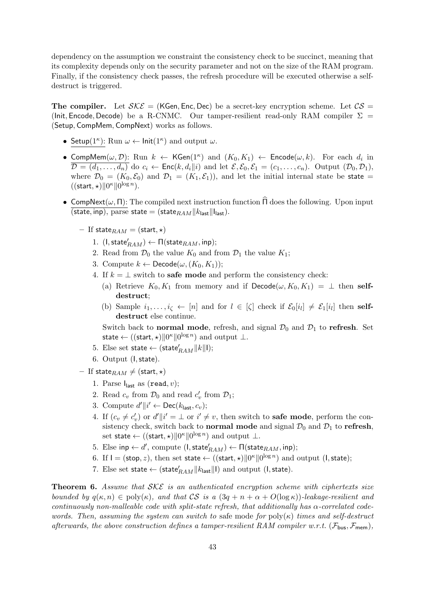dependency on the assumption we constraint the consistency check to be succinct, meaning that its complexity depends only on the security parameter and not on the size of the RAM program. Finally, if the consistency check passes, the refresh procedure will be executed otherwise a selfdestruct is triggered.

**The compiler.** Let  $\mathcal{SKE} = (KGen, Enc, Dec)$  be a secret-key encryption scheme. Let  $CS =$ (Init, Encode, Decode) be a R-CNMC. Our tamper-resilient read-only RAM compiler  $\Sigma$  = (Setup, CompMem, CompNext) works as follows.

- Setup( $1^{\kappa}$ ): Run  $\omega \leftarrow \text{Init}(1^{\kappa})$  and output  $\omega$ .
- CompMem $(\omega, \mathcal{D})$ : Run  $k \leftarrow \mathsf{KGen}(1^{\kappa})$  and  $(K_0, K_1) \leftarrow \mathsf{Encode}(\omega, k)$ . For each  $d_i$  in  $\overline{\mathcal{D} = (d_1, \ldots, d_n)}$  do  $c_i \leftarrow \text{Enc}(k, d_i || i)$  and let  $\mathcal{E}, \mathcal{E}_0, \mathcal{E}_1 = (c_1, \ldots, c_n)$ . Output  $(\mathcal{D}_0, \mathcal{D}_1)$ , where  $\mathcal{D}_0 = (K_0, \mathcal{E}_0)$  and  $\mathcal{D}_1 = (K_1, \mathcal{E}_1)$ , and let the initial internal state be state =  $((start, \star) \| 0^{\kappa} \| 0^{\log n}).$
- CompNext( $\omega$ , Π): The compiled next instruction function  $\widehat{\Pi}$  does the following. Upon input (state, inp), parse state = (state $_{RAM}$  || $k_{\text{last}}$ || $l_{\text{last}}$ ).
	- If state $_{RAM} = (start, \star)$ 
		- 1.  $(l, state'_{RAM}) \leftarrow \Pi(state_{RAM}, inp);$
		- 2. Read from  $\mathcal{D}_0$  the value  $K_0$  and from  $\mathcal{D}_1$  the value  $K_1$ ;
		- 3. Compute  $k \leftarrow \textsf{Decode}(\omega, (K_0, K_1));$
		- 4. If  $k = \perp$  switch to **safe mode** and perform the consistency check:
			- (a) Retrieve  $K_0, K_1$  from memory and if  $Decode(\omega, K_0, K_1) = \perp$  then selfdestruct;
			- (b) Sample  $i_1, \ldots, i_\zeta \leftarrow [n]$  and for  $l \in [\zeta]$  check if  $\mathcal{E}_0[i_l] \neq \mathcal{E}_1[i_l]$  then selfdestruct else continue.

Switch back to normal mode, refresh, and signal  $\mathcal{D}_0$  and  $\mathcal{D}_1$  to refresh. Set state  $\leftarrow ((\mathsf{start},\star)\|0^\kappa\|0^{\log n})$  and  $\text{output } \bot.$ 

- 5. Else set state  $\leftarrow (\textsf{state}'_{RAM} || k || 1);$
- 6. Output (I,state).
- If state $_{RAM} \neq$  (start,  $\star$ )
	- 1. Parse  $I_{\text{last}}$  as (read, v);
	- 2. Read  $c_v$  from  $\mathcal{D}_0$  and read  $c'_v$  from  $\mathcal{D}_1$ ;
	- 3. Compute  $d'||i' \leftarrow \mathsf{Dec}(k_{\mathsf{last}}, c_v);$
	- 4. If  $(c_v \neq c'_v)$  or  $d'||i' = \perp$  or  $i' \neq v$ , then switch to **safe mode**, perform the consistency check, switch back to **normal mode** and signal  $\mathcal{D}_0$  and  $\mathcal{D}_1$  to **refresh**, set state  $\leftarrow ((\textsf{start},\star)||0^{\kappa}||0^{\log n})$  and output  $\perp$ .
	- 5. Else inp ←  $d'$ , compute  $(I, state'_{RAM})$  ← Π(state $_{RAM}$ , inp);
	- 6. If  $I = (\mathsf{stop}, z)$ , then set state  $\leftarrow ((\mathsf{start}, \star) \| 0^{\kappa} \| 0^{\log n})$  and output  $(I, \mathsf{state})$ ;
	- 7. Else set state  $\leftarrow$  (state $'_{RAM} || k_{\text{last}} || l$ ) and output (l, state).

**Theorem 6.** Assume that  $SKE$  is an authenticated encryption scheme with ciphertexts size bounded by  $q(\kappa, n) \in \text{poly}(\kappa)$ , and that  $\mathcal{CS}$  is a  $(3q + n + \alpha + O(\log \kappa))$ -leakage-resilient and continuously non-malleable code with split-state refresh, that additionally has  $\alpha$ -correlated codewords. Then, assuming the system can switch to safe mode for  $poly(\kappa)$  times and self-destruct afterwards, the above construction defines a tamper-resilient RAM compiler w.r.t.  $(\mathcal{F}_{bus}, \mathcal{F}_{mem})$ ,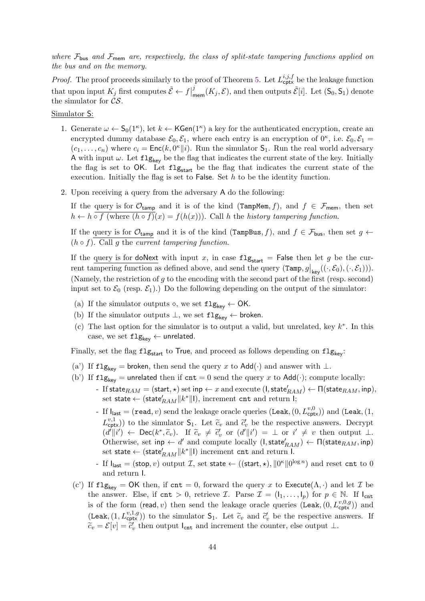where  $\mathcal{F}_{\text{bus}}$  and  $\mathcal{F}_{\text{mem}}$  are, respectively, the class of split-state tampering functions applied on the bus and on the memory.

*Proof.* The proof proceeds similarly to the proof of Theorem [5.](#page-39-0) Let  $L_{\text{cptx}}^{i,j,f}$  be the leakage function that upon input  $K_j$  first computes  $\tilde{\mathcal{E}} \leftarrow f$ j  $\sum_{m=m}^{j}(K_j,\mathcal{E}),$  and then outputs  $\tilde{\mathcal{E}}[i]$ . Let  $(\mathsf{S}_0,\mathsf{S}_1)$  denote the simulator for  $\mathcal{CS}$ .

Simulator S:

- 1. Generate  $\omega \leftarrow S_0(1^{\kappa})$ , let  $k \leftarrow \text{KGen}(1^{\kappa})$  a key for the authenticated encryption, create an encrypted dummy database  $\mathcal{E}_0, \mathcal{E}_1$ , where each entry is an encryption of  $0^{\kappa}$ , i.e.  $\mathcal{E}_0, \mathcal{E}_1$  $(c_1, \ldots, c_n)$  where  $c_i = \mathsf{Enc}(k, 0^{\kappa} || i)$ . Run the simulator  $S_1$ . Run the real world adversary A with input  $\omega$ . Let  $\text{flag}_{\text{key}}$  be the flag that indicates the current state of the key. Initially the flag is set to  $OK.$  Let  $flg_{start}$  be the flag that indicates the current state of the execution. Initially the flag is set to False. Set  $h$  to be the identity function.
- 2. Upon receiving a query from the adversary A do the following:

If the query is for  $\mathcal{O}_{\text{tamp}}$  and it is of the kind (TampMem, f), and  $f \in \mathcal{F}_{\text{mem}}$ , then set  $h \leftarrow h \circ f$  (where  $(h \circ f)(x) = f(h(x))$ ). Call h the history tampering function.

If the query is for  $\mathcal{O}_{\text{tamp}}$  and it is of the kind (TampBus, f), and  $f \in \mathcal{F}_{\text{bus}}$ , then set  $g \leftarrow$  $(h \circ f)$ . Call g the current tampering function.

If the query is for doNext with input x, in case  $\text{flag}_{start} = \text{False}$  then let g be the current tampering function as defined above, and send the query  $(\text{Tamp}, g|_{\text{key}}((\cdot, \mathcal{E}_0), (\cdot, \mathcal{E}_1))).$ (Namely, the restriction of  $g$  to the encoding with the second part of the first (resp. second) input set to  $\mathcal{E}_0$  (resp.  $\mathcal{E}_1$ ).) Do the following depending on the output of the simulator:

- (a) If the simulator outputs  $\diamond$ , we set  $\mathrm{flg}_{\mathsf{kev}} \leftarrow \mathsf{OK}.$
- (b) If the simulator outputs  $\bot$ , we set  $\mathrm{flg}_{\mathsf{kev}} \leftarrow \mathsf{broken}.$
- (c) The last option for the simulator is to output a valid, but unrelated, key  $k^*$ . In this case, we set  $\texttt{flg}_{\text{kev}} \leftarrow$  unrelated.

Finally, set the flag  $flg_{start}$  to True, and proceed as follows depending on  $flg_{key}$ :

- (a') If  $f1g_{\text{kev}}$  = broken, then send the query x to Add(·) and answer with  $\perp$ .
- (b') If  $f1g_{\text{key}} =$  unrelated then if  $\text{cnt} = 0$  send the query x to  $\text{Add}(\cdot)$ ; compute locally:
	- If state $_{RAM} = ($ start, $\star$ ) set inp  $\leftarrow x$  and execute  $(\mathsf{I}, \mathsf{state}'_{RAM}) \leftarrow \mathsf{\Pi}(\mathsf{state}_{RAM}, \mathsf{inp}),$  $\mathrm{set}\ \mathsf{state} \gets (\mathsf{state}'_{RAM} \| k^* \| \mathsf{I}), \ \mathrm{increment}\ \mathtt{cnt}\ \mathtt{and}\ \mathrm{return}\ \mathsf{I};$ 
		- If  $I_{\text{last}} = (\texttt{read}, v)$  send the leakage oracle queries  $(\texttt{Leak}, (0, L^{v,0}_{\texttt{cptx}}))$  and  $(\texttt{Leak}, (1,$  $L^{v,1}_{\text{cptx}}$ ) to the simulator  $S_1$ . Let  $\tilde{c}_v$  and  $\tilde{c}'_v$  be the respective answers. Decrypt  $(d'||s')$   $\longrightarrow$   $\text{Dec}(k^* \tilde{a})$  if  $\tilde{a} \neq \tilde{a}'$  or  $(d'||s') = \top$  or  $s' \neq s$  then output  $(d' \parallel i') \leftarrow \text{Dec}(k^*, \tilde{c}_v)$ . If  $\tilde{c}_v \neq \tilde{c}'_v$  or  $(d' \parallel i') = \perp$  or  $i' \neq v$  then output  $\perp$ . Otherwise, set inp  $\leftarrow d'$  and compute locally  $(l, \mathsf{state}'_{RAM}) \leftarrow \Pi(\mathsf{state}_{RAM}, \mathsf{inp})$ set state  $\leftarrow$  (state $'_{RAM} || k^* || 1$ ) increment cnt and return I.
	- If  $I_{\textsf{last}} = (\textsf{stop}, v)$  output  $\mathcal{I}, \, \textsf{set state} \leftarrow ((\textsf{start}, \star), \|0^\kappa\| 0^{\log n})$  and reset  $\textsf{cnt to } 0$ and return I.
- (c') If  $f1g_{\text{key}} = OK$  then, if cnt = 0, forward the query x to Execute( $\Lambda$ , ·) and let  $\mathcal I$  be the answer. Else, if  $\text{cnt} > 0$ , retrieve *I*. Parse  $\mathcal{I} = (I_1, \ldots, I_p)$  for  $p \in \mathbb{N}$ . If  $I_{\text{cnt}}$ is of the form (read, v) then send the leakage oracle queries (Leak,  $(0, L_{\text{cptx}}^{v,0,g})$ ) and (Leak,  $(1, L_{\text{cpt}}^{v,1,g})$ ) to the simulator  $S_1$ . Let  $\tilde{c}_v$  and  $\tilde{c}'_v$  be the respective answers. If  $\widetilde{c}_v = \mathcal{E}[v] = \widetilde{c}'_v$  then output  $I_{\text{cnt}}$  and increment the counter, else output  $\bot$ .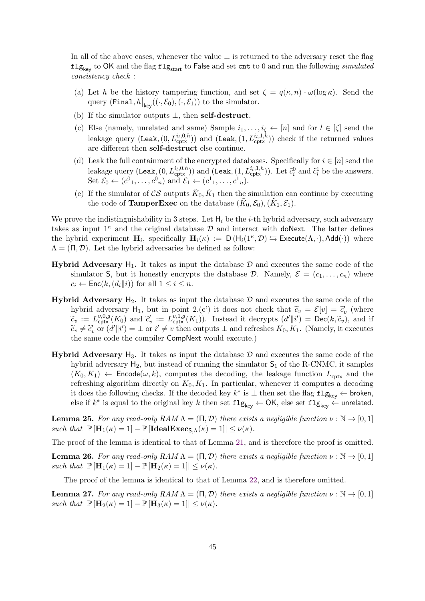In all of the above cases, whenever the value  $\perp$  is returned to the adversary reset the flag  $f1g_{\text{key}}$  to OK and the flag  $f1g_{\text{start}}$  to False and set cnt to 0 and run the following simulated consistency check :

- (a) Let h be the history tampering function, and set  $\zeta = q(\kappa, n) \cdot \omega(\log \kappa)$ . Send the query  $(\text{Final}, h|_{\text{key}}((\cdot, \mathcal{E}_0), (\cdot, \mathcal{E}_1))$  to the simulator.
- (b) If the simulator outputs  $\perp$ , then **self-destruct**.
- (c) Else (namely, unrelated and same) Sample  $i_1, \ldots, i_{\zeta} \leftarrow [n]$  and for  $l \in [\zeta]$  send the leakage query (Leak, $(0, L_{\text{cptx}}^{i_1,0,h}))$  and  $(\text{Leak},(1, L_{\text{cptx}}^{i_1,1,h}))$  check if the returned values are different then self-destruct else continue.
- (d) Leak the full containment of the encrypted databases. Specifically for  $i \in [n]$  send the leakage query  $(\mathtt{Leak},(0,L^{i_l,0,h}_{\mathtt{cptx}}))$  and  $(\mathtt{Leak},(1,L^{i_l,1,h}_{\mathtt{cptx}}))$ . Let  $\tilde{c}^0_i$  and  $\tilde{c}^1_i$  be the answers. Set  $\mathcal{E}_0 \leftarrow (c^0_1, \dots, c^0_n)$  and  $\mathcal{E}_1 \leftarrow (c^1_1, \dots, c^1_n)$ .
- (e) If the simulator of  $\mathcal{CS}$  outputs  $\tilde{K}_0$ ,  $\tilde{K}_1$  then the simulation can continue by executing the code of **TamperExec** on the database  $(\tilde{K}_0, \mathcal{E}_0), (\tilde{K}_1, \mathcal{E}_1)$ .

We prove the indistinguishability in 3 steps. Let  $H_i$  be the *i*-th hybrid adversary, such adversary takes as input  $1^{\kappa}$  and the original database  $\mathcal{D}$  and interact with **doNext**. The latter defines the hybrid experiment  $H_i$ , specifically  $H_i(\kappa) := D(H_i(1^{\kappa}, \mathcal{D}) \leftrightarrows \text{Execute}(\Lambda, \cdot), \text{Add}(\cdot))$  where  $\Lambda = (\Pi, \mathcal{D})$ . Let the hybrid adversaries be defined as follow:

- **Hybrid Adversary**  $H_1$ . It takes as input the database  $\mathcal{D}$  and executes the same code of the simulator S, but it honestly encrypts the database D. Namely,  $\mathcal{E} = (c_1, \ldots, c_n)$  where  $c_i \leftarrow \mathsf{Enc}(k, (d_i || i))$  for all  $1 \leq i \leq n$ .
- **Hybrid Adversary**  $H_2$ **.** It takes as input the database  $\mathcal{D}$  and executes the same code of the hybrid adversary H<sub>1</sub>, but in point 2.(c') it does not check that  $\tilde{c}_v = \mathcal{E}[v] = \tilde{c}'_v$  (where  $\tilde{c}_v := L^{v,0,g}(K_v)$  and  $\tilde{c}'_v := L^{v,1,g}(K_v)$ ). Instead it degraphs  $(d'|v') = \text{Dec}(h, \tilde{c}_v)$  and it  $\widetilde{c}_v := L^{v,0,g}_{\text{cptX}}(K_0)$  and  $\widetilde{c}_v := L^{v,1,g}_{\text{cptX}}(K_1)$ . Instead it decrypts  $(d' || i') = \text{Dec}(k, \widetilde{c}_v)$ , and if  $\widetilde{c}_v \neq \widetilde{c}'_v$  or  $(d'||i') = \bot$  or  $i' \neq v$  then outputs  $\bot$  and refreshes  $K_0, K_1$ . (Namely, it executes the same code the compiler CompNext would execute.)
- Hybrid Adversary  $H_3$ . It takes as input the database  $D$  and executes the same code of the hybrid adversary  $H_2$ , but instead of running the simulator  $S_1$  of the R-CNMC, it samples  $(K_0, K_1) \leftarrow$  Encode $(\omega, k)$ , computes the decoding, the leakage function  $L_{\text{cptx}}$  and the refreshing algorithm directly on  $K_0, K_1$ . In particular, whenever it computes a decoding it does the following checks. If the decoded key  $k^*$  is  $\perp$  then set the flag  $f1g_{key} \leftarrow$  broken, else if  $k^*$  is equal to the original key k then set  $f1g_{key} \leftarrow OK$ , else set  $f1g_{key} \leftarrow$  unrelated.

**Lemma 25.** For any read-only RAM  $\Lambda = (\Pi, \mathcal{D})$  there exists a negligible function  $\nu : \mathbb{N} \to [0, 1]$ such that  $|\mathbb{P}[\mathbf{H}_1(\kappa) = 1] - \mathbb{P}[\mathbf{IdealExec}_{S,\Lambda}(\kappa) = 1]| \leq \nu(\kappa).$ 

The proof of the lemma is identical to that of Lemma [21,](#page-41-1) and is therefore the proof is omitted.

**Lemma 26.** For any read-only  $RAM \Lambda = (\Pi, \mathcal{D})$  there exists a negligible function  $\nu : \mathbb{N} \to [0,1]$ such that  $\left|\mathbb{P}\left[\mathbf{H}_1(\kappa)=1\right]-\mathbb{P}\left[\mathbf{H}_2(\kappa)=1\right]\right|\leq \nu(\kappa).$ 

The proof of the lemma is identical to that of Lemma [22,](#page-41-2) and is therefore omitted.

**Lemma 27.** For any read-only RAM  $\Lambda = (\Pi, \mathcal{D})$  there exists a negligible function  $\nu : \mathbb{N} \to [0,1]$ such that  $\left|\mathbb{P}\left[\mathbf{H}_{2}(\kappa)=1\right]-\mathbb{P}\left[\mathbf{H}_{3}(\kappa)=1\right]\right|\leq\nu(\kappa).$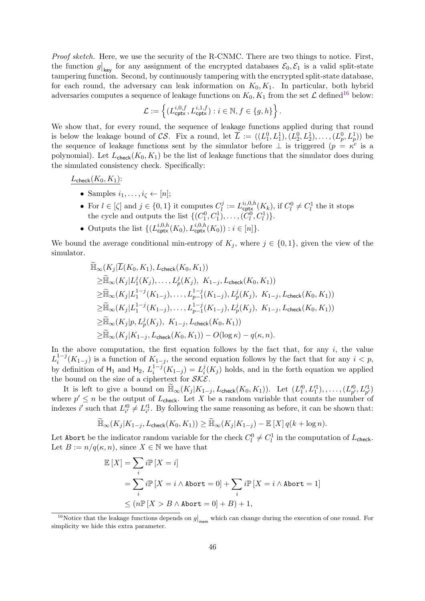Proof sketch. Here, we use the security of the R-CNMC. There are two things to notice. First, the function  $g|_{\mathsf{key}}$  for any assignment of the encrypted databases  $\mathcal{E}_0, \mathcal{E}_1$  is a valid split-state tampering function. Second, by continuously tampering with the encrypted split-state database, for each round, the adversary can leak information on  $K_0, K_1$ . In particular, both hybrid adversaries computes a sequence of leakage functions on  $K_0, K_1$  from the set  $\mathcal L$  defined<sup>[16](#page-46-0)</sup> below:

$$
\mathcal{L} := \left\{ (L_{\text{cptx}}^{i,0,f}, L_{\text{cptx}}^{i,1,f}) : i \in \mathbb{N}, f \in \{g, h\} \right\}.
$$

We show that, for every round, the sequence of leakage functions applied during that round is below the leakage bound of CS. Fix a round, let  $\overline{L} := ((L_1^0, L_1^1), (L_2^0, L_2^1), \ldots, (L_p^0, L_p^1))$  be the sequence of leakage functions sent by the simulator before  $\perp$  is triggered  $(p = \kappa^c)$  is a polynomial). Let  $L_{\text{check}}(K_0, K_1)$  be the list of leakage functions that the simulator does during the simulated consistency check. Specifically:

 $L_{\text{check}}(K_0, K_1)$ :

- Samples  $i_1, \ldots, i_{\zeta} \leftarrow [n];$
- For  $l \in [\zeta]$  and  $j \in \{0,1\}$  it computes  $C_l^j$  $l_l^j := L_{\text{cptx}}^{i_l,0,h}(K_k)$ , if  $C_l^0 \neq C_l^1$  the it stops the cycle and outputs the list  $\{ (C_1^0, C_1^1), \ldots, (C_l^0, C_l^1) \}.$
- Outputs the list  $\{ (L_{\text{cptx}}^{i,0,h}(K_0), L_{\text{cptx}}^{i,0,h}(K_0)) : i \in [n] \}.$

We bound the average conditional min-entropy of  $K_j$ , where  $j \in \{0,1\}$ , given the view of the simulator.

$$
\tilde{\mathbb{H}}_{\infty}(K_{j}|\overline{L}(K_{0},K_{1}),L_{\text{check}}(K_{0},K_{1}))
$$
\n
$$
\geq \tilde{\mathbb{H}}_{\infty}(K_{j}|L_{1}^{j}(K_{j}),\ldots,L_{p}^{j}(K_{j}), K_{1-j},L_{\text{check}}(K_{0},K_{1}))
$$
\n
$$
\geq \tilde{\mathbb{H}}_{\infty}(K_{j}|L_{1}^{1-j}(K_{1-j}),\ldots,L_{p-1}^{1-j}(K_{1-j}),L_{p}^{j}(K_{j}), K_{1-j},L_{\text{check}}(K_{0},K_{1}))
$$
\n
$$
\geq \tilde{\mathbb{H}}_{\infty}(K_{j}|L_{1}^{1-j}(K_{1-j}),\ldots,L_{p-1}^{1-j}(K_{1-j}),L_{p}^{j}(K_{j}), K_{1-j},L_{\text{check}}(K_{0},K_{1}))
$$
\n
$$
\geq \tilde{\mathbb{H}}_{\infty}(K_{j}|p,L_{p}^{j}(K_{j}), K_{1-j},L_{\text{check}}(K_{0},K_{1}))
$$
\n
$$
\geq \tilde{\mathbb{H}}_{\infty}(K_{j}|K_{1-j},L_{\text{check}}(K_{0},K_{1})) - O(\log \kappa) - q(\kappa,n).
$$

In the above computation, the first equation follows by the fact that, for any  $i$ , the value  $L_i^{1-j}$  $i^{-j}(K_{1-j})$  is a function of  $K_{1-j}$ , the second equation follows by the fact that for any  $i < p$ , by definition of  $H_1$  and  $H_2$ ,  $L_i^{1-j}$  $i^{-j}(K_{1-j}) = L_i^j$  $i(K_j)$  holds, and in the forth equation we applied the bound on the size of a ciphertext for  $\mathcal{SKE}$ .

It is left to give a bound on  $\widetilde{\mathbb{H}}_{\infty}(K_j | K_{1-j}, L_{\text{check}}(K_0, K_1)).$  Let  $(L_1^0, L_1^{\prime 1}), \ldots, (L_{p'}^{\prime 0}, L_{p'}^{\prime 1})$ where  $p' \leq n$  be the output of  $L_{\text{check}}$ . Let X be a random variable that counts the number of indexes i' such that  $L_{i'}^0 \neq L_{i'}^1$ . By following the same reasoning as before, it can be shown that:

$$
\widetilde{\mathbb{H}}_{\infty}(K_j|K_{1-j}, L_{\mathsf{check}}(K_0, K_1)) \geq \widetilde{\mathbb{H}}_{\infty}(K_j|K_{1-j}) - \mathbb{E}\left[X\right]q(k + \log n).
$$

Let Abort be the indicator random variable for the check  $C_l^0 \neq C_l^1$  in the computation of  $L_{\text{check}}$ . Let  $B := n/q(\kappa, n)$ , since  $X \in \mathbb{N}$  we have that

$$
\mathbb{E}[X] = \sum_{i} i \mathbb{P}[X = i]
$$
  
= 
$$
\sum_{i} i \mathbb{P}[X = i \land \text{Abort} = 0] + \sum_{i} i \mathbb{P}[X = i \land \text{Abort} = 1]
$$
  

$$
\leq (n \mathbb{P}[X > B \land \text{Abort} = 0] + B) + 1,
$$

<span id="page-46-0"></span><sup>&</sup>lt;sup>16</sup>Notice that the leakage functions depends on  $g|_{\text{mem}}$  which can change during the execution of one round. For simplicity we hide this extra parameter.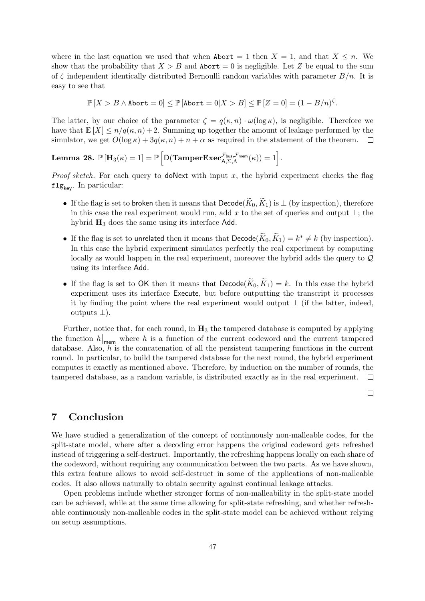where in the last equation we used that when Abort = 1 then  $X = 1$ , and that  $X \leq n$ . We show that the probability that  $X > B$  and Abort = 0 is negligible. Let Z be equal to the sum of  $\zeta$  independent identically distributed Bernoulli random variables with parameter  $B/n$ . It is easy to see that

$$
\mathbb{P}\left[X>B \wedge \texttt{Abort} = 0\right] \le \mathbb{P}\left[\texttt{Abort} = 0 | X > B\right] \le \mathbb{P}\left[Z = 0\right] = (1 - B/n)^{\zeta}.
$$

The latter, by our choice of the parameter  $\zeta = q(\kappa, n) \cdot \omega(\log \kappa)$ , is negligible. Therefore we have that  $\mathbb{E}[X] \leq n/q(\kappa, n)+2$ . Summing up together the amount of leakage performed by the simulator, we get  $O(\log \kappa) + 3q(\kappa, n) + n + \alpha$  as required in the statement of the theorem.  $\Box$ 

 $\textbf{Lemma 28.} \; \mathbb{P}\left[\textbf{H}_{3}(\kappa)=1\right]=\mathbb{P}\left[\textsf{D}(\textbf{TamperExec}_{\textsf{A},\Sigma,\Lambda}^{\mathcal{F}_{\textsf{bus}},\mathcal{F}_{\textsf{mem}}}(\kappa))=1\right].$ 

*Proof sketch.* For each query to **doNext** with input x, the hybrid experiment checks the flag  $f1g_{\text{key}}$ . In particular:

- If the flag is set to broken then it means that  $\mathsf{Decode}(\widetilde{K}_0, \widetilde{K}_1)$  is  $\perp$  (by inspection), therefore in this case the real experiment would run, add x to the set of queries and output  $\perp$ ; the hybrid  $H_3$  does the same using its interface Add.
- If the flag is set to unrelated then it means that  $\text{Decode}(\widetilde{K}_0, \widetilde{K}_1) = k^* \neq k$  (by inspection). In this case the hybrid experiment simulates perfectly the real experiment by computing locally as would happen in the real experiment, moreover the hybrid adds the query to  $\mathcal{Q}$ using its interface Add.
- If the flag is set to OK then it means that  $Decode(\widetilde{K}_0, \widetilde{K}_1) = k$ . In this case the hybrid experiment uses its interface Execute, but before outputting the transcript it processes it by finding the point where the real experiment would output  $\perp$  (if the latter, indeed, outputs  $\perp$ ).

Further, notice that, for each round, in  $H_3$  the tampered database is computed by applying the function  $h|_{\text{mem}}$  where h is a function of the current codeword and the current tampered database. Also,  $h$  is the concatenation of all the persistent tampering functions in the current round. In particular, to build the tampered database for the next round, the hybrid experiment computes it exactly as mentioned above. Therefore, by induction on the number of rounds, the tampered database, as a random variable, is distributed exactly as in the real experiment.  $\Box$ 

 $\Box$ 

# <span id="page-47-0"></span>7 Conclusion

We have studied a generalization of the concept of continuously non-malleable codes, for the split-state model, where after a decoding error happens the original codeword gets refreshed instead of triggering a self-destruct. Importantly, the refreshing happens locally on each share of the codeword, without requiring any communication between the two parts. As we have shown, this extra feature allows to avoid self-destruct in some of the applications of non-malleable codes. It also allows naturally to obtain security against continual leakage attacks.

Open problems include whether stronger forms of non-malleability in the split-state model can be achieved, while at the same time allowing for split-state refreshing, and whether refreshable continuously non-malleable codes in the split-state model can be achieved without relying on setup assumptions.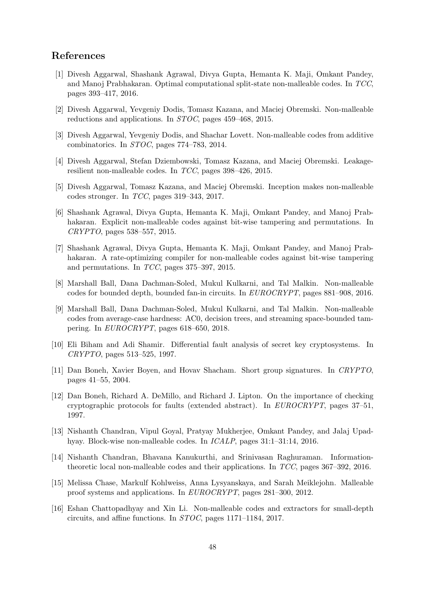# References

- <span id="page-48-8"></span>[1] Divesh Aggarwal, Shashank Agrawal, Divya Gupta, Hemanta K. Maji, Omkant Pandey, and Manoj Prabhakaran. Optimal computational split-state non-malleable codes. In TCC, pages 393–417, 2016.
- <span id="page-48-3"></span>[2] Divesh Aggarwal, Yevgeniy Dodis, Tomasz Kazana, and Maciej Obremski. Non-malleable reductions and applications. In STOC, pages 459–468, 2015.
- <span id="page-48-2"></span>[3] Divesh Aggarwal, Yevgeniy Dodis, and Shachar Lovett. Non-malleable codes from additive combinatorics. In STOC, pages 774–783, 2014.
- <span id="page-48-4"></span>[4] Divesh Aggarwal, Stefan Dziembowski, Tomasz Kazana, and Maciej Obremski. Leakageresilient non-malleable codes. In TCC, pages 398–426, 2015.
- <span id="page-48-7"></span>[5] Divesh Aggarwal, Tomasz Kazana, and Maciej Obremski. Inception makes non-malleable codes stronger. In TCC, pages 319–343, 2017.
- <span id="page-48-9"></span>[6] Shashank Agrawal, Divya Gupta, Hemanta K. Maji, Omkant Pandey, and Manoj Prabhakaran. Explicit non-malleable codes against bit-wise tampering and permutations. In CRYPTO, pages 538–557, 2015.
- <span id="page-48-10"></span>[7] Shashank Agrawal, Divya Gupta, Hemanta K. Maji, Omkant Pandey, and Manoj Prabhakaran. A rate-optimizing compiler for non-malleable codes against bit-wise tampering and permutations. In TCC, pages 375–397, 2015.
- <span id="page-48-13"></span>[8] Marshall Ball, Dana Dachman-Soled, Mukul Kulkarni, and Tal Malkin. Non-malleable codes for bounded depth, bounded fan-in circuits. In EUROCRYPT, pages 881–908, 2016.
- <span id="page-48-12"></span>[9] Marshall Ball, Dana Dachman-Soled, Mukul Kulkarni, and Tal Malkin. Non-malleable codes from average-case hardness: AC0, decision trees, and streaming space-bounded tampering. In EUROCRYPT, pages 618–650, 2018.
- <span id="page-48-1"></span>[10] Eli Biham and Adi Shamir. Differential fault analysis of secret key cryptosystems. In CRYPTO, pages 513–525, 1997.
- <span id="page-48-15"></span>[11] Dan Boneh, Xavier Boyen, and Hovav Shacham. Short group signatures. In CRYPTO, pages 41–55, 2004.
- <span id="page-48-0"></span>[12] Dan Boneh, Richard A. DeMillo, and Richard J. Lipton. On the importance of checking cryptographic protocols for faults (extended abstract). In EUROCRYPT, pages 37–51, 1997.
- <span id="page-48-11"></span>[13] Nishanth Chandran, Vipul Goyal, Pratyay Mukherjee, Omkant Pandey, and Jalaj Upadhyay. Block-wise non-malleable codes. In ICALP, pages 31:1–31:14, 2016.
- <span id="page-48-6"></span>[14] Nishanth Chandran, Bhavana Kanukurthi, and Srinivasan Raghuraman. Informationtheoretic local non-malleable codes and their applications. In TCC, pages 367–392, 2016.
- <span id="page-48-5"></span>[15] Melissa Chase, Markulf Kohlweiss, Anna Lysyanskaya, and Sarah Meiklejohn. Malleable proof systems and applications. In EUROCRYPT, pages 281–300, 2012.
- <span id="page-48-14"></span>[16] Eshan Chattopadhyay and Xin Li. Non-malleable codes and extractors for small-depth circuits, and affine functions. In STOC, pages 1171–1184, 2017.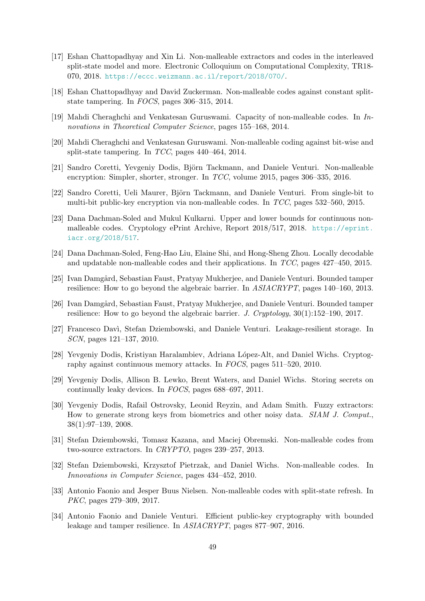- <span id="page-49-7"></span>[17] Eshan Chattopadhyay and Xin Li. Non-malleable extractors and codes in the interleaved split-state model and more. Electronic Colloquium on Computational Complexity, TR18- 070, 2018. <https://eccc.weizmann.ac.il/report/2018/070/>.
- <span id="page-49-12"></span>[18] Eshan Chattopadhyay and David Zuckerman. Non-malleable codes against constant splitstate tampering. In FOCS, pages 306–315, 2014.
- <span id="page-49-11"></span>[19] Mahdi Cheraghchi and Venkatesan Guruswami. Capacity of non-malleable codes. In  $In$ novations in Theoretical Computer Science, pages 155–168, 2014.
- <span id="page-49-6"></span>[20] Mahdi Cheraghchi and Venkatesan Guruswami. Non-malleable coding against bit-wise and split-state tampering. In TCC, pages 440–464, 2014.
- <span id="page-49-10"></span>[21] Sandro Coretti, Yevgeniy Dodis, Björn Tackmann, and Daniele Venturi. Non-malleable encryption: Simpler, shorter, stronger. In TCC, volume 2015, pages 306–335, 2016.
- <span id="page-49-9"></span>[22] Sandro Coretti, Ueli Maurer, Björn Tackmann, and Daniele Venturi. From single-bit to multi-bit public-key encryption via non-malleable codes. In TCC, pages 532–560, 2015.
- <span id="page-49-8"></span>[23] Dana Dachman-Soled and Mukul Kulkarni. Upper and lower bounds for continuous nonmalleable codes. Cryptology ePrint Archive, Report 2018/517, 2018. [https://eprint.](https://eprint.iacr.org/2018/517) [iacr.org/2018/517](https://eprint.iacr.org/2018/517).
- <span id="page-49-2"></span>[24] Dana Dachman-Soled, Feng-Hao Liu, Elaine Shi, and Hong-Sheng Zhou. Locally decodable and updatable non-malleable codes and their applications. In TCC, pages 427–450, 2015.
- <span id="page-49-13"></span>[25] Ivan Damgård, Sebastian Faust, Pratyay Mukherjee, and Daniele Venturi. Bounded tamper resilience: How to go beyond the algebraic barrier. In ASIACRYPT, pages 140–160, 2013.
- <span id="page-49-15"></span>[26] Ivan Damgård, Sebastian Faust, Pratyay Mukherjee, and Daniele Venturi. Bounded tamper resilience: How to go beyond the algebraic barrier. J. Cryptology, 30(1):152–190, 2017.
- <span id="page-49-4"></span>[27] Francesco Dav`ı, Stefan Dziembowski, and Daniele Venturi. Leakage-resilient storage. In SCN, pages 121–137, 2010.
- <span id="page-49-17"></span>[28] Yevgeniy Dodis, Kristiyan Haralambiev, Adriana López-Alt, and Daniel Wichs. Cryptography against continuous memory attacks. In FOCS, pages 511–520, 2010.
- <span id="page-49-3"></span>[29] Yevgeniy Dodis, Allison B. Lewko, Brent Waters, and Daniel Wichs. Storing secrets on continually leaky devices. In FOCS, pages 688–697, 2011.
- <span id="page-49-16"></span>[30] Yevgeniy Dodis, Rafail Ostrovsky, Leonid Reyzin, and Adam Smith. Fuzzy extractors: How to generate strong keys from biometrics and other noisy data. SIAM J. Comput., 38(1):97–139, 2008.
- <span id="page-49-5"></span>[31] Stefan Dziembowski, Tomasz Kazana, and Maciej Obremski. Non-malleable codes from two-source extractors. In CRYPTO, pages 239–257, 2013.
- <span id="page-49-0"></span>[32] Stefan Dziembowski, Krzysztof Pietrzak, and Daniel Wichs. Non-malleable codes. In Innovations in Computer Science, pages 434–452, 2010.
- <span id="page-49-1"></span>[33] Antonio Faonio and Jesper Buus Nielsen. Non-malleable codes with split-state refresh. In PKC, pages 279–309, 2017.
- <span id="page-49-14"></span>[34] Antonio Faonio and Daniele Venturi. Efficient public-key cryptography with bounded leakage and tamper resilience. In ASIACRYPT, pages 877–907, 2016.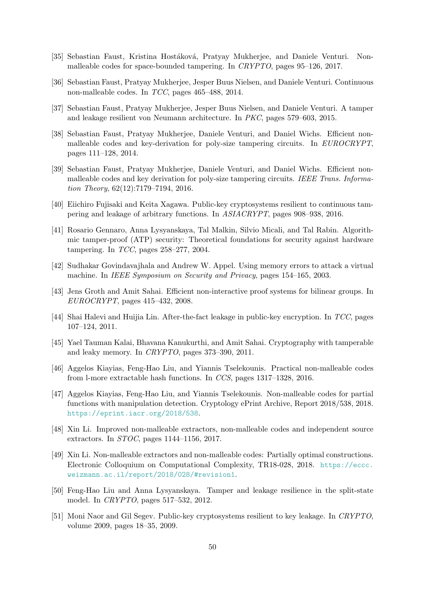- <span id="page-50-10"></span>[35] Sebastian Faust, Kristina Hostáková, Pratyay Mukherjee, and Daniele Venturi. Nonmalleable codes for space-bounded tampering. In CRYPTO, pages 95–126, 2017.
- <span id="page-50-2"></span>[36] Sebastian Faust, Pratyay Mukherjee, Jesper Buus Nielsen, and Daniele Venturi. Continuous non-malleable codes. In TCC, pages 465–488, 2014.
- <span id="page-50-4"></span>[37] Sebastian Faust, Pratyay Mukherjee, Jesper Buus Nielsen, and Daniele Venturi. A tamper and leakage resilient von Neumann architecture. In PKC, pages 579–603, 2015.
- <span id="page-50-8"></span>[38] Sebastian Faust, Pratyay Mukherjee, Daniele Venturi, and Daniel Wichs. Efficient nonmalleable codes and key-derivation for poly-size tampering circuits. In EUROCRYPT, pages 111–128, 2014.
- <span id="page-50-9"></span>[39] Sebastian Faust, Pratyay Mukherjee, Daniele Venturi, and Daniel Wichs. Efficient nonmalleable codes and key derivation for poly-size tampering circuits. IEEE Trans. Information Theory, 62(12):7179–7194, 2016.
- <span id="page-50-3"></span>[40] Eiichiro Fujisaki and Keita Xagawa. Public-key cryptosystems resilient to continuous tampering and leakage of arbitrary functions. In ASIACRYPT, pages 908–938, 2016.
- <span id="page-50-15"></span>[41] Rosario Gennaro, Anna Lysyanskaya, Tal Malkin, Silvio Micali, and Tal Rabin. Algorithmic tamper-proof (ATP) security: Theoretical foundations for security against hardware tampering. In TCC, pages 258–277, 2004.
- <span id="page-50-0"></span>[42] Sudhakar Govindavajhala and Andrew W. Appel. Using memory errors to attack a virtual machine. In IEEE Symposium on Security and Privacy, pages 154–165, 2003.
- <span id="page-50-14"></span>[43] Jens Groth and Amit Sahai. Efficient non-interactive proof systems for bilinear groups. In EUROCRYPT, pages 415–432, 2008.
- <span id="page-50-16"></span>[44] Shai Halevi and Huijia Lin. After-the-fact leakage in public-key encryption. In TCC, pages 107–124, 2011.
- <span id="page-50-12"></span>[45] Yael Tauman Kalai, Bhavana Kanukurthi, and Amit Sahai. Cryptography with tamperable and leaky memory. In CRYPTO, pages 373–390, 2011.
- <span id="page-50-7"></span>[46] Aggelos Kiayias, Feng-Hao Liu, and Yiannis Tselekounis. Practical non-malleable codes from l-more extractable hash functions. In CCS, pages 1317–1328, 2016.
- <span id="page-50-11"></span>[47] Aggelos Kiayias, Feng-Hao Liu, and Yiannis Tselekounis. Non-malleable codes for partial functions with manipulation detection. Cryptology ePrint Archive, Report 2018/538, 2018. <https://eprint.iacr.org/2018/538>.
- <span id="page-50-5"></span>[48] Xin Li. Improved non-malleable extractors, non-malleable codes and independent source extractors. In STOC, pages 1144–1156, 2017.
- <span id="page-50-6"></span>[49] Xin Li. Non-malleable extractors and non-malleable codes: Partially optimal constructions. Electronic Colloquium on Computational Complexity, TR18-028, 2018. [https://eccc.](https://eccc.weizmann.ac.il/report/2018/028/#revision1) [weizmann.ac.il/report/2018/028/#revision1](https://eccc.weizmann.ac.il/report/2018/028/#revision1).
- <span id="page-50-1"></span>[50] Feng-Hao Liu and Anna Lysyanskaya. Tamper and leakage resilience in the split-state model. In CRYPTO, pages 517–532, 2012.
- <span id="page-50-13"></span>[51] Moni Naor and Gil Segev. Public-key cryptosystems resilient to key leakage. In CRYPTO, volume 2009, pages 18–35, 2009.